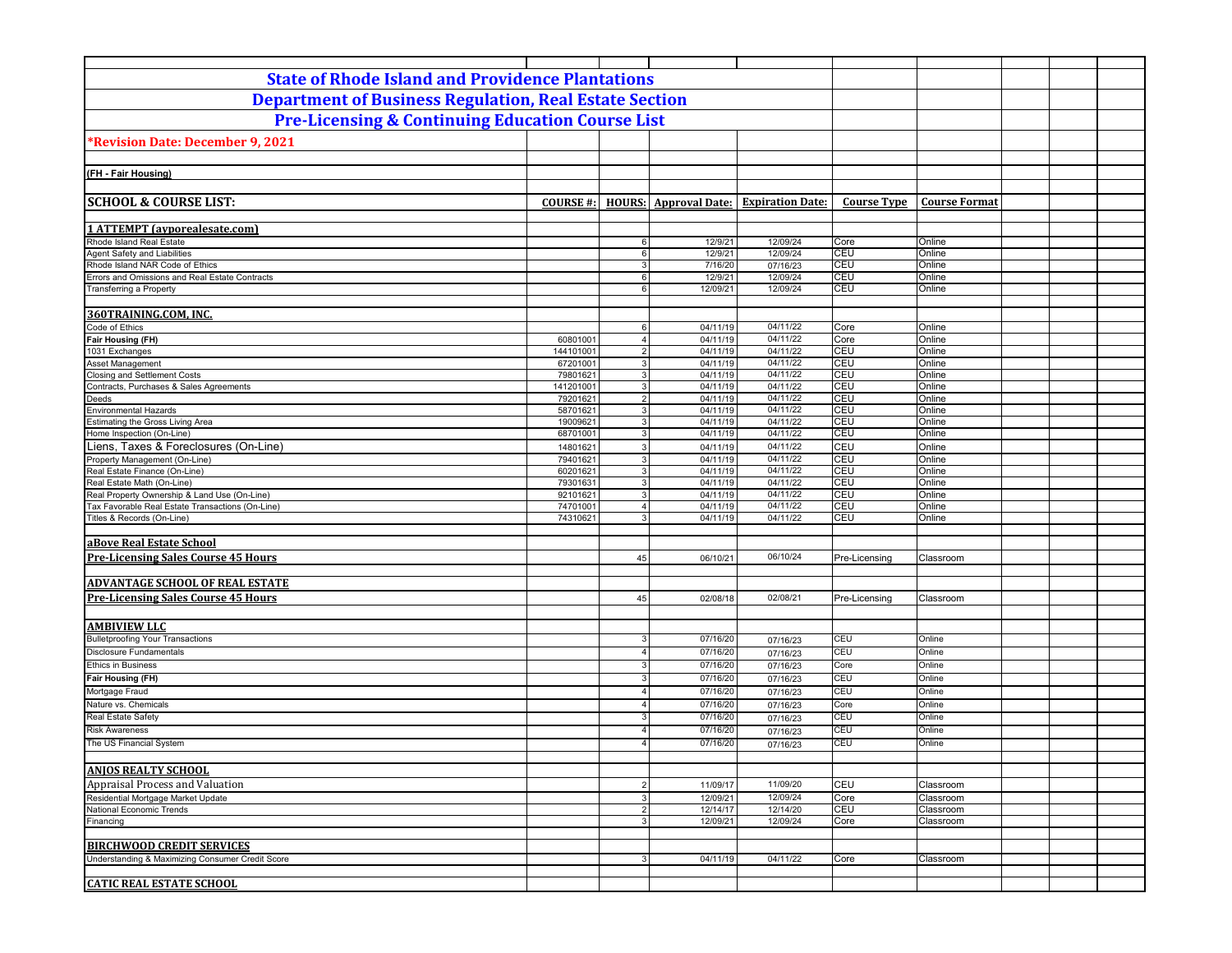| <b>State of Rhode Island and Providence Plantations</b>                                          |                       |                                      |                              |                         |                    |                        |  |
|--------------------------------------------------------------------------------------------------|-----------------------|--------------------------------------|------------------------------|-------------------------|--------------------|------------------------|--|
| <b>Department of Business Regulation, Real Estate Section</b>                                    |                       |                                      |                              |                         |                    |                        |  |
| <b>Pre-Licensing &amp; Continuing Education Course List</b>                                      |                       |                                      |                              |                         |                    |                        |  |
| *Revision Date: December 9, 2021                                                                 |                       |                                      |                              |                         |                    |                        |  |
|                                                                                                  |                       |                                      |                              |                         |                    |                        |  |
| (FH - Fair Housing)                                                                              |                       |                                      |                              |                         |                    |                        |  |
|                                                                                                  |                       |                                      |                              |                         |                    |                        |  |
| <b>SCHOOL &amp; COURSE LIST:</b>                                                                 | <b>COURSE #:</b>      |                                      | <b>HOURS:</b> Approval Date: | <b>Expiration Date:</b> | <b>Course Type</b> | <b>Course Format</b>   |  |
| <b>1 ATTEMPT</b> (ayporealesate.com)                                                             |                       |                                      |                              |                         |                    |                        |  |
| Rhode Island Real Estate                                                                         |                       | $6 \overline{6}$                     | 12/9/21                      | 12/09/24                | Core               | Online                 |  |
| Agent Safety and Liabilities                                                                     |                       | 6                                    | 12/9/21                      | 12/09/24                | CEU                | Online                 |  |
| Rhode Island NAR Code of Ethics<br>Errors and Omissions and Real Estate Contracts                |                       | $\mathbf{3}$                         | 7/16/20<br>12/9/21           | 07/16/23                | CEU<br>CEU         | Online<br>Online       |  |
| <b>Transferring a Property</b>                                                                   |                       | $6 \overline{6}$<br>$6 \overline{6}$ | 12/09/21                     | 12/09/24<br>12/09/24    | CEU                | Online                 |  |
|                                                                                                  |                       |                                      |                              |                         |                    |                        |  |
| 360TRAINING.COM, INC.                                                                            |                       |                                      |                              |                         |                    |                        |  |
| Code of Ethics                                                                                   |                       | 6                                    | 04/11/19                     | 04/11/22                | Core               | Online                 |  |
| <b>Fair Housing (FH)</b>                                                                         | 60801001              | $\overline{4}$                       | 04/11/19                     | 04/11/22                | Core               | Online                 |  |
| 1031 Exchanges<br>Asset Management                                                               | 144101001<br>67201001 | $\overline{2}$<br>3 <sup>1</sup>     | 04/11/19<br>04/11/19         | 04/11/22<br>04/11/22    | CEU<br>CEU         | Online<br>Online       |  |
| <b>Closing and Settlement Costs</b>                                                              | 79801621              | $\overline{3}$                       | 04/11/19                     | 04/11/22                | CEU                | Online                 |  |
| Contracts, Purchases & Sales Agreements                                                          | 141201001             | $\mathbf{3}$                         | 04/11/19                     | 04/11/22                | CEU                | Online                 |  |
| Deeds                                                                                            | 79201621              | $\overline{2}$                       | 04/11/19                     | 04/11/22                | CEU                | Online                 |  |
| Environmental Hazards                                                                            | 58701621              | 3 <sup>1</sup>                       | 04/11/19                     | 04/11/22                | CEU<br>CEU         | Online                 |  |
| Estimating the Gross Living Area<br>Home Inspection (On-Line)                                    | 19009621<br>68701001  | 3 <sup>1</sup><br>3 <sup>1</sup>     | 04/11/19<br>04/11/19         | 04/11/22<br>04/11/22    | CEU                | Online<br>Online       |  |
| Liens, Taxes & Foreclosures (On-Line)                                                            | 14801621              | $\overline{3}$                       | 04/11/19                     | 04/11/22                | CEU                | Online                 |  |
| Property Management (On-Line)                                                                    | 79401621              | 3                                    | 04/11/19                     | 04/11/22                | CEU                | Online                 |  |
| Real Estate Finance (On-Line)                                                                    | 60201621              | 3 <sup>1</sup>                       | 04/11/19                     | 04/11/22                | CEU                | Online                 |  |
| Real Estate Math (On-Line)                                                                       | 79301631              | $\overline{3}$                       | 04/11/19                     | 04/11/22                | CEU                | Online                 |  |
| Real Property Ownership & Land Use (On-Line)<br>Tax Favorable Real Estate Transactions (On-Line) | 92101621<br>74701001  | $\overline{3}$<br>$\overline{4}$     | 04/11/19<br>04/11/19         | 04/11/22<br>04/11/22    | CEU<br>CEU         | Online<br>Online       |  |
| Titles & Records (On-Line)                                                                       | 74310621              | $\mathbf{3}$                         | 04/11/19                     | 04/11/22                | CEU                | Online                 |  |
|                                                                                                  |                       |                                      |                              |                         |                    |                        |  |
| aBove Real Estate School                                                                         |                       |                                      |                              |                         |                    |                        |  |
| <b>Pre-Licensing Sales Course 45 Hours</b>                                                       |                       | 45                                   | 06/10/21                     | 06/10/24                | Pre-Licensing      | Classroom              |  |
| <b>ADVANTAGE SCHOOL OF REAL ESTATE</b>                                                           |                       |                                      |                              |                         |                    |                        |  |
| <b>Pre-Licensing Sales Course 45 Hours</b>                                                       |                       | 45                                   | 02/08/18                     | 02/08/21                | Pre-Licensing      | Classroom              |  |
|                                                                                                  |                       |                                      |                              |                         |                    |                        |  |
| <b>AMBIVIEW LLC</b>                                                                              |                       |                                      |                              |                         |                    |                        |  |
| <b>Bulletproofing Your Transactions</b>                                                          |                       | 3                                    | 07/16/20                     | 07/16/23                | CEU                | Online                 |  |
| Disclosure Fundamentals                                                                          |                       | $\overline{4}$                       | 07/16/20                     | 07/16/23                | CEU                | Online                 |  |
| <b>Ethics in Business</b>                                                                        |                       | 3                                    | 07/16/20                     | 07/16/23                | Core               | Online                 |  |
| Fair Housing (FH)                                                                                |                       | 3                                    | 07/16/20                     | 07/16/23                | CEU                | Online                 |  |
| Mortgage Fraud<br>Nature vs. Chemicals                                                           |                       | $\overline{4}$<br>4                  | 07/16/20<br>07/16/20         | 07/16/23                | CEU<br>Core        | Online<br>Online       |  |
| Real Estate Safety                                                                               |                       | 3                                    | 07/16/20                     | 07/16/23<br>07/16/23    | CEU                | Online                 |  |
| <b>Risk Awareness</b>                                                                            |                       | $\overline{4}$                       | 07/16/20                     | 07/16/23                | CEU                | Online                 |  |
| The US Financial System                                                                          |                       | $\overline{4}$                       | 07/16/20                     | 07/16/23                | CEU                | Online                 |  |
|                                                                                                  |                       |                                      |                              |                         |                    |                        |  |
| <b>ANJOS REALTY SCHOOL</b>                                                                       |                       |                                      |                              |                         |                    |                        |  |
| Appraisal Process and Valuation                                                                  |                       | $\overline{2}$                       | 11/09/17                     | 11/09/20                | CEU                | Classroom              |  |
| Residential Mortgage Market Update                                                               |                       | $\overline{3}$                       | 12/09/21                     | 12/09/24                | Core               | Classroom              |  |
| National Economic Trends<br>Financing                                                            |                       | $\overline{2}$<br>3                  | 12/14/17<br>12/09/21         | 12/14/20<br>12/09/24    | <b>CEU</b><br>Core | Classroom<br>Classroom |  |
|                                                                                                  |                       |                                      |                              |                         |                    |                        |  |
| <b>BIRCHWOOD CREDIT SERVICES</b>                                                                 |                       |                                      |                              |                         |                    |                        |  |
| Understanding & Maximizing Consumer Credit Score                                                 |                       | $\overline{3}$                       | 04/11/19                     | 04/11/22                | Core               | Classroom              |  |
|                                                                                                  |                       |                                      |                              |                         |                    |                        |  |
| <b>CATIC REAL ESTATE SCHOOL</b>                                                                  |                       |                                      |                              |                         |                    |                        |  |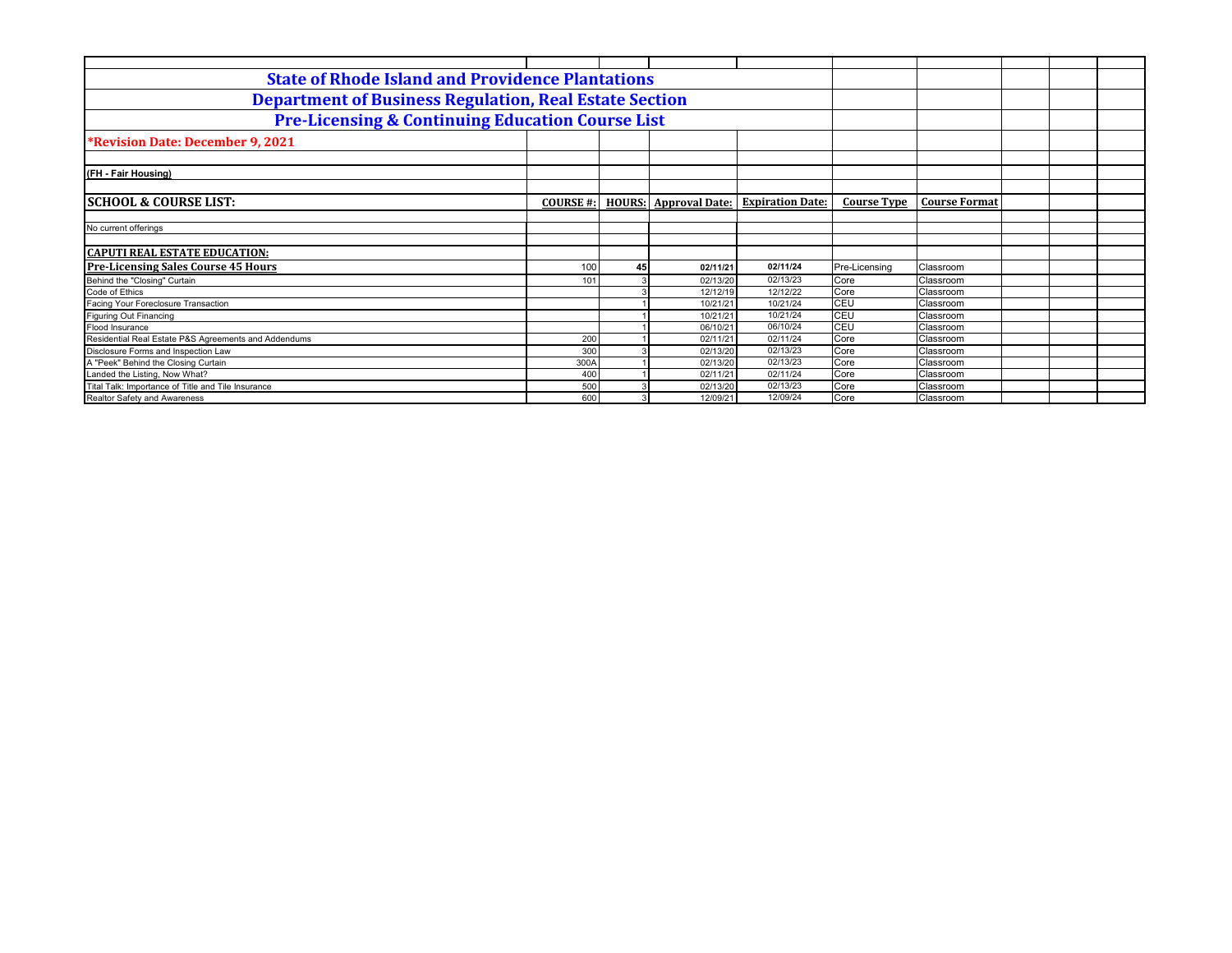| <b>State of Rhode Island and Providence Plantations</b>       |                  |               |                       |                         |                    |                      |  |
|---------------------------------------------------------------|------------------|---------------|-----------------------|-------------------------|--------------------|----------------------|--|
| <b>Department of Business Regulation, Real Estate Section</b> |                  |               |                       |                         |                    |                      |  |
| <b>Pre-Licensing &amp; Continuing Education Course List</b>   |                  |               |                       |                         |                    |                      |  |
| <b>*Revision Date: December 9, 2021</b>                       |                  |               |                       |                         |                    |                      |  |
|                                                               |                  |               |                       |                         |                    |                      |  |
| (FH - Fair Housing)                                           |                  |               |                       |                         |                    |                      |  |
|                                                               |                  |               |                       |                         |                    |                      |  |
| <b>ISCHOOL &amp; COURSE LIST:</b>                             | <b>COURSE #:</b> | <b>HOURS:</b> | <b>Approval Date:</b> | <b>Expiration Date:</b> | <b>Course Type</b> | <b>Course Format</b> |  |
|                                                               |                  |               |                       |                         |                    |                      |  |
| No current offerings                                          |                  |               |                       |                         |                    |                      |  |
|                                                               |                  |               |                       |                         |                    |                      |  |
| <b>CAPUTI REAL ESTATE EDUCATION:</b>                          |                  |               |                       |                         |                    |                      |  |
| <b>Pre-Licensing Sales Course 45 Hours</b>                    | 100              | 45            | 02/11/21              | 02/11/24                | Pre-Licensing      | Classroom            |  |
| Behind the "Closing" Curtain                                  | 101              |               | 02/13/20              | 02/13/23                | Core               | Classroom            |  |
| Code of Ethics                                                |                  |               | 12/12/19              | 12/12/22                | Core               | Classroom            |  |
| Facing Your Foreclosure Transaction                           |                  |               | 10/21/21              | 10/21/24                | CEU                | Classroom            |  |
| <b>Figuring Out Financing</b>                                 |                  |               | 10/21/21              | 10/21/24                | CEU                | Classroom            |  |
| <b>Flood Insurance</b>                                        |                  |               | 06/10/21              | 06/10/24                | CEU                | Classroom            |  |
| Residential Real Estate P&S Agreements and Addendums          | 200              |               | 02/11/21              | 02/11/24                | Core               | Classroom            |  |
| Disclosure Forms and Inspection Law                           | 300              |               | 02/13/20              | 02/13/23                | Core               | Classroom            |  |
| A "Peek" Behind the Closing Curtain                           | 300A             |               | 02/13/20              | 02/13/23                | Core               | Classroom            |  |
| Landed the Listing, Now What?                                 | 400              |               | 02/11/21              | 02/11/24                | Core               | Classroom            |  |
| Tital Talk: Importance of Title and Tile Insurance            | 500              |               | 02/13/20              | 02/13/23                | Core               | Classroom            |  |
| Realtor Safety and Awareness                                  | 600              |               | 12/09/21              | 12/09/24                | Core               | Classroom            |  |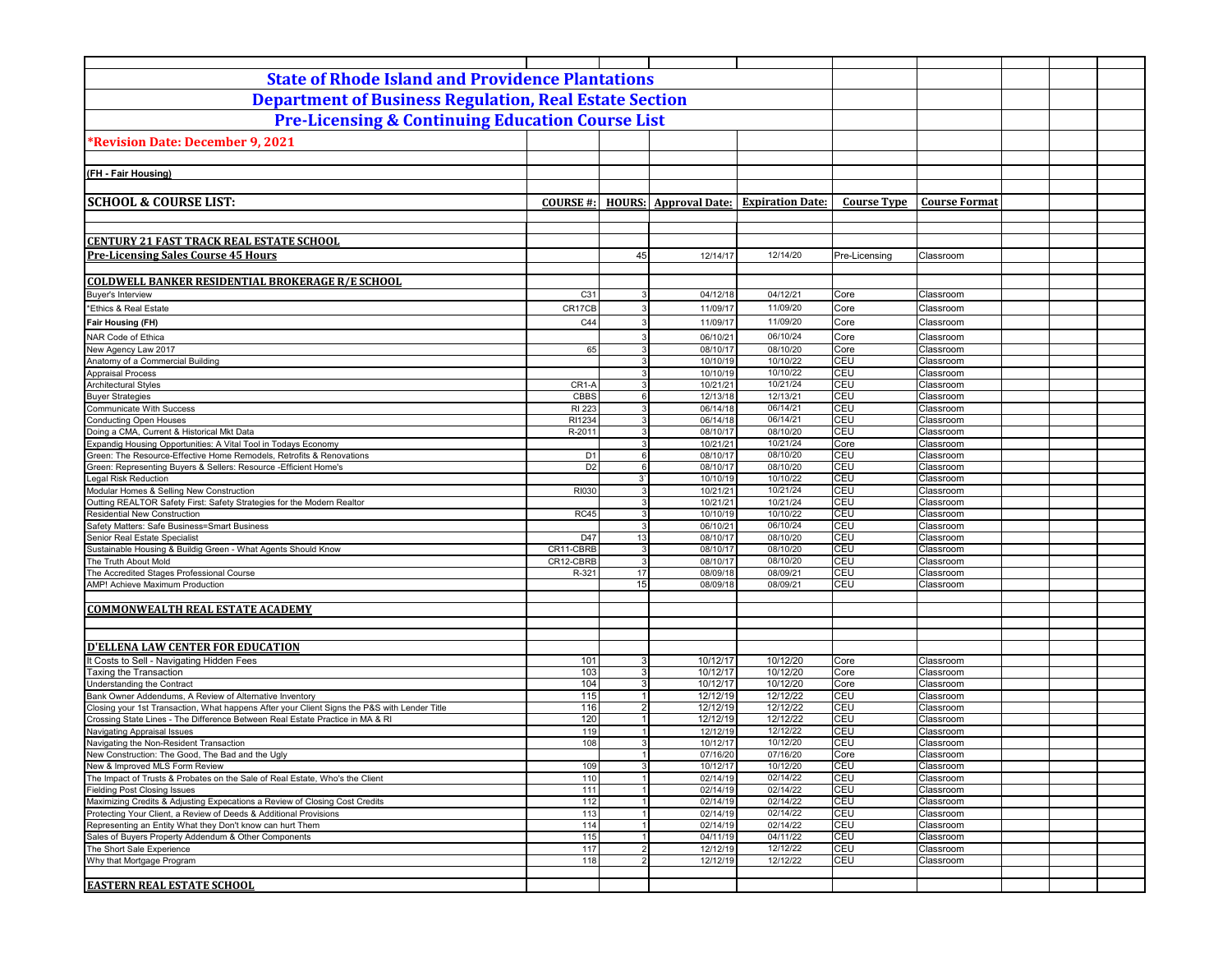| <b>State of Rhode Island and Providence Plantations</b>                                                            |                   |                             |                              |                         |                    |                        |  |
|--------------------------------------------------------------------------------------------------------------------|-------------------|-----------------------------|------------------------------|-------------------------|--------------------|------------------------|--|
| <b>Department of Business Regulation, Real Estate Section</b>                                                      |                   |                             |                              |                         |                    |                        |  |
| <b>Pre-Licensing &amp; Continuing Education Course List</b>                                                        |                   |                             |                              |                         |                    |                        |  |
| *Revision Date: December 9, 2021                                                                                   |                   |                             |                              |                         |                    |                        |  |
|                                                                                                                    |                   |                             |                              |                         |                    |                        |  |
| (FH - Fair Housing)                                                                                                |                   |                             |                              |                         |                    |                        |  |
|                                                                                                                    |                   |                             |                              |                         |                    |                        |  |
| <b>SCHOOL &amp; COURSE LIST:</b>                                                                                   | <b>COURSE#:</b>   |                             | <b>HOURS:</b> Approval Date: | <b>Expiration Date:</b> | <b>Course Type</b> | <b>Course Format</b>   |  |
|                                                                                                                    |                   |                             |                              |                         |                    |                        |  |
|                                                                                                                    |                   |                             |                              |                         |                    |                        |  |
| <b>CENTURY 21 FAST TRACK REAL ESTATE SCHOOL</b>                                                                    |                   |                             |                              |                         |                    |                        |  |
| <b>Pre-Licensing Sales Course 45 Hours</b>                                                                         |                   | 45                          | 12/14/17                     | 12/14/20                | Pre-Licensing      | Classroom              |  |
| <b>COLDWELL BANKER RESIDENTIAL BROKERAGE R/E SCHOOL</b>                                                            |                   |                             |                              |                         |                    |                        |  |
| Buyer's Interview                                                                                                  | C31               | 3                           | 04/12/18                     | 04/12/21                | Core               | Classroom              |  |
| *Ethics & Real Estate                                                                                              | CR17CB            | $\mathbf{3}$                | 11/09/17                     | 11/09/20                | Core               | Classroom              |  |
| <b>Fair Housing (FH)</b>                                                                                           | C44               |                             | 11/09/17                     | 11/09/20                | Core               | Classroom              |  |
| NAR Code of Ethica                                                                                                 |                   | з                           | 06/10/21                     | 06/10/24                | Core               | Classroom              |  |
| New Agency Law 2017                                                                                                | 65                | 3                           | 08/10/17                     | 08/10/20                | Core               | Classroom              |  |
| Anatomy of a Commercial Building                                                                                   |                   | 3                           | 10/10/19                     | 10/10/22                | CEU                | Classroom              |  |
| <b>Appraisal Process</b><br><b>Architectural Styles</b>                                                            | CR <sub>1-A</sub> | 3<br>3                      | 10/10/19<br>10/21/21         | 10/10/22<br>10/21/24    | CEU<br>CEU         | Classroom<br>Classroom |  |
| <b>Buyer Strategies</b>                                                                                            | CBBS              | 6                           | 12/13/18                     | 12/13/21                | CEU                | Classroom              |  |
| <b>Communicate With Success</b>                                                                                    | RI 223            | 3                           | 06/14/18                     | 06/14/21                | CEU                | Classroom              |  |
| <b>Conducting Open Houses</b>                                                                                      | RI1234            | 3                           | 06/14/18                     | 06/14/21                | CEU                | Classroom              |  |
| Doing a CMA, Current & Historical Mkt Data<br>Expandig Housing Opportunities: A Vital Tool in Todays Economy       | R-2011            | 3<br>3                      | 08/10/17<br>10/21/21         | 08/10/20<br>10/21/24    | <b>CEU</b><br>Core | Classroom<br>Classroom |  |
| Green: The Resource-Effective Home Remodels, Retrofits & Renovations                                               | D <sub>1</sub>    | $6 \overline{6}$            | 08/10/17                     | 08/10/20                | CEU                | Classroom              |  |
| Green: Representing Buyers & Sellers: Resource - Efficient Home's                                                  | D <sub>2</sub>    | $6 \overline{6}$            | 08/10/17                     | 08/10/20                | CEU                | Classroom              |  |
| Legal Risk Reduction                                                                                               |                   | 3,                          | 10/10/19                     | 10/10/22                | <b>CEU</b>         | Classroom              |  |
| Modular Homes & Selling New Construction<br>Outting REALTOR Safety First: Safety Strategies for the Modern Realtor | RI030             | 3<br>3                      | 10/21/21<br>10/21/21         | 10/21/24<br>10/21/24    | CEU<br>CEU         | Classroom<br>Classroom |  |
| <b>Residential New Construction</b>                                                                                | <b>RC45</b>       | 3                           | 10/10/19                     | 10/10/22                | CEU                | Classroom              |  |
| Safety Matters: Safe Business=Smart Business                                                                       |                   | 3                           | 06/10/21                     | 06/10/24                | CEU                | Classroom              |  |
| Senior Real Estate Specialist<br>Sustainable Housing & Buildig Green - What Agents Should Know                     | D47<br>CR11-CBRB  | 13<br>3                     | 08/10/17<br>08/10/17         | 08/10/20<br>08/10/20    | CEU<br>CEU         | Classroom<br>Classroom |  |
| The Truth About Mold                                                                                               | CR12-CBRB         | 3                           | 08/10/17                     | 08/10/20                | <b>CEU</b>         | Classroom              |  |
| The Accredited Stages Professional Course                                                                          | R-321             | 17                          | 08/09/18                     | 08/09/21                | CEU                | Classroom              |  |
| AMP! Achieve Maximum Production                                                                                    |                   | 15                          | 08/09/18                     | 08/09/21                | CEU                | Classroom              |  |
|                                                                                                                    |                   |                             |                              |                         |                    |                        |  |
| <b>COMMONWEALTH REAL ESTATE ACADEMY</b>                                                                            |                   |                             |                              |                         |                    |                        |  |
|                                                                                                                    |                   |                             |                              |                         |                    |                        |  |
| <b>D'ELLENA LAW CENTER FOR EDUCATION</b>                                                                           |                   |                             |                              |                         |                    |                        |  |
| Costs to Sell - Navigating Hidden Fees                                                                             | 101               | 3 <sup>1</sup>              | 10/12/17                     | 10/12/20                | Core               | Classroom              |  |
| Faxing the Transaction                                                                                             | 103<br>104        | 3 <sup>1</sup><br>3         | 10/12/17<br>10/12/17         | 10/12/20<br>10/12/20    | Core               | Classroom<br>Classroom |  |
| Understanding the Contract<br>Bank Owner Addendums, A Review of Alternative Inventory                              | 115               | $\mathbf{1}$                | 12/12/19                     | 12/12/22                | Core<br>CEU        | Classroom              |  |
| Closing your 1st Transaction, What happens After your Client Signs the P&S with Lender Title                       | 116               | $\overline{2}$              | 12/12/19                     | 12/12/22                | CEU                | Classroom              |  |
| Crossing State Lines - The Difference Between Real Estate Practice in MA & RI                                      | 120               | $\overline{1}$              | 12/12/19                     | 12/12/22                | CEU                | Classroom              |  |
| Navigating Appraisal Issues                                                                                        | 119<br>108        | $\mathbf{1}$<br>3           | 12/12/19<br>10/12/17         | 12/12/22<br>10/12/20    | CEU<br>CEU         | Classroom<br>Classroom |  |
| Navigating the Non-Resident Transaction<br>New Construction: The Good, The Bad and the Ugly                        |                   |                             | 07/16/20                     | 07/16/20                | Core               | Classroom              |  |
| New & Improved MLS Form Review                                                                                     | 109               | 3 <sup>1</sup>              | 10/12/17                     | 10/12/20                | CEU                | Classroom              |  |
| The Impact of Trusts & Probates on the Sale of Real Estate, Who's the Client                                       | 110               |                             | 02/14/19                     | 02/14/22                | CEU                | Classroom              |  |
| <b>Fielding Post Closing Issues</b><br>Maximizing Credits & Adjusting Expecations a Review of Closing Cost Credits | 111<br>112        | 1                           | 02/14/19<br>02/14/19         | 02/14/22<br>02/14/22    | CEU<br>CEU         | Classroom<br>Classroom |  |
| Protecting Your Client, a Review of Deeds & Additional Provisions                                                  | 113               | $\mathbf{1}$                | 02/14/19                     | 02/14/22                | CEU                | Classroom              |  |
| Representing an Entity What they Don't know can hurt Them                                                          | 114               | $\mathbf{1}$                | 02/14/19                     | 02/14/22                | CEU                | Classroom              |  |
| Sales of Buyers Property Addendum & Other Components                                                               | 115               | $\mathbf{1}$                | 04/11/19                     | 04/11/22                | CEU                | Classroom              |  |
| The Short Sale Experience<br>Why that Mortgage Program                                                             | 117<br>118        | $2 \vert$<br>$\overline{2}$ | 12/12/19<br>12/12/19         | 12/12/22<br>12/12/22    | CEU<br>CEU         | Classroom<br>Classroom |  |
|                                                                                                                    |                   |                             |                              |                         |                    |                        |  |
| <b>EASTERN REAL ESTATE SCHOOL</b>                                                                                  |                   |                             |                              |                         |                    |                        |  |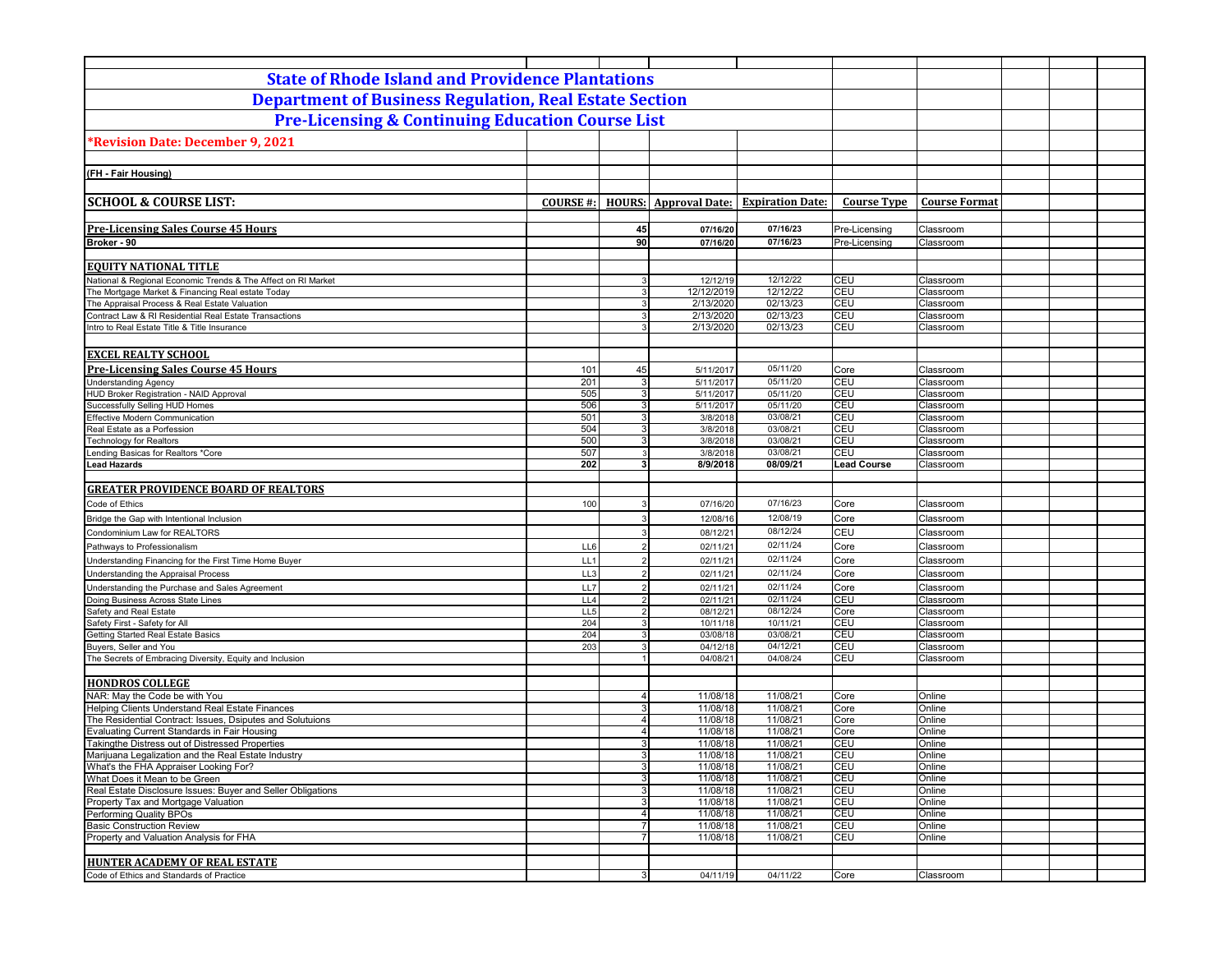| <b>State of Rhode Island and Providence Plantations</b>                                                            |                 |                                  |                              |                         |                    |                        |  |  |
|--------------------------------------------------------------------------------------------------------------------|-----------------|----------------------------------|------------------------------|-------------------------|--------------------|------------------------|--|--|
| <b>Department of Business Regulation, Real Estate Section</b>                                                      |                 |                                  |                              |                         |                    |                        |  |  |
| <b>Pre-Licensing &amp; Continuing Education Course List</b>                                                        |                 |                                  |                              |                         |                    |                        |  |  |
|                                                                                                                    |                 |                                  |                              |                         |                    |                        |  |  |
| *Revision Date: December 9, 2021                                                                                   |                 |                                  |                              |                         |                    |                        |  |  |
|                                                                                                                    |                 |                                  |                              |                         |                    |                        |  |  |
| (FH - Fair Housing)                                                                                                |                 |                                  |                              |                         |                    |                        |  |  |
| <b>SCHOOL &amp; COURSE LIST:</b>                                                                                   | <b>COURSE#:</b> |                                  | <b>HOURS: Approval Date:</b> | <b>Expiration Date:</b> | <b>Course Type</b> | <b>Course Format</b>   |  |  |
|                                                                                                                    |                 |                                  |                              |                         |                    |                        |  |  |
| <b>Pre-Licensing Sales Course 45 Hours</b>                                                                         |                 | 45                               | 07/16/20                     | 07/16/23                | Pre-Licensing      | Classroom              |  |  |
| Broker - 90                                                                                                        |                 | 90                               | 07/16/20                     | 07/16/23                | Pre-Licensing      | Classroom              |  |  |
|                                                                                                                    |                 |                                  |                              |                         |                    |                        |  |  |
| <b>EQUITY NATIONAL TITLE</b>                                                                                       |                 |                                  |                              |                         |                    |                        |  |  |
| National & Regional Economic Trends & The Affect on RI Market<br>The Mortgage Market & Financing Real estate Today |                 | 3<br>3 <sup>1</sup>              | 12/12/19<br>12/12/2019       | 12/12/22<br>12/12/22    | <b>CEU</b><br>CEU  | Classroom<br>Classroom |  |  |
| The Appraisal Process & Real Estate Valuation                                                                      |                 | $\overline{3}$                   | 2/13/2020                    | 02/13/23                | CEU                | Classroom              |  |  |
| Contract Law & RI Residential Real Estate Transactions                                                             |                 | 3 <sup>1</sup>                   | 2/13/2020                    | 02/13/23                | CEU                | Classroom              |  |  |
| Intro to Real Estate Title & Title Insurance                                                                       |                 | $\mathbf{3}$                     | 2/13/2020                    | 02/13/23                | CEU                | Classroom              |  |  |
|                                                                                                                    |                 |                                  |                              |                         |                    |                        |  |  |
| <b>EXCEL REALTY SCHOOL</b>                                                                                         |                 |                                  |                              |                         |                    |                        |  |  |
| <b>Pre-Licensing Sales Course 45 Hours</b>                                                                         | 101             | 45                               | 5/11/2017                    | 05/11/20                | Core               | Classroom              |  |  |
| <b>Understanding Agency</b>                                                                                        | 201             | $\mathbf{3}$                     | 5/11/2017                    | 05/11/20                | CEU                | Classroom              |  |  |
| HUD Broker Registration - NAID Approval<br>Successfully Selling HUD Homes                                          | 505<br>506      | 3 <sup>1</sup><br>$\overline{3}$ | 5/11/2017<br>5/11/2017       | 05/11/20<br>05/11/20    | CEU<br>CEU         | Classroom<br>Classroom |  |  |
| <b>Effective Modern Communication</b>                                                                              | 501             | $\mathbf{3}$                     | 3/8/2018                     | 03/08/21                | CEU                | Classroom              |  |  |
| Real Estate as a Porfession                                                                                        | 504             | $\mathbf{3}$                     | 3/8/2018                     | 03/08/21                | CEU                | Classroom              |  |  |
| <b>Technology for Realtors</b>                                                                                     | 500             | 3 <sup>1</sup>                   | 3/8/2018                     | 03/08/21                | CEU                | Classroom              |  |  |
| Lending Basicas for Realtors *Core                                                                                 | 507             | 3                                | 3/8/2018                     | 03/08/21                | CEU                | Classroom              |  |  |
| <b>Lead Hazards</b>                                                                                                | 202             | 3 <sup>1</sup>                   | 8/9/2018                     | 08/09/21                | <b>Lead Course</b> | Classroom              |  |  |
| <b>GREATER PROVIDENCE BOARD OF REALTORS</b>                                                                        |                 |                                  |                              |                         |                    |                        |  |  |
|                                                                                                                    |                 | 3                                |                              | 07/16/23                | Core               |                        |  |  |
| Code of Ethics                                                                                                     | 100             | 3                                | 07/16/20                     | 12/08/19                |                    | Classroom              |  |  |
| Bridge the Gap with Intentional Inclusion                                                                          |                 | 3                                | 12/08/16                     | 08/12/24                | Core<br>CEU        | Classroom              |  |  |
| Condominium Law for REALTORS                                                                                       | LL6             | $\overline{2}$                   | 08/12/21<br>02/11/21         | 02/11/24                | Core               | Classroom<br>Classroom |  |  |
| Pathways to Professionalism                                                                                        | LL1             | $\overline{2}$                   |                              | 02/11/24                | Core               | Classroom              |  |  |
| Understanding Financing for the First Time Home Buyer                                                              | LL3             | $\overline{2}$                   | 02/11/21<br>02/11/21         | 02/11/24                | Core               | Classroom              |  |  |
| Understanding the Appraisal Process<br>Understanding the Purchase and Sales Agreement                              | LL7             | $\overline{2}$                   | 02/11/21                     | 02/11/24                | Core               | Classroom              |  |  |
| Doing Business Across State Lines                                                                                  | LL4             | $\overline{2}$                   | 02/11/21                     | 02/11/24                | CEU                | Classroom              |  |  |
| Safety and Real Estate                                                                                             | LL5             | $\overline{2}$                   | 08/12/21                     | 08/12/24                | Core               | Classroom              |  |  |
| Safety First - Safety for All                                                                                      | 204             | $\overline{3}$                   | 10/11/18                     | 10/11/21                | CEU                | Classroom              |  |  |
| Getting Started Real Estate Basics                                                                                 | 204             | 3 <sup>1</sup>                   | 03/08/18                     | 03/08/21                | CEU                | Classroom              |  |  |
| Buyers, Seller and You<br>The Secrets of Embracing Diversity, Equity and Inclusion                                 | 203             | 3<br>1                           | 04/12/18<br>04/08/21         | 04/12/21<br>04/08/24    | CEU<br>CEU         | Classroom<br>Classroom |  |  |
|                                                                                                                    |                 |                                  |                              |                         |                    |                        |  |  |
| <b>HONDROS COLLEGE</b>                                                                                             |                 |                                  |                              |                         |                    |                        |  |  |
| NAR: May the Code be with You                                                                                      |                 | $\overline{4}$                   | 11/08/18                     | 11/08/21                | Core               | Online                 |  |  |
| Helping Clients Understand Real Estate Finances                                                                    |                 | 3 <sup>1</sup>                   | 11/08/18                     | 11/08/21                | Core               | Online                 |  |  |
| The Residential Contract: Issues, Dsiputes and Solutuions                                                          |                 | $\overline{4}$                   | 11/08/18                     | 11/08/21                | Core               | Online                 |  |  |
| Evaluating Current Standards in Fair Housing<br>Takingthe Distress out of Distressed Properties                    |                 | 4 <sup>1</sup><br>3              | 11/08/18<br>11/08/18         | 11/08/21<br>11/08/21    | Core<br>CEU        | Online<br>Online       |  |  |
| Marijuana Legalization and the Real Estate Industry                                                                |                 | 3 <sup>1</sup>                   | 11/08/18                     | 11/08/21                | CEU                | Online                 |  |  |
| What's the FHA Appraiser Looking For?                                                                              |                 | 3                                | 11/08/18                     | 11/08/21                | <b>CEU</b>         | Online                 |  |  |
| What Does it Mean to be Green                                                                                      |                 | 3                                | 11/08/18                     | 11/08/21                | CEU                | Online                 |  |  |
| Real Estate Disclosure Issues: Buver and Seller Obligations                                                        |                 | 3                                | 11/08/18                     | 11/08/21                | CEU                | Online                 |  |  |
| Property Tax and Mortgage Valuation                                                                                |                 | 3 <sup>1</sup>                   | 11/08/18                     | 11/08/21                | CEU                | Online                 |  |  |
| Performing Quality BPOs<br><b>Basic Construction Review</b>                                                        |                 | 4 <sup>1</sup><br>7              | 11/08/18<br>11/08/18         | 11/08/21<br>11/08/21    | <b>CEU</b><br>CEU  | Online<br>Online       |  |  |
| Property and Valuation Analysis for FHA                                                                            |                 | 7 <sup>1</sup>                   | 11/08/18                     | 11/08/21                | CEU                | Online                 |  |  |
|                                                                                                                    |                 |                                  |                              |                         |                    |                        |  |  |
| <b>HUNTER ACADEMY OF REAL ESTATE</b>                                                                               |                 |                                  |                              |                         |                    |                        |  |  |
| Code of Ethics and Standards of Practice                                                                           |                 | 3 <sup>1</sup>                   | 04/11/19                     | 04/11/22                | Core               | Classroom              |  |  |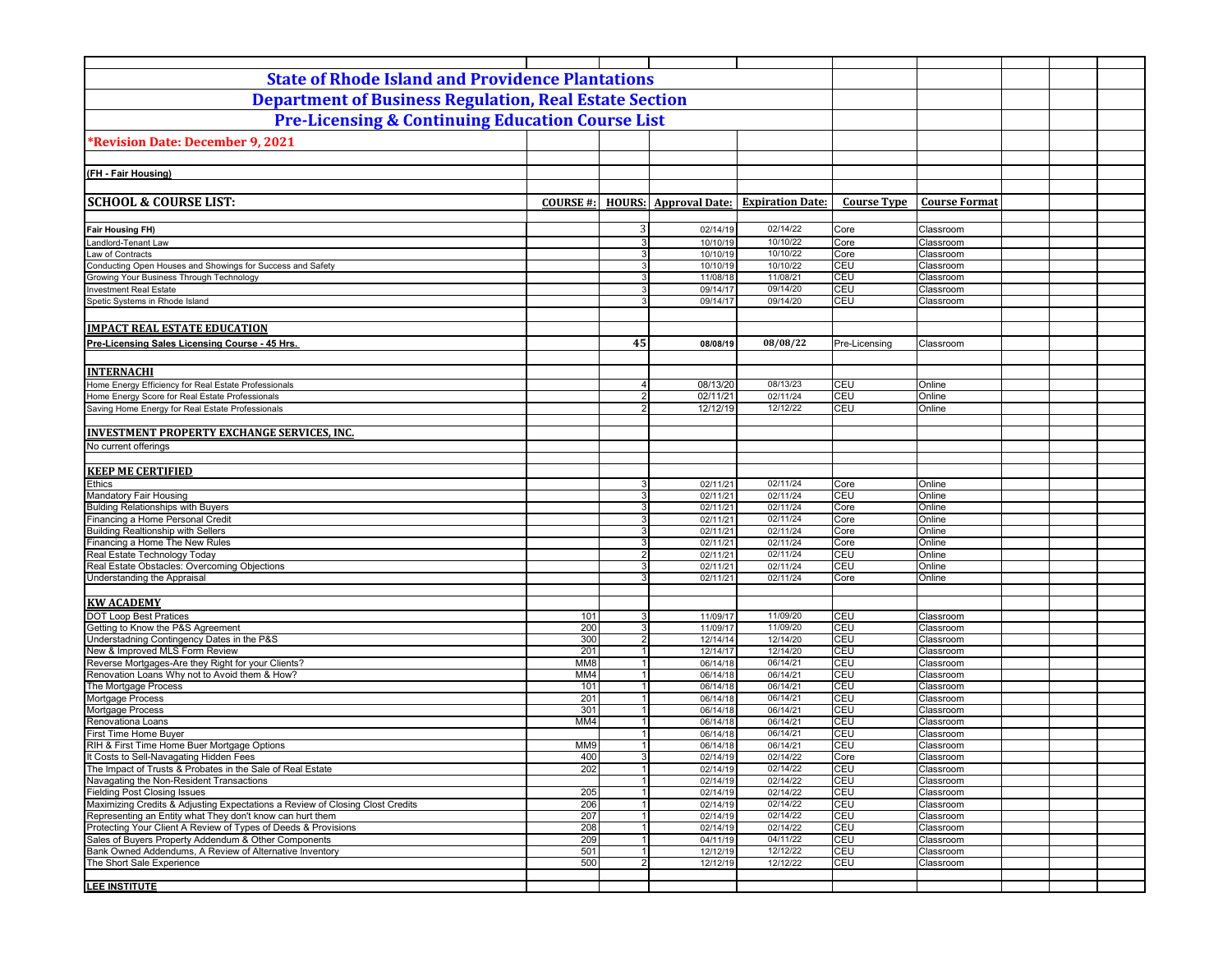| <b>State of Rhode Island and Providence Plantations</b>                                                                |                  |                        |                              |                         |                    |                        |  |
|------------------------------------------------------------------------------------------------------------------------|------------------|------------------------|------------------------------|-------------------------|--------------------|------------------------|--|
| <b>Department of Business Regulation, Real Estate Section</b>                                                          |                  |                        |                              |                         |                    |                        |  |
| <b>Pre-Licensing &amp; Continuing Education Course List</b>                                                            |                  |                        |                              |                         |                    |                        |  |
| Revision Date: December 9, 2021                                                                                        |                  |                        |                              |                         |                    |                        |  |
|                                                                                                                        |                  |                        |                              |                         |                    |                        |  |
| (FH - Fair Housing)                                                                                                    |                  |                        |                              |                         |                    |                        |  |
|                                                                                                                        |                  |                        |                              |                         |                    |                        |  |
| <b>SCHOOL &amp; COURSE LIST:</b>                                                                                       | <b>COURSE #:</b> |                        | <b>HOURS:</b> Approval Date: | <b>Expiration Date:</b> | <b>Course Type</b> | <b>Course Format</b>   |  |
|                                                                                                                        |                  |                        |                              |                         |                    |                        |  |
| <b>Fair Housing FH)</b><br>Landlord-Tenant Law                                                                         |                  | 3<br>$\mathbf{3}$      | 02/14/19<br>10/10/19         | 02/14/22<br>10/10/22    | Core<br>Core       | Classroom<br>Classroom |  |
| Law of Contracts                                                                                                       |                  | 3 <sup>1</sup>         | 10/10/19                     | 10/10/22                | Core               | Classroom              |  |
| Conducting Open Houses and Showings for Success and Safety                                                             |                  | $\mathbf{3}$           | 10/10/19                     | 10/10/22                | <b>CEU</b>         | Classroom              |  |
| Growing Your Business Through Technology                                                                               |                  | $\mathbf{3}$           | 11/08/18                     | 11/08/21                | CEU                | Classroom              |  |
| <b>Investment Real Estate</b>                                                                                          |                  | $\mathbf{3}$           | 09/14/17                     | 09/14/20                | CEU                | Classroom              |  |
| Spetic Systems in Rhode Island                                                                                         |                  | $\overline{3}$         | 09/14/17                     | 09/14/20                | CEU                | Classroom              |  |
|                                                                                                                        |                  |                        |                              |                         |                    |                        |  |
| <b>IMPACT REAL ESTATE EDUCATION</b>                                                                                    |                  |                        |                              |                         |                    |                        |  |
| Pre-Licensing Sales Licensing Course - 45 Hrs.                                                                         |                  | 45                     | 08/08/19                     | 08/08/22                | Pre-Licensing      | Classroom              |  |
| <b>INTERNACHI</b>                                                                                                      |                  |                        |                              |                         |                    |                        |  |
| Home Energy Efficiency for Real Estate Professionals                                                                   |                  | $\overline{4}$         | 08/13/20                     | 08/13/23                | CEU                | Online                 |  |
| Home Energy Score for Real Estate Professionals                                                                        |                  | $\overline{2}$         | 02/11/21                     | 02/11/24                | <b>CEU</b>         | Online                 |  |
| Saving Home Energy for Real Estate Professionals                                                                       |                  | $\overline{2}$         | 12/12/19                     | 12/12/22                | <b>CEU</b>         | Online                 |  |
|                                                                                                                        |                  |                        |                              |                         |                    |                        |  |
| <b>INVESTMENT PROPERTY EXCHANGE SERVICES, INC.</b>                                                                     |                  |                        |                              |                         |                    |                        |  |
| No current offerings                                                                                                   |                  |                        |                              |                         |                    |                        |  |
| <b>KEEP ME CERTIFIED</b>                                                                                               |                  |                        |                              |                         |                    |                        |  |
| <b>Ethics</b>                                                                                                          |                  | 3                      | 02/11/21                     | 02/11/24                | Core               | Online                 |  |
| Mandatory Fair Housing                                                                                                 |                  | $\overline{3}$         | 02/11/21                     | 02/11/24                | CEU                | Online                 |  |
| <b>Bulding Relationships with Buyers</b>                                                                               |                  | $\mathbf{3}$           | 02/11/21                     | 02/11/24                | Core               | Online                 |  |
| Financing a Home Personal Credit                                                                                       |                  | 3 <sup>1</sup>         | 02/11/21                     | 02/11/24                | Core               | Online                 |  |
| <b>Building Realtionship with Sellers</b>                                                                              |                  | $\mathbf{3}$           | 02/11/21                     | 02/11/24                | Core               | Online                 |  |
| Financing a Home The New Rules<br>Real Estate Technology Today                                                         |                  | 3<br>$\overline{2}$    | 02/11/21<br>02/11/21         | 02/11/24<br>02/11/24    | Core<br><b>CEU</b> | Online<br>Online       |  |
| Real Estate Obstacles: Overcoming Objections                                                                           |                  | 3                      | 02/11/21                     | 02/11/24                | CEU                | Online                 |  |
| Understanding the Appraisal                                                                                            |                  | 3                      | 02/11/21                     | 02/11/24                | Core               | Online                 |  |
|                                                                                                                        |                  |                        |                              |                         |                    |                        |  |
| <b>KW ACADEMY</b>                                                                                                      |                  |                        |                              |                         |                    |                        |  |
| <b>DOT Loop Best Pratices</b>                                                                                          | 101              | 3                      | 11/09/17                     | 11/09/20<br>11/09/20    | <b>CEU</b><br>CEU  | Classroom              |  |
| Getting to Know the P&S Agreement<br>Understadning Contingency Dates in the P&S                                        | 200<br>300       | 3 <br>$\overline{2}$   | 11/09/17<br>12/14/14         | 12/14/20                | CEU                | Classroom<br>Classroom |  |
| New & Improved MLS Form Review                                                                                         | 201              | $\vert$ 1              | 12/14/17                     | 12/14/20                | CEU                | Classroom              |  |
| Reverse Mortgages-Are they Right for your Clients?                                                                     | MM8              | 1                      | 06/14/18                     | 06/14/21                | CEU                | Classroom              |  |
| Renovation Loans Why not to Avoid them & How?                                                                          | MM4              | 1                      | 06/14/18                     | 06/14/21                | CEU                | Classroom              |  |
| The Mortgage Process<br>Mortgage Process                                                                               | 101<br>201       | 1                      | 06/14/18<br>06/14/18         | 06/14/21<br>06/14/21    | <b>CEU</b><br>CEU  | Classroom<br>Classroom |  |
| Mortgage Process                                                                                                       | 301              | 1                      | 06/14/18                     | 06/14/21                | CEU                | Classroom              |  |
| Renovationa Loans                                                                                                      | MM4              | 1                      | 06/14/18                     | 06/14/21                | CEU                | Classroom              |  |
| First Time Home Buyer                                                                                                  |                  |                        | 06/14/18                     | 06/14/21                | CEU                | Classroom              |  |
| RIH & First Time Home Buer Mortgage Options                                                                            | MM9              |                        | 06/14/18                     | 06/14/21                | <b>CEU</b>         | Classroom              |  |
| It Costs to Sell-Navagating Hidden Fees<br>The Impact of Trusts & Probates in the Sale of Real Estate                  | 400<br>202       | 31<br>$\overline{1}$   | 02/14/19<br>02/14/19         | 02/14/22<br>02/14/22    | Core<br>CEU        | Classroom<br>Classroom |  |
| Navagating the Non-Resident Transactions                                                                               |                  | 1                      | 02/14/19                     | 02/14/22                | CEU                | Classroom              |  |
| <b>Fielding Post Closing Issues</b>                                                                                    | 205              | $\vert$ 1              | 02/14/19                     | 02/14/22                | CEU                | Classroom              |  |
| Maximizing Credits & Adjusting Expectations a Review of Closing Clost Credits                                          | 206              | 1                      | 02/14/19                     | 02/14/22                | CEU                | Classroom              |  |
| Representing an Entity what They don't know can hurt them                                                              | 207              | 1                      | 02/14/19                     | 02/14/22                | CEU                | Classroom              |  |
| Protecting Your Client A Review of Types of Deeds & Provisions<br>Sales of Buyers Property Addendum & Other Components | 208<br>209       | $\vert$ 1<br>$\vert$ 1 | 02/14/19<br>04/11/19         | 02/14/22<br>04/11/22    | CEU<br>CEU         | Classroom<br>Classroom |  |
| Bank Owned Addendums, A Review of Alternative Inventory                                                                | 501              | 1                      | 12/12/19                     | 12/12/22                | CEU                | Classroom              |  |
| The Short Sale Experience                                                                                              | 500              | 2                      | 12/12/19                     | 12/12/22                | CEU                | Classroom              |  |
|                                                                                                                        |                  |                        |                              |                         |                    |                        |  |
| LEE INSTITUTE                                                                                                          |                  |                        |                              |                         |                    |                        |  |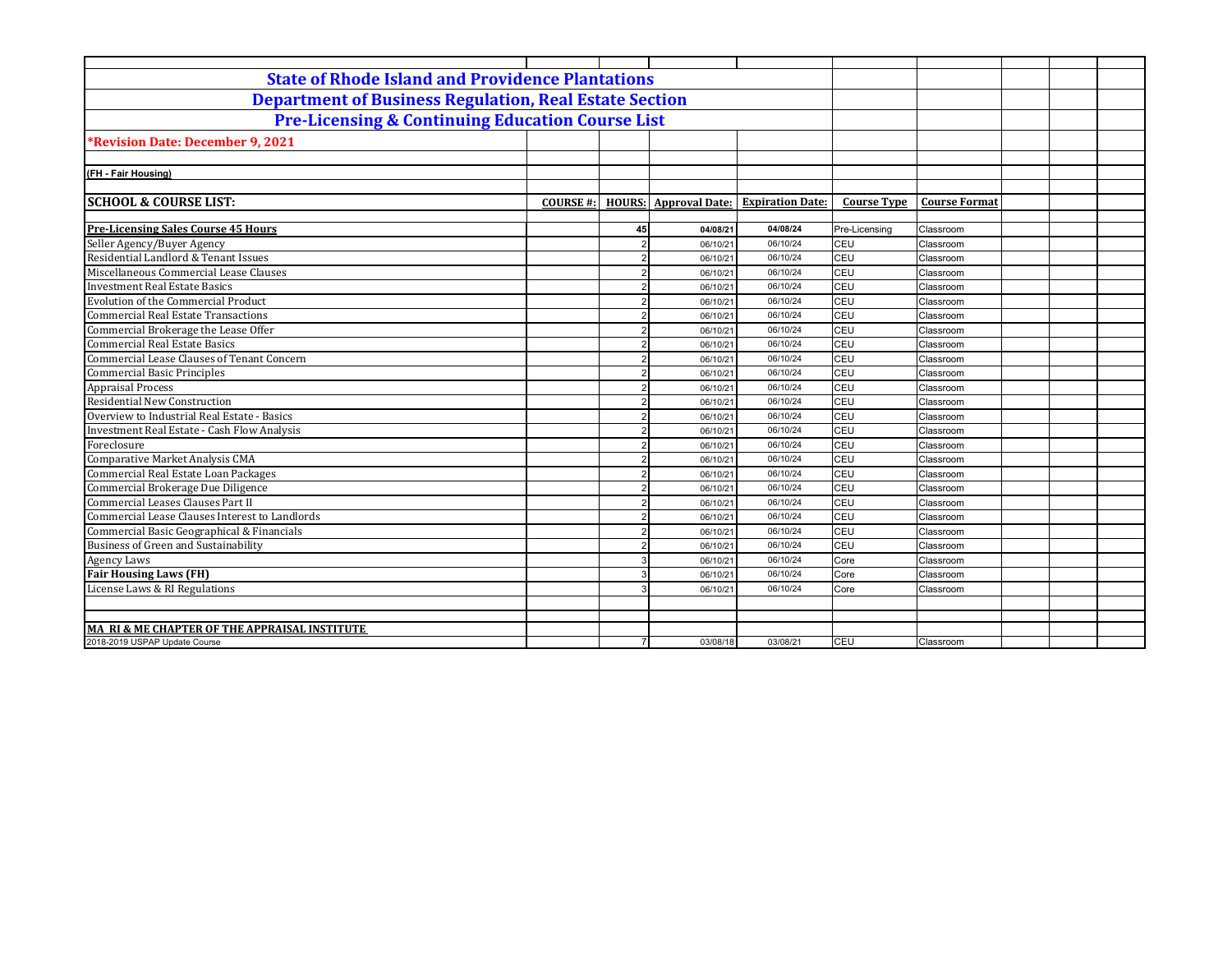| <b>State of Rhode Island and Providence Plantations</b>       |                                  |                       |                         |                    |                      |  |  |
|---------------------------------------------------------------|----------------------------------|-----------------------|-------------------------|--------------------|----------------------|--|--|
| <b>Department of Business Regulation, Real Estate Section</b> |                                  |                       |                         |                    |                      |  |  |
| <b>Pre-Licensing &amp; Continuing Education Course List</b>   |                                  |                       |                         |                    |                      |  |  |
| <b>*Revision Date: December 9, 2021</b>                       |                                  |                       |                         |                    |                      |  |  |
|                                                               |                                  |                       |                         |                    |                      |  |  |
| (FH - Fair Housing)                                           |                                  |                       |                         |                    |                      |  |  |
|                                                               |                                  |                       |                         |                    |                      |  |  |
| <b>SCHOOL &amp; COURSE LIST:</b>                              | <b>COURSE#:</b><br><b>HOURS:</b> | <b>Approval Date:</b> | <b>Expiration Date:</b> | <b>Course Type</b> | <b>Course Format</b> |  |  |
| <b>Pre-Licensing Sales Course 45 Hours</b>                    | 45                               | 04/08/21              | 04/08/24                | Pre-Licensing      | Classroom            |  |  |
| Seller Agency/Buyer Agency                                    |                                  | 06/10/21              | 06/10/24                | CEU                | Classroom            |  |  |
| Residential Landlord & Tenant Issues                          |                                  | 06/10/21              | 06/10/24                | CEU                | Classroom            |  |  |
| Miscellaneous Commercial Lease Clauses                        |                                  | 06/10/21              | 06/10/24                | CEU                | Classroom            |  |  |
| <b>Investment Real Estate Basics</b>                          |                                  | 06/10/21              | 06/10/24                | CEU                | Classroom            |  |  |
| <b>Evolution of the Commercial Product</b>                    |                                  | 06/10/21              | 06/10/24                | CEU                | Classroom            |  |  |
| <b>Commercial Real Estate Transactions</b>                    |                                  | 06/10/21              | 06/10/24                | CEU                | Classroom            |  |  |
| Commercial Brokerage the Lease Offer                          |                                  | 06/10/21              | 06/10/24                | CEU                | Classroom            |  |  |
| <b>Commercial Real Estate Basics</b>                          |                                  | 06/10/21              | 06/10/24                | CEU                | Classroom            |  |  |
| Commercial Lease Clauses of Tenant Concern                    |                                  | 06/10/21              | 06/10/24                | CEU                | Classroom            |  |  |
| <b>Commercial Basic Principles</b>                            |                                  | 06/10/21              | 06/10/24                | CEU                | Classroom            |  |  |
| <b>Appraisal Process<br/>Residential New Construction</b>     |                                  | 06/10/21              | 06/10/24                | CEU                | Classroom            |  |  |
|                                                               |                                  | 06/10/21              | 06/10/24                | CEU                | Classroom            |  |  |
| Overview to Industrial Real Estate - Basics                   |                                  | 06/10/21              | 06/10/24                | CEU                | Classroom            |  |  |
| <b>Investment Real Estate - Cash Flow Analysis</b>            |                                  | 06/10/21              | 06/10/24                | CEU                | Classroom            |  |  |
| Foreclosure                                                   |                                  | 06/10/21              | 06/10/24                | CEU                | Classroom            |  |  |
| Comparative Market Analysis CMA                               |                                  | 06/10/21              | 06/10/24                | CEU                | Classroom            |  |  |
| Commercial Real Estate Loan Packages                          |                                  | 06/10/21              | 06/10/24                | CEU                | Classroom            |  |  |
| Commercial Brokerage Due Diligence                            |                                  | 06/10/21              | 06/10/24                | CEU                | Classroom            |  |  |
| Commercial Leases Clauses Part II                             |                                  | 06/10/21              | 06/10/24                | CEU                | Classroom            |  |  |
| Commercial Lease Clauses Interest to Landlords                |                                  | 06/10/21              | 06/10/24                | CEU                | Classroom            |  |  |
| Commercial Basic Geographical & Financials                    |                                  | 06/10/21              | 06/10/24                | CEU                | Classroom            |  |  |
| Business of Green and Sustainability                          |                                  | 06/10/21              | 06/10/24                | CEU                | Classroom            |  |  |
| Agency Laws                                                   |                                  | 06/10/21              | 06/10/24                | Core               | Classroom            |  |  |
| <b>Fair Housing Laws (FH)</b>                                 |                                  | 06/10/21              | 06/10/24                | Core               | Classroom            |  |  |
| License Laws & RI Regulations                                 |                                  | 06/10/21              | 06/10/24                | Core               | Classroom            |  |  |
|                                                               |                                  |                       |                         |                    |                      |  |  |
|                                                               |                                  |                       |                         |                    |                      |  |  |
| MA RI & ME CHAPTER OF THE APPRAISAL INSTITUTE                 |                                  |                       |                         |                    |                      |  |  |
| 2018-2019 USPAP Update Course                                 | $\overline{7}$                   | 03/08/18              | 03/08/21                | CEU                | Classroom            |  |  |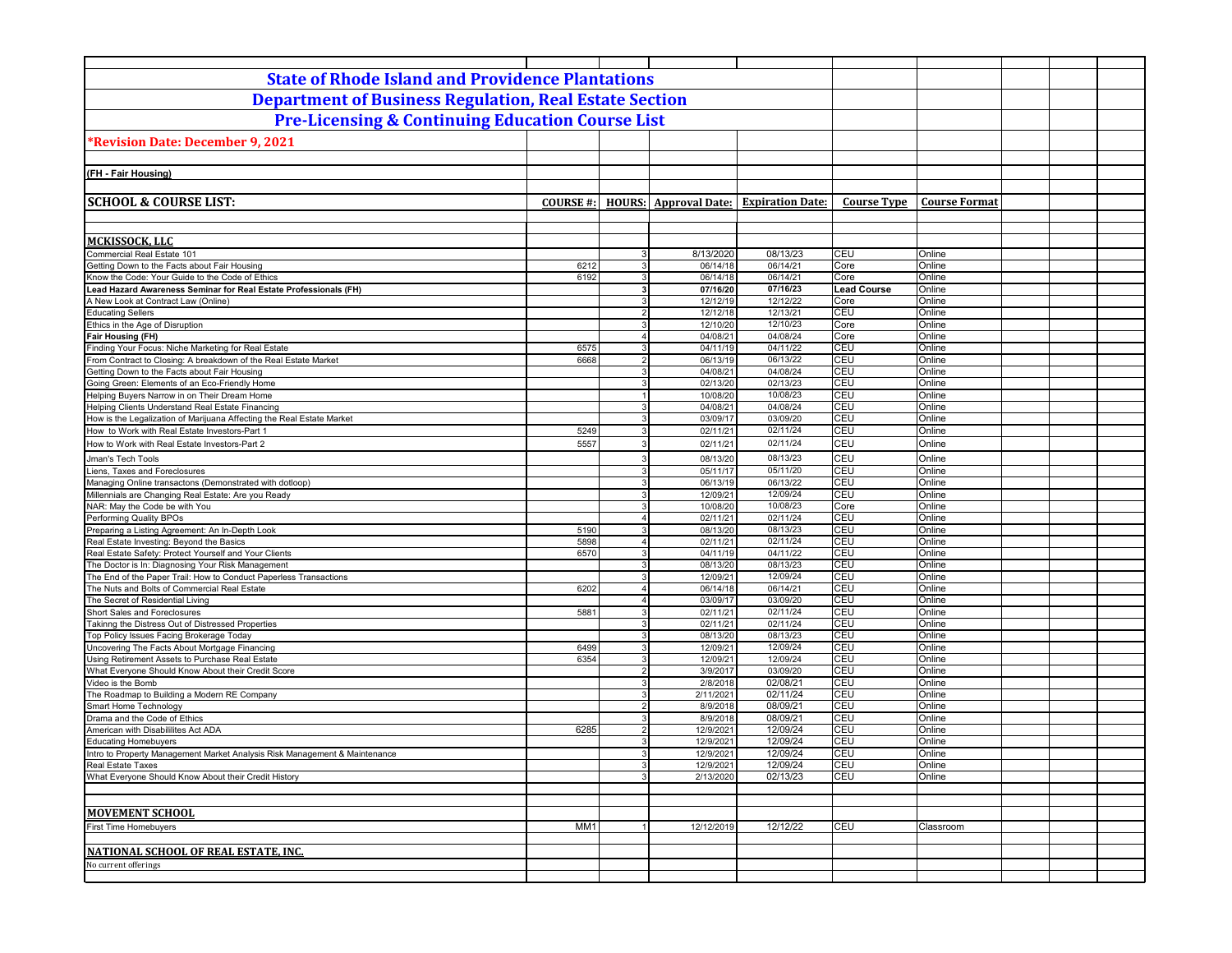| <b>State of Rhode Island and Providence Plantations</b>                                                        |                  |                                  |                              |                         |                    |                      |  |
|----------------------------------------------------------------------------------------------------------------|------------------|----------------------------------|------------------------------|-------------------------|--------------------|----------------------|--|
| <b>Department of Business Regulation, Real Estate Section</b>                                                  |                  |                                  |                              |                         |                    |                      |  |
|                                                                                                                |                  |                                  |                              |                         |                    |                      |  |
| <b>Pre-Licensing &amp; Continuing Education Course List</b>                                                    |                  |                                  |                              |                         |                    |                      |  |
| <b>Revision Date: December 9, 2021</b>                                                                         |                  |                                  |                              |                         |                    |                      |  |
|                                                                                                                |                  |                                  |                              |                         |                    |                      |  |
| (FH - Fair Housing)                                                                                            |                  |                                  |                              |                         |                    |                      |  |
|                                                                                                                |                  |                                  |                              |                         |                    |                      |  |
| <b>SCHOOL &amp; COURSE LIST:</b>                                                                               |                  |                                  |                              | <b>Expiration Date:</b> | <b>Course Type</b> | <b>Course Format</b> |  |
|                                                                                                                | <b>COURSE #:</b> |                                  | <b>HOURS:</b> Approval Date: |                         |                    |                      |  |
|                                                                                                                |                  |                                  |                              |                         |                    |                      |  |
| MCKISSOCK, LLC                                                                                                 |                  |                                  |                              |                         |                    |                      |  |
| Commercial Real Estate 101                                                                                     |                  | 3 <sup>1</sup>                   | 8/13/2020                    | 08/13/23                | <b>CEU</b>         | Online               |  |
| Getting Down to the Facts about Fair Housing                                                                   | 6212             | 3                                | 06/14/18                     | 06/14/21                | Core               | Online               |  |
| Know the Code: Your Guide to the Code of Ethics                                                                | 6192             | $\mathbf{3}$                     | 06/14/18                     | 06/14/21                | Core               | Online               |  |
| Lead Hazard Awareness Seminar for Real Estate Professionals (FH)                                               |                  | $\overline{\mathbf{3}}$          | 07/16/20                     | 07/16/23                | <b>Lead Course</b> | Online               |  |
| A New Look at Contract Law (Online)                                                                            |                  | $\overline{3}$                   | 12/12/19                     | 12/12/22                | Core               | Online               |  |
| <b>Educating Sellers</b>                                                                                       |                  | $\overline{2}$                   | 12/12/18                     | 12/13/21                | CEU                | Online               |  |
| Ethics in the Age of Disruption<br>Fair Housing (FH)                                                           |                  | $\overline{3}$<br>$\overline{4}$ | 12/10/20<br>04/08/21         | 12/10/23<br>04/08/24    | Core<br>Core       | Online<br>Online     |  |
| Finding Your Focus: Niche Marketing for Real Estate                                                            | 6575             | 3                                | 04/11/19                     | 04/11/22                | CEU                | Online               |  |
| From Contract to Closing: A breakdown of the Real Estate Market                                                | 6668             | $\overline{2}$                   | 06/13/19                     | 06/13/22                | <b>CEU</b>         | Online               |  |
| Getting Down to the Facts about Fair Housing                                                                   |                  | $\mathbf{3}$                     | 04/08/21                     | 04/08/24                | CEU                | Online               |  |
| Going Green: Elements of an Eco-Friendly Home                                                                  |                  | 3                                | 02/13/20                     | 02/13/23                | CEU                | Online               |  |
| Helping Buyers Narrow in on Their Dream Home                                                                   |                  | $\mathbf{1}$                     | 10/08/20                     | 10/08/23                | CEU                | Online               |  |
| Helping Clients Understand Real Estate Financing                                                               |                  | 3                                | 04/08/21                     | 04/08/24                | CEU                | Online               |  |
| How is the Legalization of Marijuana Affecting the Real Estate Market                                          |                  | 3                                | 03/09/17                     | 03/09/20                | CEU                | Online               |  |
| How to Work with Real Estate Investors-Part 1                                                                  | 5249             | 3                                | 02/11/21                     | 02/11/24                | CEU                | Online               |  |
| How to Work with Real Estate Investors-Part 2                                                                  | 5557             | 3                                | 02/11/21                     | 02/11/24                | <b>CEU</b>         | Online               |  |
| Jman's Tech Tools                                                                                              |                  | 3                                | 08/13/20                     | 08/13/23                | CEU                | Online               |  |
| Liens, Taxes and Foreclosures                                                                                  |                  | 3                                | 05/11/17                     | 05/11/20                | CEU<br>CEU         | Online               |  |
| Managing Online transactons (Demonstrated with dotloop)<br>Millennials are Changing Real Estate: Are you Ready |                  | 3<br>3                           | 06/13/19<br>12/09/21         | 06/13/22<br>12/09/24    | CEU                | Online<br>Online     |  |
| NAR: May the Code be with You                                                                                  |                  | $\mathbf{3}$                     | 10/08/20                     | 10/08/23                | Core               | Online               |  |
| Performing Quality BPOs                                                                                        |                  | $\overline{4}$                   | 02/11/21                     | 02/11/24                | CEU                | Online               |  |
| Preparing a Listing Agreement: An In-Depth Look                                                                | 5190             | $\overline{3}$                   | 08/13/20                     | 08/13/23                | CEU                | Online               |  |
| Real Estate Investing: Beyond the Basics                                                                       | 5898             | $\overline{4}$                   | 02/11/21                     | 02/11/24                | CEU                | Online               |  |
| Real Estate Safety: Protect Yourself and Your Clients                                                          | 6570             | $\overline{3}$                   | 04/11/19                     | 04/11/22                | CEU                | Online               |  |
| The Doctor is In: Diagnosing Your Risk Management                                                              |                  | 3                                | 08/13/20                     | 08/13/23                | <b>CEU</b>         | Online               |  |
| The End of the Paper Trail: How to Conduct Paperless Transactions                                              |                  | $\overline{3}$                   | 12/09/21                     | 12/09/24<br>06/14/21    | CEU<br>CEU         | Online               |  |
| The Nuts and Bolts of Commercial Real Estate<br>The Secret of Residential Living                               | 6202             | $\overline{4}$<br>$\Delta$       | 06/14/18<br>03/09/17         | 03/09/20                | CEU                | Online<br>Online     |  |
| Short Sales and Foreclosures                                                                                   | 5881             | 3                                | 02/11/21                     | 02/11/24                | CEU                | Online               |  |
| Takinng the Distress Out of Distressed Properties                                                              |                  | 3                                | 02/11/21                     | 02/11/24                | CEU                | Online               |  |
| Top Policy Issues Facing Brokerage Today                                                                       |                  | 3                                | 08/13/20                     | 08/13/23                | CEU                | Online               |  |
| Uncovering The Facts About Mortgage Financing                                                                  | 6499             | 3                                | 12/09/21                     | 12/09/24                | CEU                | Online               |  |
| Using Retirement Assets to Purchase Real Estate                                                                | 6354             | $\overline{3}$                   | 12/09/21                     | 12/09/24                | CEU                | Online               |  |
| What Everyone Should Know About their Credit Score                                                             |                  | $\overline{2}$                   | 3/9/2017                     | 03/09/20                | CEU                | Online               |  |
| Video is the Bomb                                                                                              |                  | $\mathbf{3}$<br>3                | 2/8/2018<br>2/11/2021        | 02/08/21<br>02/11/24    | CEU<br>CEU         | Online               |  |
| The Roadmap to Building a Modern RE Company<br>Smart Home Technology                                           |                  | $2 \vert$                        | 8/9/2018                     | 08/09/21                | CEU                | Online<br>Online     |  |
| Drama and the Code of Ethics                                                                                   |                  | 3                                | 8/9/2018                     | 08/09/21                | CEU                | Online               |  |
| American with Disabililites Act ADA                                                                            | 6285             | $\overline{2}$                   | 12/9/2021                    | 12/09/24                | CEU                | Online               |  |
| <b>Educating Homebuyers</b>                                                                                    |                  | 3                                | 12/9/2021                    | 12/09/24                | CEU                | Online               |  |
| Intro to Property Management Market Analysis Risk Management & Maintenance                                     |                  | $\mathbf{3}$                     | 12/9/2021                    | 12/09/24                | CEU                | Online               |  |
| Real Estate Taxes                                                                                              |                  | $\mathbf{3}$                     | 12/9/2021                    | 12/09/24                | CEU                | Online               |  |
| What Everyone Should Know About their Credit History                                                           |                  | $\overline{3}$                   | 2/13/2020                    | 02/13/23                | CEU                | Online               |  |
|                                                                                                                |                  |                                  |                              |                         |                    |                      |  |
| <b>MOVEMENT SCHOOL</b>                                                                                         |                  |                                  |                              |                         |                    |                      |  |
| <b>First Time Homebuyers</b>                                                                                   | MM1              |                                  | 12/12/2019                   | 12/12/22                | CEU                |                      |  |
|                                                                                                                |                  |                                  |                              |                         |                    | Classroom            |  |
| NATIONAL SCHOOL OF REAL ESTATE, INC.                                                                           |                  |                                  |                              |                         |                    |                      |  |
| No current offerings                                                                                           |                  |                                  |                              |                         |                    |                      |  |
|                                                                                                                |                  |                                  |                              |                         |                    |                      |  |
|                                                                                                                |                  |                                  |                              |                         |                    |                      |  |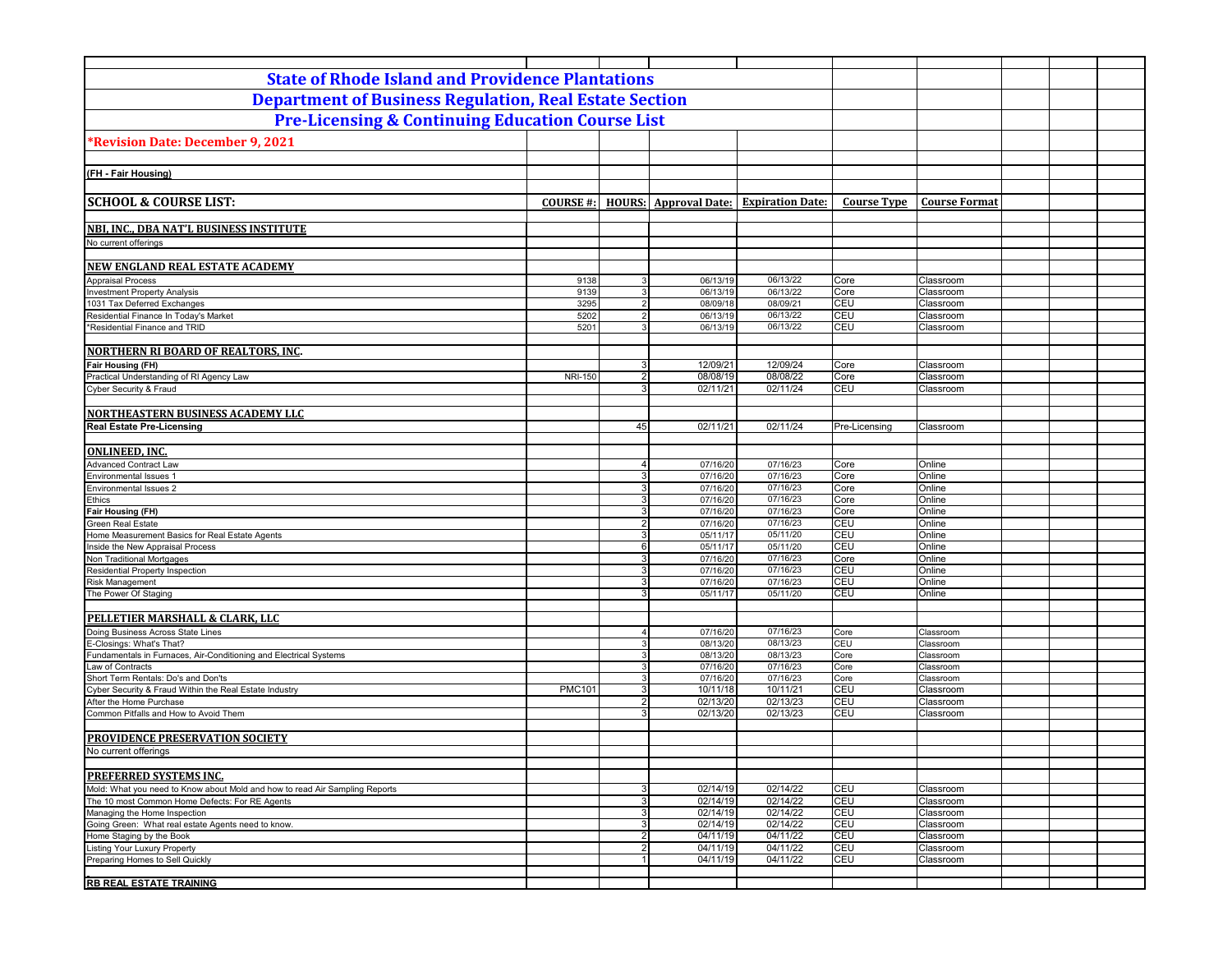| <b>State of Rhode Island and Providence Plantations</b>                            |                 |                                  |                              |                         |                    |                        |  |  |
|------------------------------------------------------------------------------------|-----------------|----------------------------------|------------------------------|-------------------------|--------------------|------------------------|--|--|
| <b>Department of Business Regulation, Real Estate Section</b>                      |                 |                                  |                              |                         |                    |                        |  |  |
| <b>Pre-Licensing &amp; Continuing Education Course List</b>                        |                 |                                  |                              |                         |                    |                        |  |  |
| *Revision Date: December 9, 2021                                                   |                 |                                  |                              |                         |                    |                        |  |  |
|                                                                                    |                 |                                  |                              |                         |                    |                        |  |  |
| (FH - Fair Housing)                                                                |                 |                                  |                              |                         |                    |                        |  |  |
|                                                                                    |                 |                                  |                              |                         |                    |                        |  |  |
| <b>SCHOOL &amp; COURSE LIST:</b>                                                   | <b>COURSE#:</b> |                                  | <b>HOURS:</b> Approval Date: | <b>Expiration Date:</b> | <b>Course Type</b> | <b>Course Format</b>   |  |  |
|                                                                                    |                 |                                  |                              |                         |                    |                        |  |  |
| NBI, INC., DBA NAT'L BUSINESS INSTITUTE                                            |                 |                                  |                              |                         |                    |                        |  |  |
| No current offerings                                                               |                 |                                  |                              |                         |                    |                        |  |  |
| NEW ENGLAND REAL ESTATE ACADEMY                                                    |                 |                                  |                              |                         |                    |                        |  |  |
| <b>Appraisal Process</b>                                                           | 9138            | $\overline{3}$                   | 06/13/19                     | 06/13/22                | Core               | Classroom              |  |  |
| <b>Investment Property Analysis</b>                                                | 9139            | 3                                | 06/13/19                     | 06/13/22                | Core               | Classroom              |  |  |
| 1031 Tax Deferred Exchanges                                                        | 3295            | $\overline{2}$                   | 08/09/18                     | 08/09/21                | CEU                | Classroom              |  |  |
| Residential Finance In Today's Market                                              | 5202            | $\overline{2}$                   | 06/13/19                     | 06/13/22                | CEU                | Classroom              |  |  |
| *Residential Finance and TRID                                                      | 5201            | $\mathbf{3}$                     | 06/13/19                     | 06/13/22                | CEU                | Classroom              |  |  |
| <b>NORTHERN RI BOARD OF REALTORS, INC.</b>                                         |                 |                                  |                              |                         |                    |                        |  |  |
| Fair Housing (FH)                                                                  |                 | $\mathbf{3}$                     | 12/09/21                     | 12/09/24                | Core               | Classroom              |  |  |
| Practical Understanding of RI Agency Law                                           | <b>NRI-150</b>  | 2 <sup>1</sup>                   | 08/08/19                     | 08/08/22                | Core               | Classroom              |  |  |
| Cyber Security & Fraud                                                             |                 | 3                                | 02/11/21                     | 02/11/24                | CEU                | Classroom              |  |  |
|                                                                                    |                 |                                  |                              |                         |                    |                        |  |  |
| <b>NORTHEASTERN BUSINESS ACADEMY LLC</b>                                           |                 |                                  |                              |                         |                    |                        |  |  |
| <b>Real Estate Pre-Licensing</b>                                                   |                 | 45                               | 02/11/21                     | 02/11/24                | Pre-Licensing      | Classroom              |  |  |
|                                                                                    |                 |                                  |                              |                         |                    |                        |  |  |
| <b>ONLINEED, INC.</b>                                                              |                 |                                  |                              |                         |                    |                        |  |  |
| <b>Advanced Contract Law</b>                                                       |                 | 4 <sup>1</sup>                   | 07/16/20                     | 07/16/23                | Core               | Online                 |  |  |
| Environmental Issues 1                                                             |                 | 3 <sup>1</sup>                   | 07/16/20                     | 07/16/23                | Core               | Online                 |  |  |
| <b>Environmental Issues 2</b>                                                      |                 | $3 \mid$                         | 07/16/20                     | 07/16/23                | Core               | Online                 |  |  |
| Ethics                                                                             |                 | 3 <sup>1</sup>                   | 07/16/20                     | 07/16/23                | Core               | Online                 |  |  |
| Fair Housing (FH)                                                                  |                 | 3 <sup>1</sup>                   | 07/16/20                     | 07/16/23                | Core               | Online                 |  |  |
| <b>Green Real Estate</b><br>Home Measurement Basics for Real Estate Agents         |                 | 2 <sup>1</sup><br>3 <sup>1</sup> | 07/16/20                     | 07/16/23<br>05/11/20    | CEU<br>CEU         | Online<br>Online       |  |  |
| Inside the New Appraisal Process                                                   |                 | 6                                | 05/11/17<br>05/11/17         | 05/11/20                | CEU                | Online                 |  |  |
| Non Traditional Mortgages                                                          |                 | 3 <sup>1</sup>                   | 07/16/20                     | 07/16/23                | Core               | Online                 |  |  |
| Residential Property Inspection                                                    |                 | 3                                | 07/16/20                     | 07/16/23                | CEU                | Online                 |  |  |
| <b>Risk Management</b>                                                             |                 | $\overline{3}$                   | 07/16/20                     | 07/16/23                | CEU                | Online                 |  |  |
| The Power Of Staging                                                               |                 | 3                                | 05/11/17                     | 05/11/20                | CEU                | Online                 |  |  |
|                                                                                    |                 |                                  |                              |                         |                    |                        |  |  |
| PELLETIER MARSHALL & CLARK, LLC                                                    |                 |                                  |                              |                         |                    |                        |  |  |
| Doing Business Across State Lines                                                  |                 | $\overline{4}$                   | 07/16/20                     | 07/16/23                | Core               | Classroom              |  |  |
| E<br>-Closings: What's That?                                                       |                 | 3 <sup>1</sup>                   | 08/13/20                     | 08/13/23                | CEU                | Classroom              |  |  |
| Fundamentals in Furnaces, Air-Conditioning and Electrical Systems                  |                 | 3 <sup>1</sup><br>$\mathbf{3}$   | 08/13/20                     | 08/13/23                | Core               | Classroom              |  |  |
| Law of Contracts<br>Short Term Rentals: Do's and Don'ts                            |                 | 3                                | 07/16/20<br>07/16/20         | 07/16/23<br>07/16/23    | Core<br>Core       | Classroom<br>Classroom |  |  |
| Cyber Security & Fraud Within the Real Estate Industry                             | <b>PMC101</b>   | 3 <sup>1</sup>                   | 10/11/18                     | 10/11/21                | CEU                | Classroom              |  |  |
| After the Home Purchase                                                            |                 | $\overline{2}$                   | 02/13/20                     | 02/13/23                | CEU                | Classroom              |  |  |
| Common Pitfalls and How to Avoid Them                                              |                 | $\mathbf{3}$                     | 02/13/20                     | 02/13/23                | CEU                | Classroom              |  |  |
|                                                                                    |                 |                                  |                              |                         |                    |                        |  |  |
| PROVIDENCE PRESERVATION SOCIETY                                                    |                 |                                  |                              |                         |                    |                        |  |  |
| No current offerings                                                               |                 |                                  |                              |                         |                    |                        |  |  |
|                                                                                    |                 |                                  |                              |                         |                    |                        |  |  |
| <b>PREFERRED SYSTEMS INC.</b>                                                      |                 |                                  |                              |                         |                    |                        |  |  |
| Mold: What you need to Know about Mold and how to read Air Sampling Reports        |                 | 3 <sup>1</sup>                   | 02/14/19                     | 02/14/22                | CEU                | Classroom              |  |  |
| The 10 most Common Home Defects: For RE Agents                                     |                 | 3 <br>3 <sup>1</sup>             | 02/14/19                     | 02/14/22                | CEU<br>CEU         | Classroom              |  |  |
| Managing the Home Inspection<br>Going Green: What real estate Agents need to know. |                 | 3                                | 02/14/19<br>02/14/19         | 02/14/22<br>02/14/22    | CEU                | Classroom<br>Classroom |  |  |
| Home Staging by the Book                                                           |                 | 2 <sub>1</sub>                   | 04/11/19                     | 04/11/22                | CEU                | Classroom              |  |  |
| <b>Listing Your Luxury Property</b>                                                |                 | 2                                | 04/11/19                     | 04/11/22                | CEU                | Classroom              |  |  |
| Preparing Homes to Sell Quickly                                                    |                 |                                  | 04/11/19                     | 04/11/22                | CEU                | Classroom              |  |  |
|                                                                                    |                 |                                  |                              |                         |                    |                        |  |  |
| <b>RB REAL ESTATE TRAINING</b>                                                     |                 |                                  |                              |                         |                    |                        |  |  |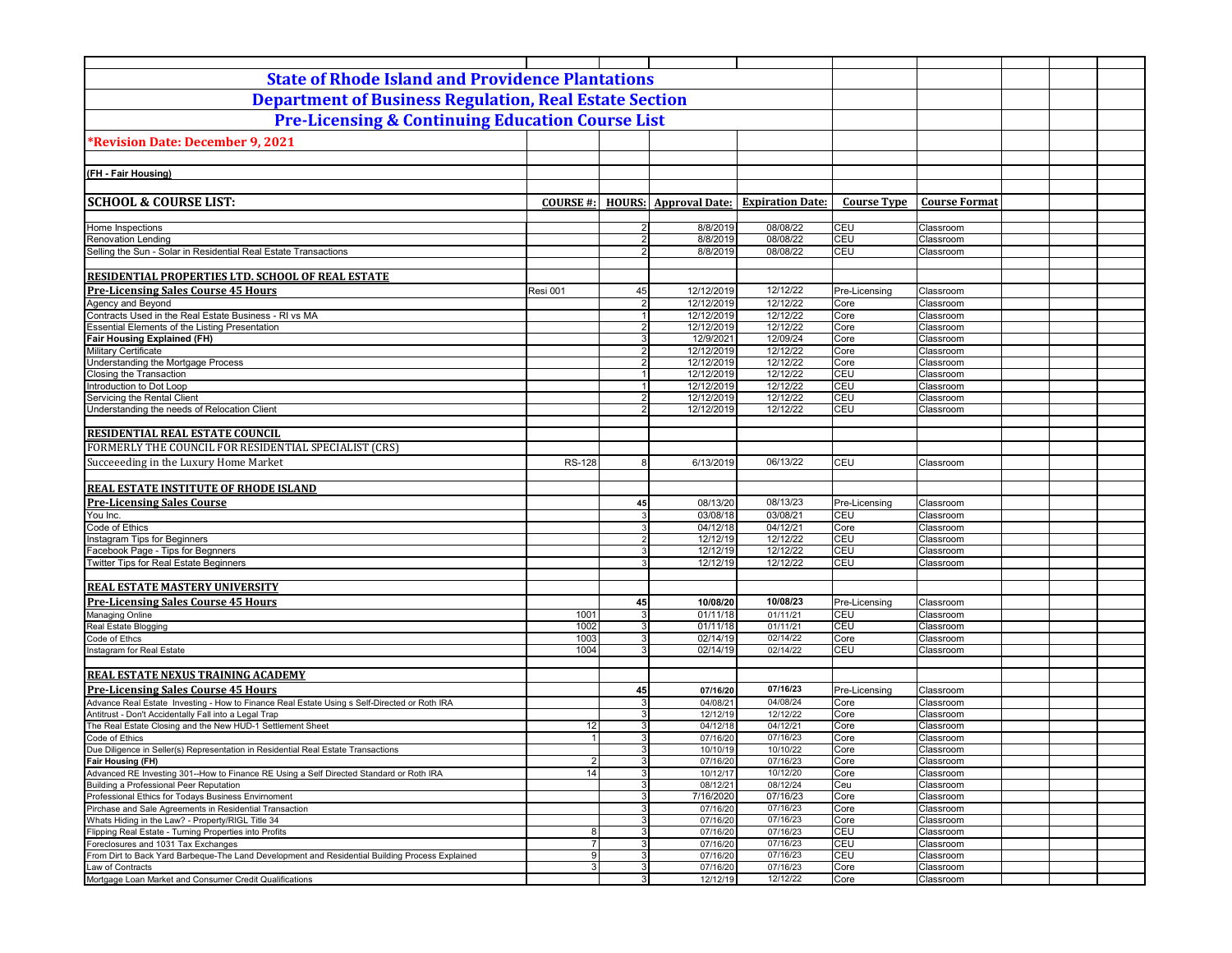| <b>State of Rhode Island and Providence Plantations</b>                                             |                  |                                  |                              |                         |                    |                        |  |
|-----------------------------------------------------------------------------------------------------|------------------|----------------------------------|------------------------------|-------------------------|--------------------|------------------------|--|
| <b>Department of Business Regulation, Real Estate Section</b>                                       |                  |                                  |                              |                         |                    |                        |  |
| <b>Pre-Licensing &amp; Continuing Education Course List</b>                                         |                  |                                  |                              |                         |                    |                        |  |
| *Revision Date: December 9, 2021                                                                    |                  |                                  |                              |                         |                    |                        |  |
|                                                                                                     |                  |                                  |                              |                         |                    |                        |  |
| (FH - Fair Housing)                                                                                 |                  |                                  |                              |                         |                    |                        |  |
|                                                                                                     |                  |                                  |                              |                         |                    |                        |  |
| <b>SCHOOL &amp; COURSE LIST:</b>                                                                    | <b>COURSE #:</b> |                                  | <b>HOURS:</b> Approval Date: | <b>Expiration Date:</b> | <b>Course Type</b> | <b>Course Format</b>   |  |
|                                                                                                     |                  |                                  |                              |                         |                    |                        |  |
| Home Inspections<br><b>Renovation Lending</b>                                                       |                  | $\overline{2}$<br>$2 \vert$      | 8/8/2019<br>8/8/2019         | 08/08/22<br>08/08/22    | CEU<br><b>CEU</b>  | Classroom<br>Classroom |  |
| Selling the Sun - Solar in Residential Real Estate Transactions                                     |                  | $\overline{2}$                   | 8/8/2019                     | 08/08/22                | CEU                | Classroom              |  |
|                                                                                                     |                  |                                  |                              |                         |                    |                        |  |
| RESIDENTIAL PROPERTIES LTD. SCHOOL OF REAL ESTATE                                                   |                  |                                  |                              |                         |                    |                        |  |
| <b>Pre-Licensing Sales Course 45 Hours</b>                                                          | Resi 001         | 45                               | 12/12/2019                   | 12/12/22                | Pre-Licensing      | Classroom              |  |
| Agency and Beyond                                                                                   |                  | $\overline{2}$                   | 12/12/2019                   | 12/12/22                | Core               | Classroom              |  |
| Contracts Used in the Real Estate Business - RI vs MA                                               |                  | 1                                | 12/12/2019                   | 12/12/22                | Core               | Classroom              |  |
| Essential Elements of the Listing Presentation                                                      |                  | $\overline{2}$                   | 12/12/2019                   | 12/12/22                | Core               | Classroom              |  |
| <b>Fair Housing Explained (FH)</b>                                                                  |                  | 3 <sup>1</sup>                   | 12/9/2021                    | 12/09/24                | Core               | Classroom              |  |
| <b>Military Certificate</b><br>Understanding the Mortgage Process                                   |                  | $\overline{2}$<br>$\overline{2}$ | 12/12/2019<br>12/12/2019     | 12/12/22<br>12/12/22    | Core<br>Core       | Classroom<br>Classroom |  |
| Closing the Transaction                                                                             |                  | 1                                | 12/12/2019                   | 12/12/22                | CEU                | Classroom              |  |
| Introduction to Dot Loop                                                                            |                  | 1                                | 12/12/2019                   | 12/12/22                | CEU                | Classroom              |  |
| Servicing the Rental Client                                                                         |                  | $\overline{2}$                   | 12/12/2019                   | 12/12/22                | <b>CEU</b>         | Classroom              |  |
| Understanding the needs of Relocation Client                                                        |                  | $\overline{2}$                   | 12/12/2019                   | 12/12/22                | CEU                | Classroom              |  |
|                                                                                                     |                  |                                  |                              |                         |                    |                        |  |
| RESIDENTIAL REAL ESTATE COUNCIL                                                                     |                  |                                  |                              |                         |                    |                        |  |
| FORMERLY THE COUNCIL FOR RESIDENTIAL SPECIALIST (CRS)                                               |                  |                                  |                              |                         |                    |                        |  |
| Succeeeding in the Luxury Home Market                                                               | <b>RS-128</b>    | 8                                | 6/13/2019                    | 06/13/22                | <b>CEU</b>         | Classroom              |  |
|                                                                                                     |                  |                                  |                              |                         |                    |                        |  |
| <b>REAL ESTATE INSTITUTE OF RHODE ISLAND</b>                                                        |                  |                                  |                              |                         |                    |                        |  |
| <b>Pre-Licensing Sales Course</b>                                                                   |                  | 45                               | 08/13/20                     | 08/13/23                | Pre-Licensing      | Classroom              |  |
| You Inc.                                                                                            |                  | $\mathbf{3}$                     | 03/08/18                     | 03/08/21                | CEU                | Classroom              |  |
| Code of Ethics                                                                                      |                  | 3                                | 04/12/18                     | 04/12/21                | Core               | Classroom              |  |
| Instagram Tips for Beginners                                                                        |                  | $2 \vert$                        | 12/12/19                     | 12/12/22                | CEU                | Classroom              |  |
| Facebook Page - Tips for Begnners                                                                   |                  | $\overline{3}$                   | 12/12/19                     | 12/12/22                | <b>CEU</b>         | Classroom              |  |
| Twitter Tips for Real Estate Beginners                                                              |                  | $\overline{3}$                   | 12/12/19                     | 12/12/22                | CEU                | Classroom              |  |
| <b>REAL ESTATE MASTERY UNIVERSITY</b>                                                               |                  |                                  |                              |                         |                    |                        |  |
| <b>Pre-Licensing Sales Course 45 Hours</b>                                                          |                  | 45                               | 10/08/20                     | 10/08/23                | Pre-Licensing      | Classroom              |  |
| Managing Online                                                                                     | 1001             | 3                                | 01/11/18                     | 01/11/21                | CEU                | Classroom              |  |
| Real Estate Blogging                                                                                | 1002             | 3                                | 01/11/18                     | 01/11/21                | CEU                | Classroom              |  |
| Code of Ethcs                                                                                       | 1003             | 3                                | 02/14/19                     | 02/14/22                | Core               | Classroom              |  |
| Instagram for Real Estate                                                                           | 1004             | 3                                | 02/14/19                     | 02/14/22                | <b>CEU</b>         | Classroom              |  |
|                                                                                                     |                  |                                  |                              |                         |                    |                        |  |
| <b>REAL ESTATE NEXUS TRAINING ACADEMY</b>                                                           |                  |                                  |                              |                         |                    |                        |  |
| <b>Pre-Licensing Sales Course 45 Hours</b>                                                          |                  | 45                               | 07/16/20                     | 07/16/23                | Pre-Licensing      | Classroom              |  |
| Advance Real Estate Investing - How to Finance Real Estate Using s Self-Directed or Roth IRA        |                  | 3                                | 04/08/21                     | 04/08/24                | Core               | Classroom              |  |
| Antitrust - Don't Accidentally Fall into a Legal Trap                                               |                  | 3 <sup>1</sup>                   | 12/12/19                     | 12/12/22                | Core               | Classroom              |  |
| The Real Estate Closing and the New HUD-1 Settlement Sheet                                          | 12               | 3 <sup>1</sup>                   | 04/12/18                     | 04/12/21                | Core               | Classroom              |  |
| Code of Ethics<br>Due Diligence in Seller(s) Representation in Residential Real Estate Transactions |                  | $\overline{3}$<br>3 <sup>1</sup> | 07/16/20<br>10/10/19         | 07/16/23<br>10/10/22    | Core<br>Core       | Classroom<br>Classroom |  |
| Fair Housing (FH)                                                                                   | $\overline{2}$   | 3 <sup>1</sup>                   | 07/16/20                     | 07/16/23                | Core               | Classroom              |  |
| Advanced RE Investing 301--How to Finance RE Using a Self Directed Standard or Roth IRA             | 14               | 3 <sup>1</sup>                   | 10/12/17                     | 10/12/20                | Core               | Classroom              |  |
| Building a Professional Peer Reputation                                                             |                  | 3 <sup>1</sup>                   | 08/12/21                     | 08/12/24                | Ceu                | Classroom              |  |
| Professional Ethics for Todays Business Envirnoment                                                 |                  | 3 <sup>1</sup>                   | 7/16/2020                    | 07/16/23                | Core               | Classroom              |  |
| Pirchase and Sale Agreements in Residential Transaction                                             |                  | 3 <sup>1</sup>                   | 07/16/20                     | 07/16/23                | Core               | Classroom              |  |
| Whats Hiding in the Law? - Property/RIGL Title 34                                                   |                  | 3 <sup>1</sup>                   | 07/16/20                     | 07/16/23                | Core               | Classroom              |  |
| Flipping Real Estate - Turning Properties into Profits                                              | 8 <sup>1</sup>   | 3                                | 07/16/20                     | 07/16/23                | CEU                | Classroom              |  |
| Foreclosures and 1031 Tax Exchanges                                                                 | 7 <sup>1</sup>   | 3 <sup>1</sup>                   | 07/16/20                     | 07/16/23                | CEU                | Classroom              |  |
| From Dirt to Back Yard Barbeque-The Land Development and Residential Building Process Explained     | $9 \mid$         | 3 <sup>1</sup>                   | 07/16/20                     | 07/16/23<br>07/16/23    | CEU                | Classroom              |  |
| Law of Contracts<br>Mortgage Loan Market and Consumer Credit Qualifications                         | 3 <sup>1</sup>   | 3 <sup>1</sup><br>3 <sup>1</sup> | 07/16/20<br>12/12/19         | 12/12/22                | Core<br>Core       | Classroom<br>Classroom |  |
|                                                                                                     |                  |                                  |                              |                         |                    |                        |  |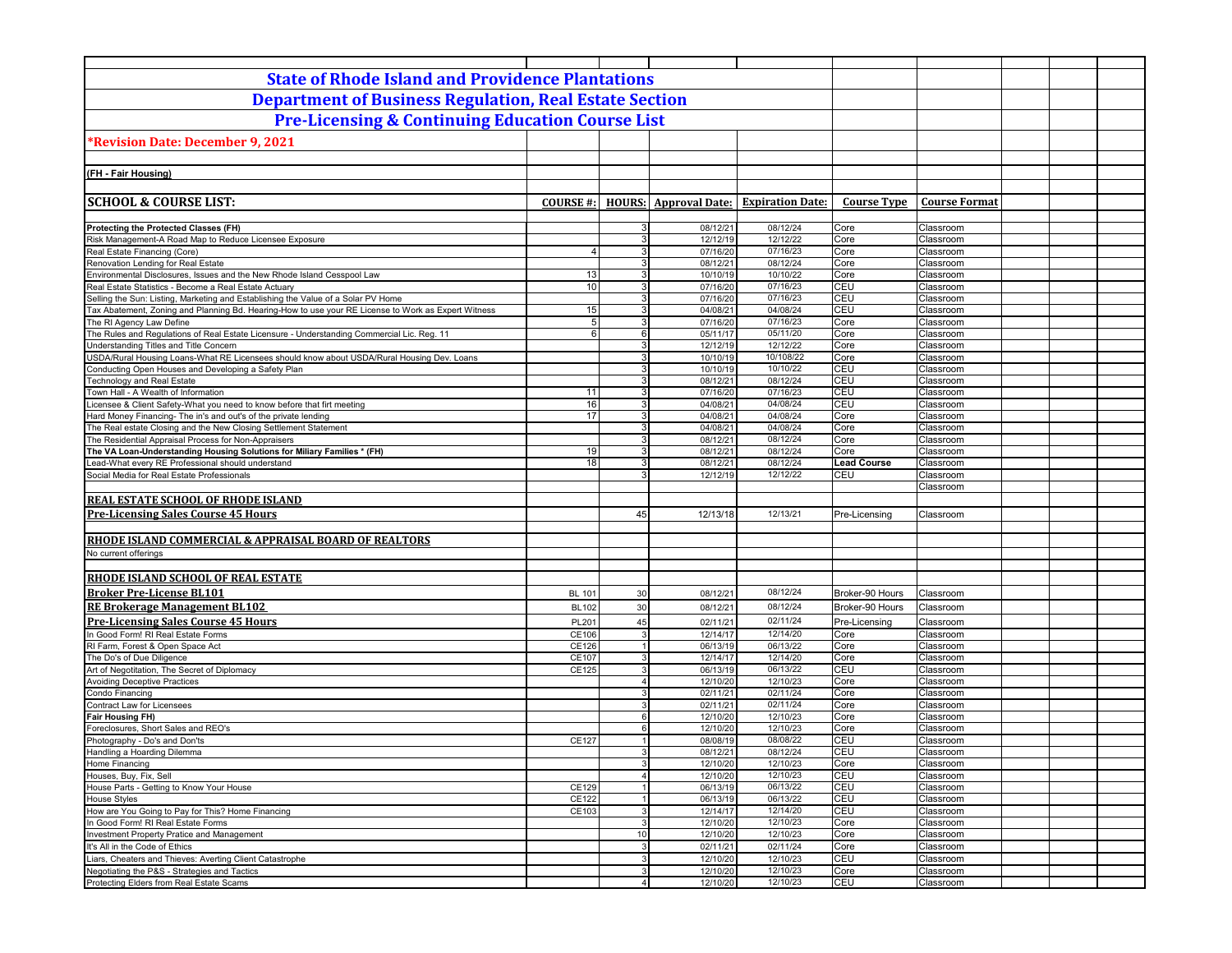| <b>State of Rhode Island and Providence Plantations</b>                                                                                    |                  |                     |                              |                         |                    |                        |  |
|--------------------------------------------------------------------------------------------------------------------------------------------|------------------|---------------------|------------------------------|-------------------------|--------------------|------------------------|--|
| <b>Department of Business Regulation, Real Estate Section</b>                                                                              |                  |                     |                              |                         |                    |                        |  |
| <b>Pre-Licensing &amp; Continuing Education Course List</b>                                                                                |                  |                     |                              |                         |                    |                        |  |
| <b>Revision Date: December 9, 2021</b>                                                                                                     |                  |                     |                              |                         |                    |                        |  |
|                                                                                                                                            |                  |                     |                              |                         |                    |                        |  |
| (FH - Fair Housing)                                                                                                                        |                  |                     |                              |                         |                    |                        |  |
|                                                                                                                                            |                  |                     |                              |                         |                    |                        |  |
| <b>SCHOOL &amp; COURSE LIST:</b>                                                                                                           | <b>COURSE #:</b> |                     | <b>HOURS:</b> Approval Date: | <b>Expiration Date:</b> | <b>Course Type</b> | <b>Course Format</b>   |  |
|                                                                                                                                            |                  |                     |                              |                         |                    |                        |  |
| Protecting the Protected Classes (FH)                                                                                                      |                  | 3                   | 08/12/21                     | 08/12/24                | Core               | Classroom              |  |
| Risk Management-A Road Map to Reduce Licensee Exposure<br>Real Estate Financing (Core)                                                     | $\overline{4}$   | 3<br>3 <sup>1</sup> | 12/12/19<br>07/16/20         | 12/12/22<br>07/16/23    | Core<br>Core       | Classroom<br>Classroom |  |
| Renovation Lending for Real Estate                                                                                                         |                  | 3 <sup>1</sup>      | 08/12/21                     | 08/12/24                | Core               | Classroom              |  |
| Environmental Disclosures, Issues and the New Rhode Island Cesspool Law                                                                    | 13               | 3 <sup>1</sup>      | 10/10/19                     | 10/10/22                | Core               | Classroom              |  |
| Real Estate Statistics - Become a Real Estate Actuary                                                                                      | 10               | 3 <sup>1</sup>      | 07/16/20                     | 07/16/23                | CEU                | Classroom              |  |
| Selling the Sun: Listing, Marketing and Establishing the Value of a Solar PV Home                                                          |                  | 3 <sup>1</sup>      | 07/16/20                     | 07/16/23                | CEU                | Classroom              |  |
| Tax Abatement, Zoning and Planning Bd. Hearing-How to use your RE License to Work as Expert Witness                                        | 15               | 3 <sup>1</sup>      | 04/08/21                     | 04/08/24                | CEU                | Classroom              |  |
| The RI Agency Law Define                                                                                                                   | 5                | 3 <sup>1</sup>      | 07/16/20                     | 07/16/23                | Core               | Classroom              |  |
| The Rules and Regulations of Real Estate Licensure - Understanding Commercial Lic. Reg. 11                                                 | 6                | $6 \mid$            | 05/11/17                     | 05/11/20                | Core               | Classroom              |  |
| Understanding Titles and Title Concern                                                                                                     |                  | 3 <sup>1</sup>      | 12/12/19                     | 12/12/22                | Core               | Classroom              |  |
| USDA/Rural Housing Loans-What RE Licensees should know about USDA/Rural Housing Dev. Loans                                                 |                  | 3 <sup>1</sup>      | 10/10/19                     | 10/108/22               | Core               | Classroom              |  |
| Conducting Open Houses and Developing a Safety Plan                                                                                        |                  | 3                   | 10/10/19                     | 10/10/22                | CEU                | Classroom              |  |
| Technology and Real Estate                                                                                                                 |                  | $\overline{3}$      | 08/12/21                     | 08/12/24                | CEU                | Classroom              |  |
| Town Hall - A Wealth of Information                                                                                                        | 11               | 3                   | 07/16/20                     | 07/16/23                | <b>CEU</b>         | Classroom              |  |
| Licensee & Client Safety-What you need to know before that firt meeting<br>Hard Money Financing- The in's and out's of the private lending | 16<br>17         | 3 <sup>1</sup><br>3 | 04/08/21<br>04/08/21         | 04/08/24<br>04/08/24    | <b>CEU</b><br>Core | Classroom              |  |
| The Real estate Closing and the New Closing Settlement Statement                                                                           |                  | 3 <sup>1</sup>      | 04/08/21                     | 04/08/24                | Core               | Classroom<br>Classroom |  |
| The Residential Appraisal Process for Non-Appraisers                                                                                       |                  | 3                   | 08/12/21                     | 08/12/24                | Core               | Classroom              |  |
| The VA Loan-Understanding Housing Solutions for Miliary Families * (FH)                                                                    | 19               | 3                   | 08/12/21                     | 08/12/24                | Core               | Classroom              |  |
| Lead-What every RE Professional should understand                                                                                          | 18               | 3                   | 08/12/21                     | 08/12/24                | <b>Lead Course</b> | Classroom              |  |
| Social Media for Real Estate Professionals                                                                                                 |                  | 3                   | 12/12/19                     | 12/12/22                | CEU                | Classroom              |  |
|                                                                                                                                            |                  |                     |                              |                         |                    | Classroom              |  |
| <b>REAL ESTATE SCHOOL OF RHODE ISLAND</b>                                                                                                  |                  |                     |                              |                         |                    |                        |  |
| <b>Pre-Licensing Sales Course 45 Hours</b>                                                                                                 |                  | 45                  | 12/13/18                     | 12/13/21                | Pre-Licensing      | Classroom              |  |
|                                                                                                                                            |                  |                     |                              |                         |                    |                        |  |
| RHODE ISLAND COMMERCIAL & APPRAISAL BOARD OF REALTORS                                                                                      |                  |                     |                              |                         |                    |                        |  |
| No current offerings                                                                                                                       |                  |                     |                              |                         |                    |                        |  |
|                                                                                                                                            |                  |                     |                              |                         |                    |                        |  |
| RHODE ISLAND SCHOOL OF REAL ESTATE                                                                                                         |                  |                     |                              |                         |                    |                        |  |
| <b>Broker Pre-License BL101</b>                                                                                                            | <b>BL 101</b>    | 30                  | 08/12/21                     | 08/12/24                | Broker-90 Hours    | Classroom              |  |
| <b>RE Brokerage Management BL102</b>                                                                                                       | <b>BL102</b>     | 30                  | 08/12/21                     | 08/12/24                | Broker-90 Hours    | Classroom              |  |
| <b>Pre-Licensing Sales Course 45 Hours</b>                                                                                                 | PL201            | 45                  | 02/11/21                     | 02/11/24                | Pre-Licensing      | Classroom              |  |
| In Good Form! RI Real Estate Forms                                                                                                         | CE106            | $\mathbf{3}$        | 12/14/17                     | 12/14/20                | Core               | Classroom              |  |
| RI Farm, Forest & Open Space Act                                                                                                           | CE126            | 1                   | 06/13/19                     | 06/13/22                | Core               | Classroom              |  |
| The Do's of Due Diligence                                                                                                                  | CE107            | $\mathbf{3}$        | 12/14/17                     | 12/14/20                | Core               | Classroom              |  |
| Art of Negotitation, The Secret of Diplomacy                                                                                               | CE125            | $\mathbf{3}$        | 06/13/19                     | 06/13/22                | CEU                | Classroom              |  |
| <b>Avoiding Deceptive Practices</b>                                                                                                        |                  | $\overline{4}$      | 12/10/20                     | 12/10/23                | Core               | Classroom              |  |
| Condo Financing                                                                                                                            |                  | $\mathbf{3}$        | 02/11/21                     | 02/11/24                | Core               | Classroom              |  |
| Contract Law for Licensees                                                                                                                 |                  | 3                   | 02/11/21                     | 02/11/24                | Core               | Classroom              |  |
| <b>Fair Housing FH)</b>                                                                                                                    |                  | $6 \mid$            | 12/10/20                     | 12/10/23                | Core               | Classroom              |  |
| Foreclosures, Short Sales and REO's                                                                                                        |                  | 6                   | 12/10/20                     | 12/10/23                | Core               | Classroom              |  |
| Photography - Do's and Don'ts                                                                                                              | CE127            | $\mathbf{1}$        | 08/08/19                     | 08/08/22                | <b>CEU</b>         | Classroom              |  |
| Handling a Hoarding Dilemma<br>Home Financing                                                                                              |                  | $\overline{3}$      | 08/12/21<br>12/10/20         | 08/12/24<br>12/10/23    | CEU<br>Core        | Classroom<br>Classroom |  |
| Houses, Buy, Fix, Sell                                                                                                                     |                  | $\overline{4}$      | 12/10/20                     | 12/10/23                | CEU                | Classroom              |  |
| House Parts - Getting to Know Your House                                                                                                   | CE129            | 1                   | 06/13/19                     | 06/13/22                | CEU                | Classroom              |  |
| House Styles                                                                                                                               | CE122            | $\mathbf{1}$        | 06/13/19                     | 06/13/22                | CEU                | Classroom              |  |
| How are You Going to Pay for This? Home Financing                                                                                          | CE103            | $\overline{3}$      | 12/14/17                     | 12/14/20                | CEU                | Classroom              |  |
| In Good Form! RI Real Estate Forms                                                                                                         |                  | $\mathbf{3}$        | 12/10/20                     | 12/10/23                | Core               | Classroom              |  |
| Investment Property Pratice and Management                                                                                                 |                  | 10                  | 12/10/20                     | 12/10/23                | Core               | Classroom              |  |
| It's All in the Code of Ethics                                                                                                             |                  | $\overline{3}$      | 02/11/21                     | 02/11/24                | Core               | Classroom              |  |
| Liars, Cheaters and Thieves: Averting Client Catastrophe                                                                                   |                  | $\overline{3}$      | 12/10/20                     | 12/10/23                | CEU                | Classroom              |  |
| Negotiating the P&S - Strategies and Tactics                                                                                               |                  | $\overline{3}$      | 12/10/20                     | 12/10/23                | Core               | Classroom              |  |
| Protecting Elders from Real Estate Scams                                                                                                   |                  | $\overline{4}$      | 12/10/20                     | 12/10/23                | CEU                | Classroom              |  |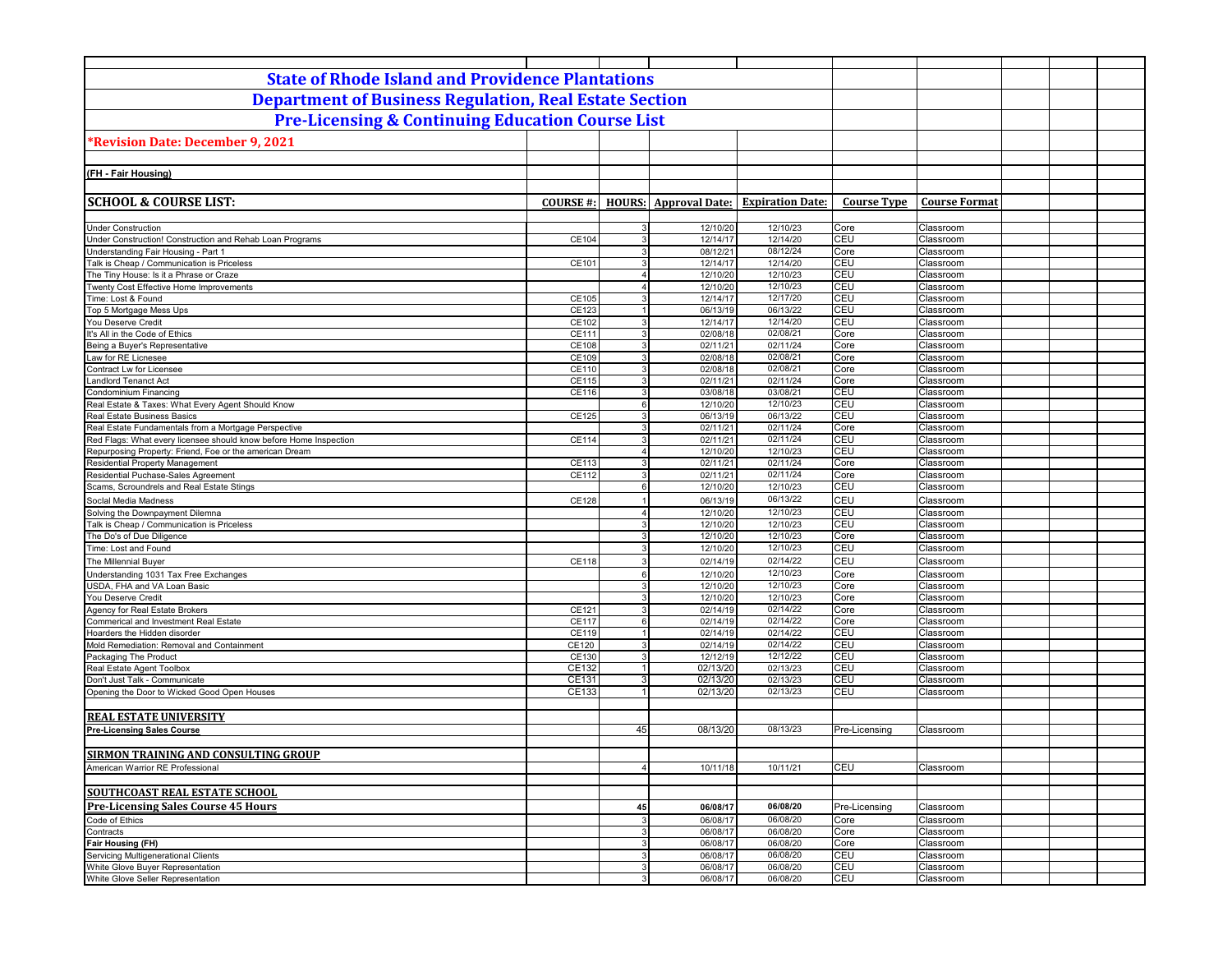| <b>State of Rhode Island and Providence Plantations</b>                                                                   |                 |                         |                              |                         |                    |                        |  |
|---------------------------------------------------------------------------------------------------------------------------|-----------------|-------------------------|------------------------------|-------------------------|--------------------|------------------------|--|
| <b>Department of Business Regulation, Real Estate Section</b>                                                             |                 |                         |                              |                         |                    |                        |  |
| <b>Pre-Licensing &amp; Continuing Education Course List</b>                                                               |                 |                         |                              |                         |                    |                        |  |
|                                                                                                                           |                 |                         |                              |                         |                    |                        |  |
| <b>Revision Date: December 9, 2021</b>                                                                                    |                 |                         |                              |                         |                    |                        |  |
|                                                                                                                           |                 |                         |                              |                         |                    |                        |  |
| (FH - Fair Housing)                                                                                                       |                 |                         |                              |                         |                    |                        |  |
|                                                                                                                           |                 |                         |                              |                         |                    |                        |  |
| <b>SCHOOL &amp; COURSE LIST:</b>                                                                                          | <b>COURSE#:</b> |                         | <b>HOURS:</b> Approval Date: | <b>Expiration Date:</b> | <b>Course Type</b> | <b>Course Format</b>   |  |
|                                                                                                                           |                 |                         |                              |                         |                    |                        |  |
| <b>Under Construction</b><br>Under Construction! Construction and Rehab Loan Programs                                     | CE104           | 3<br>$\mathbf{3}$       | 12/10/20<br>12/14/17         | 12/10/23<br>12/14/20    | Core<br><b>CEU</b> | Classroom<br>Classroom |  |
| Understanding Fair Housing - Part 1                                                                                       |                 | $\mathbf{3}$            | 08/12/21                     | 08/12/24                | Core               | Classroom              |  |
| Talk is Cheap / Communication is Priceless                                                                                | CE101           | 3                       | 12/14/17                     | 12/14/20                | CEU                | Classroom              |  |
| The Tiny House: Is it a Phrase or Craze                                                                                   |                 | $\overline{\mathbf{4}}$ | 12/10/20                     | 12/10/23                | CEU                | Classroom              |  |
| Twenty Cost Effective Home Improvements                                                                                   |                 | $\overline{4}$          | 12/10/20                     | 12/10/23                | CEU                | Classroom              |  |
| Time: Lost & Found                                                                                                        | CE105           | 3                       | 12/14/17                     | 12/17/20                | CEU                | Classroom              |  |
| Top 5 Mortgage Mess Ups                                                                                                   | CE123           | 1                       | 06/13/19                     | 06/13/22                | CEU                | Classroom              |  |
| You Deserve Credit                                                                                                        | CE102           | 3                       | 12/14/17                     | 12/14/20                | CEU                | Classroom              |  |
| It's All in the Code of Ethics                                                                                            | CE111           | $\mathbf{3}$            | 02/08/18                     | 02/08/21                | Core               | Classroom              |  |
| Being a Buyer's Representative                                                                                            | CE108           | 3 <sup>1</sup>          | 02/11/21                     | 02/11/24                | Core               | Classroom              |  |
| Law for RE Licnesee                                                                                                       | CE109           | 3                       | 02/08/18                     | 02/08/21                | Core               | Classroom              |  |
| Contract Lw for Licensee                                                                                                  | CE110           | 3                       | 02/08/18                     | 02/08/21                | Core               | Classroom              |  |
| <b>Landlord Tenanct Act</b>                                                                                               | CE115           | $\mathbf{3}$            | 02/11/21                     | 02/11/24                | Core               | Classroom              |  |
| Condominium Financing                                                                                                     | CE116           | $\mathbf{3}$            | 03/08/18                     | 03/08/21                | CEU                | Classroom              |  |
| Real Estate & Taxes: What Every Agent Should Know                                                                         |                 | $6 \overline{6}$        | 12/10/20                     | 12/10/23<br>06/13/22    | CEU                | Classroom              |  |
| Real Estate Business Basics                                                                                               | CE125           | 3<br>$\overline{3}$     | 06/13/19<br>02/11/21         | $\overline{02}$ /11/24  | CEU<br>Core        | Classroom              |  |
| Real Estate Fundamentals from a Mortgage Perspective<br>Red Flags: What every licensee should know before Home Inspection | CE114           | 3                       | 02/11/21                     | 02/11/24                | <b>CEU</b>         | Classroom<br>Classroom |  |
| Repurposing Property: Friend, Foe or the american Dream                                                                   |                 | $\Delta$                | 12/10/20                     | 12/10/23                | CEU                | Classroom              |  |
| Residential Property Management                                                                                           | CE113           | 3                       | 02/11/21                     | 02/11/24                | Core               | Classroom              |  |
| Residential Puchase-Sales Agreement                                                                                       | CE112           | 3                       | 02/11/21                     | 02/11/24                | Core               | Classroom              |  |
| Scams, Scroundrels and Real Estate Stings                                                                                 |                 | 6                       | 12/10/20                     | 12/10/23                | CEU                | Classroom              |  |
| Social Media Madness                                                                                                      | CE128           |                         | 06/13/19                     | 06/13/22                | CEU                | Classroom              |  |
| Solving the Downpayment Dilemna                                                                                           |                 | $\overline{\mathbf{4}}$ | 12/10/20                     | 12/10/23                | CEU                | Classroom              |  |
| Talk is Cheap / Communication is Priceless                                                                                |                 | 3                       | 12/10/20                     | 12/10/23                | CEU                | Classroom              |  |
| The Do's of Due Diligence                                                                                                 |                 | 3                       | 12/10/20                     | 12/10/23                | Core               | Classroom              |  |
| Time: Lost and Found                                                                                                      |                 | 3                       | 12/10/20                     | 12/10/23                | <b>CEU</b>         | Classroom              |  |
| The Millennial Buyer                                                                                                      | CE118           | 3                       | 02/14/19                     | 02/14/22                | CEU                | Classroom              |  |
| Understanding 1031 Tax Free Exchanges                                                                                     |                 | 6                       | 12/10/20                     | 12/10/23                | Core               | Classroom              |  |
| USDA, FHA and VA Loan Basic                                                                                               |                 | $\mathbf{3}$            | 12/10/20                     | 12/10/23                | Core               | Classroom              |  |
| You Deserve Credit                                                                                                        |                 | 3                       | 12/10/20                     | 12/10/23                | Core               | Classroom              |  |
| Agency for Real Estate Brokers                                                                                            | CE121           | 3                       | 02/14/19                     | 02/14/22                | Core               | Classroom              |  |
| Commerical and Investment Real Estate                                                                                     | CE117           | $6 \overline{6}$        | 02/14/19                     | 02/14/22                | Core               | Classroom              |  |
| Hoarders the Hidden disorder                                                                                              | CE119           | 1                       | 02/14/19                     | 02/14/22                | CEU                | Classroom              |  |
| Mold Remediation: Removal and Containment                                                                                 | CE120           | 3                       | 02/14/19                     | 02/14/22                | CEU                | Classroom              |  |
| Packaging The Product                                                                                                     | CE130           | $\mathbf{3}$            | 12/12/19                     | 12/12/22                | CEU                | Classroom              |  |
| Real Estate Agent Toolbox<br>Don't Just Talk - Communicate                                                                | CE132<br>CE131  | 3                       | 02/13/20<br>02/13/20         | 02/13/23<br>02/13/23    | CEU<br><b>CEU</b>  | Classroom<br>Classroom |  |
| Opening the Door to Wicked Good Open Houses                                                                               | CE133           |                         | 02/13/20                     | 02/13/23                | CEU                | Classroom              |  |
|                                                                                                                           |                 |                         |                              |                         |                    |                        |  |
| <b>REAL ESTATE UNIVERSITY</b>                                                                                             |                 |                         |                              |                         |                    |                        |  |
| <b>Pre-Licensing Sales Course</b>                                                                                         |                 | 45                      | 08/13/20                     | 08/13/23                | Pre-Licensing      | Classroom              |  |
|                                                                                                                           |                 |                         |                              |                         |                    |                        |  |
| <b>SIRMON TRAINING AND CONSULTING GROUP</b>                                                                               |                 |                         |                              |                         |                    |                        |  |
| American Warrior RE Professional                                                                                          |                 | $\Delta$                | 10/11/18                     | 10/11/21                | CEU                | Classroom              |  |
|                                                                                                                           |                 |                         |                              |                         |                    |                        |  |
| <b>SOUTHCOAST REAL ESTATE SCHOOL</b>                                                                                      |                 |                         |                              |                         |                    |                        |  |
|                                                                                                                           |                 |                         |                              |                         |                    |                        |  |
| <b>Pre-Licensing Sales Course 45 Hours</b>                                                                                |                 | 45                      | 06/08/17                     | 06/08/20                | Pre-Licensing      | Classroom              |  |
| Code of Ethics                                                                                                            |                 | $\overline{3}$          | 06/08/17<br>06/08/17         | 06/08/20                | Core               | Classroom              |  |
| Contracts<br>Fair Housing (FH)                                                                                            |                 | 3<br>$\overline{3}$     | 06/08/17                     | 06/08/20<br>06/08/20    | Core<br>Core       | Classroom<br>Classroom |  |
| Servicing Multigenerational Clients                                                                                       |                 | 3                       | 06/08/17                     | 06/08/20                | CEU                | Classroom              |  |
| White Glove Buyer Representation                                                                                          |                 | $\overline{3}$          | 06/08/17                     | 06/08/20                | <b>CEU</b>         | Classroom              |  |
| White Glove Seller Representation                                                                                         |                 | 3                       | 06/08/17                     | 06/08/20                | CEU                | Classroom              |  |
|                                                                                                                           |                 |                         |                              |                         |                    |                        |  |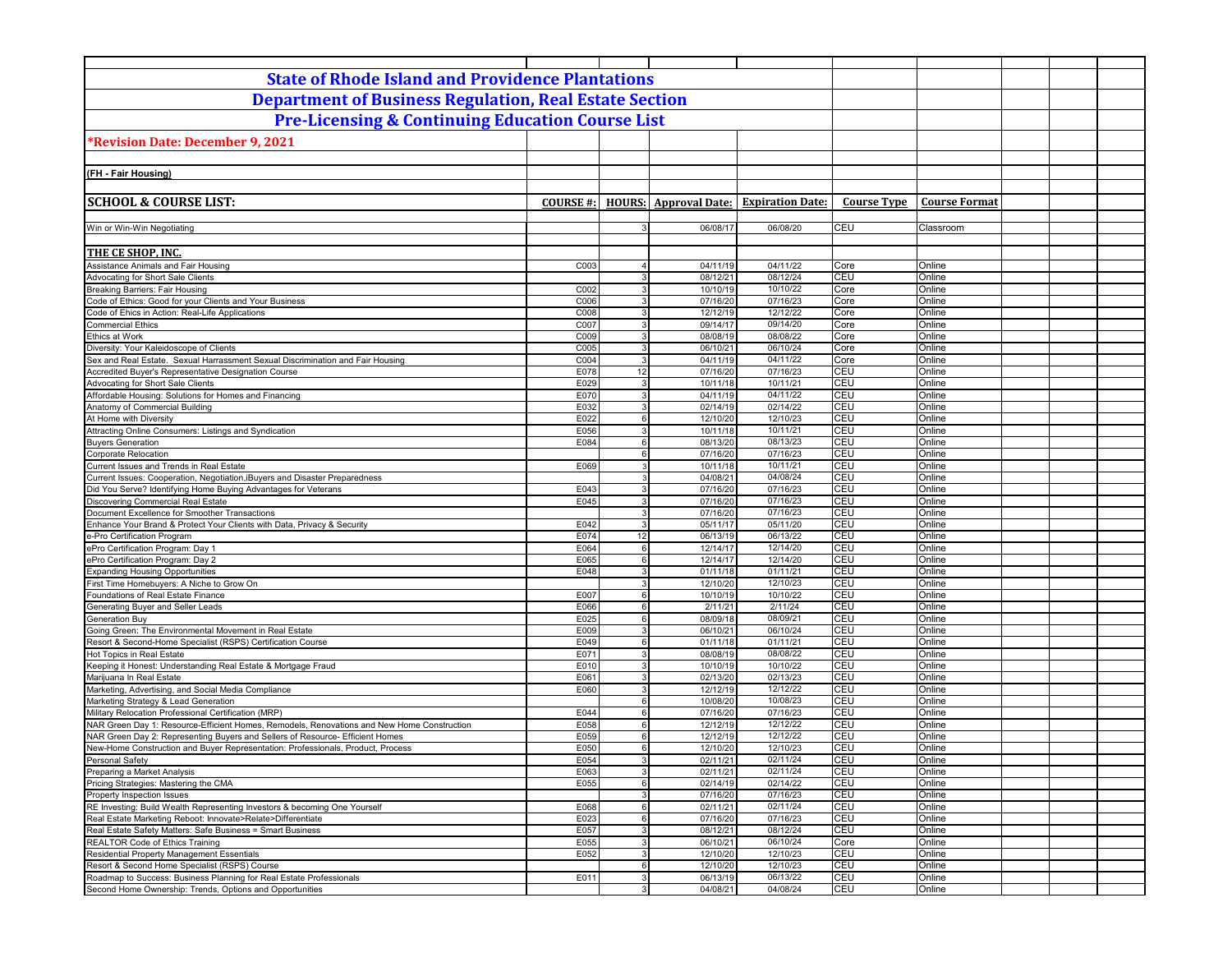| <b>State of Rhode Island and Providence Plantations</b>                                                                                                          |                  |                                |                              |                         |                    |                      |  |
|------------------------------------------------------------------------------------------------------------------------------------------------------------------|------------------|--------------------------------|------------------------------|-------------------------|--------------------|----------------------|--|
| <b>Department of Business Regulation, Real Estate Section</b>                                                                                                    |                  |                                |                              |                         |                    |                      |  |
| <b>Pre-Licensing &amp; Continuing Education Course List</b>                                                                                                      |                  |                                |                              |                         |                    |                      |  |
|                                                                                                                                                                  |                  |                                |                              |                         |                    |                      |  |
| <b>Revision Date: December 9, 2021</b>                                                                                                                           |                  |                                |                              |                         |                    |                      |  |
|                                                                                                                                                                  |                  |                                |                              |                         |                    |                      |  |
| (FH - Fair Housing)                                                                                                                                              |                  |                                |                              |                         |                    |                      |  |
|                                                                                                                                                                  |                  |                                |                              |                         |                    |                      |  |
| <b>SCHOOL &amp; COURSE LIST:</b>                                                                                                                                 | <b>COURSE #:</b> |                                | <b>HOURS:</b> Approval Date: | <b>Expiration Date:</b> | <b>Course Type</b> | <b>Course Format</b> |  |
| Win or Win-Win Negotiating                                                                                                                                       |                  |                                | 06/08/17                     | 06/08/20                | CEU                | Classroom            |  |
|                                                                                                                                                                  |                  |                                |                              |                         |                    |                      |  |
| THE CE SHOP, INC.                                                                                                                                                |                  |                                |                              |                         |                    |                      |  |
| Assistance Animals and Fair Housing                                                                                                                              | C003             | $\overline{4}$                 | 04/11/19                     | 04/11/22                | Core               | Online               |  |
| Advocating for Short Sale Clients                                                                                                                                |                  | $\mathbf{3}$                   | 08/12/21                     | 08/12/24                | CEU                | Online               |  |
| Breaking Barriers: Fair Housing<br>Code of Ethics: Good for your Clients and Your Business                                                                       | C002<br>C006     | $\mathbf{3}$<br>$\overline{3}$ | 10/10/19<br>07/16/20         | 10/10/22<br>07/16/23    | Core<br>Core       | Online<br>Online     |  |
| Code of Ehics in Action: Real-Life Applications                                                                                                                  | C008             | 3                              | 12/12/19                     | 12/12/22                | Core               | Online               |  |
| <b>Commercial Ethics</b>                                                                                                                                         | C007             | $\overline{3}$                 | 09/14/17                     | 09/14/20                | Core               | Online               |  |
| Ethics at Work                                                                                                                                                   | C009             | 3                              | 08/08/19                     | 08/08/22                | Core               | Online               |  |
| Diversity: Your Kaleidoscope of Clients                                                                                                                          | C005             | $\overline{3}$                 | 06/10/21                     | 06/10/24                | Core               | Online               |  |
| Sex and Real Estate. Sexual Harrassment Sexual Discrimination and Fair Housing                                                                                   | C004             | 3                              | 04/11/19                     | 04/11/22                | Core               | Online               |  |
| Accredited Buyer's Representative Designation Course                                                                                                             | E078             | 12                             | 07/16/20                     | 07/16/23                | CEU                | Online               |  |
| Advocating for Short Sale Clients                                                                                                                                | E029             | 3                              | 10/11/18                     | 10/11/21                | CEU                | Online               |  |
| Affordable Housing: Solutions for Homes and Financing                                                                                                            | E070<br>E032     | 3                              | 04/11/19                     | 04/11/22<br>02/14/22    | CEU<br>CEU         | Online               |  |
| Anatomy of Commercial Building<br>At Home with Diversity                                                                                                         | E022             | 3<br>6                         | 02/14/19<br>12/10/20         | 12/10/23                | CEU                | Online<br>Online     |  |
| Attracting Online Consumers: Listings and Syndication                                                                                                            | E056             | 3                              | 10/11/18                     | 10/11/21                | CEU                | Online               |  |
| <b>Buyers Generation</b>                                                                                                                                         | E084             | 6                              | 08/13/20                     | 08/13/23                | CEU                | Online               |  |
| Corporate Relocation                                                                                                                                             |                  | $6 \overline{6}$               | 07/16/20                     | 07/16/23                | CEU                | Online               |  |
| Current Issues and Trends in Real Estate                                                                                                                         | E069             | 3                              | 10/11/18                     | 10/11/21                | CEU                | Online               |  |
| Current Issues: Cooperation, Negotiation, iBuyers and Disaster Preparedness                                                                                      |                  | 3                              | 04/08/21                     | 04/08/24                | CEU                | Online               |  |
| Did You Serve? Identifying Home Buying Advantages for Veterans                                                                                                   | E043             | 3                              | 07/16/20                     | 07/16/23                | CEU                | Online               |  |
| Discovering Commercial Real Estate                                                                                                                               | E045             | $\overline{3}$                 | 07/16/20                     | 07/16/23                | CEU                | Online               |  |
| Document Excellence for Smoother Transactions<br>Enhance Your Brand & Protect Your Clients with Data, Privacy & Security                                         | E042             | $\mathbf{3}$<br>$\mathbf{3}$   | 07/16/20<br>05/11/17         | 07/16/23<br>05/11/20    | CEU<br>CEU         | Online<br>Online     |  |
| e-Pro Certification Program                                                                                                                                      | E074             | 12                             | 06/13/19                     | 06/13/22                | CEU                | Online               |  |
| ePro Certification Program: Day 1                                                                                                                                | E064             | 6                              | 12/14/17                     | 12/14/20                | CEU                | Online               |  |
| ePro Certification Program: Day 2                                                                                                                                | E065             | 6                              | 12/14/17                     | 12/14/20                | CEU                | Online               |  |
| <b>Expanding Housing Opportunities</b>                                                                                                                           | E048             | $\mathbf{3}$                   | 01/11/18                     | 01/11/21                | CEU                | Online               |  |
| First Time Homebuyers: A Niche to Grow On                                                                                                                        |                  | 3                              | 12/10/20                     | 12/10/23                | CEU                | Online               |  |
| Foundations of Real Estate Finance                                                                                                                               | E007             | $6 \overline{6}$               | 10/10/19                     | 10/10/22                | CEU                | Online               |  |
| Generating Buyer and Seller Leads                                                                                                                                | E066             | 6                              | 2/11/21                      | 2/11/24                 | CEU                | Online               |  |
| <b>Generation Buy</b><br>Going Green: The Environmental Movement in Real Estate                                                                                  | E025<br>E009     | $6 \overline{6}$<br>3          | 08/09/18<br>06/10/21         | 08/09/21<br>06/10/24    | CEU<br>CEU         | Online<br>Online     |  |
| Resort & Second-Home Specialist (RSPS) Certification Course                                                                                                      | E049             | $6 \overline{6}$               | 01/11/18                     | 01/11/21                | CEU                | Online               |  |
| Hot Topics in Real Estate                                                                                                                                        | E071             | 3                              | 08/08/19                     | 08/08/22                | CEU                | Online               |  |
| Keeping it Honest: Understanding Real Estate & Mortgage Fraud                                                                                                    | E010             | 3                              | 10/10/19                     | 10/10/22                | CEU                | Online               |  |
| Marijuana In Real Estate                                                                                                                                         | E061             | 3                              | 02/13/20                     | 02/13/23                | CEU                | Online               |  |
| Marketing, Advertising, and Social Media Compliance                                                                                                              | E060             | $\mathbf{3}$                   | 12/12/19                     | 12/12/22                | CEU                | Online               |  |
| Marketing Strategy & Lead Generation                                                                                                                             |                  | 6                              | 10/08/20                     | 10/08/23                | CEU                | Online               |  |
| Military Relocation Professional Certification (MRP)                                                                                                             | E044             | 6                              | 07/16/20                     | 07/16/23                | CEU                | Online               |  |
| NAR Green Day 1: Resource-Efficient Homes, Remodels, Renovations and New Home Construction                                                                       | E058             | $6 \overline{6}$               | 12/12/19                     | 12/12/22                | CEU                | Online               |  |
| NAR Green Day 2: Representing Buyers and Sellers of Resource- Efficient Homes<br>New-Home Construction and Buyer Representation: Professionals, Product, Process | E059<br>E050     | $6 \overline{6}$<br>6          | 12/12/19<br>12/10/20         | 12/12/22<br>12/10/23    | <b>CEU</b><br>CEU  | Online<br>Online     |  |
| Personal Safety                                                                                                                                                  | E054             | 3 <sup>1</sup>                 | 02/11/21                     | 02/11/24                | CEU                | Online               |  |
| Preparing a Market Analysis                                                                                                                                      | E063             | 3 <sup>1</sup>                 | 02/11/21                     | 02/11/24                | CEU                | Online               |  |
| Pricing Strategies: Mastering the CMA                                                                                                                            | E055             | $6 \overline{6}$               | 02/14/19                     | 02/14/22                | CEU                | Online               |  |
| Property Inspection Issues                                                                                                                                       |                  | $\overline{3}$                 | 07/16/20                     | 07/16/23                | CEU                | Online               |  |
| RE Investing: Build Wealth Representing Investors & becoming One Yourself                                                                                        | E068             | $6 \overline{6}$               | 02/11/21                     | 02/11/24                | CEU                | Online               |  |
| Real Estate Marketing Reboot: Innovate>Relate>Differentiate                                                                                                      | E023             | 6                              | 07/16/20                     | 07/16/23                | CEU                | Online               |  |
| Real Estate Safety Matters: Safe Business = Smart Business                                                                                                       | E057             | $\overline{3}$                 | 08/12/21                     | 08/12/24                | CEU                | Online               |  |
| REALTOR Code of Ethics Training<br>Residential Property Management Essentials                                                                                    | E055<br>E052     | $\mathbf{3}$<br>3 <sup>1</sup> | 06/10/21<br>12/10/20         | 06/10/24<br>12/10/23    | Core<br>CEU        | Online<br>Online     |  |
| Resort & Second Home Specialist (RSPS) Course                                                                                                                    |                  | $6 \mid$                       | 12/10/20                     | 12/10/23                | CEU                | Online               |  |
| Roadmap to Success: Business Planning for Real Estate Professionals                                                                                              | E011             | $\mathbf{3}$                   | 06/13/19                     | 06/13/22                | CEU                | Online               |  |
| Second Home Ownership: Trends, Options and Opportunities                                                                                                         |                  | 3 <sup>1</sup>                 | 04/08/21                     | 04/08/24                | CEU                | Online               |  |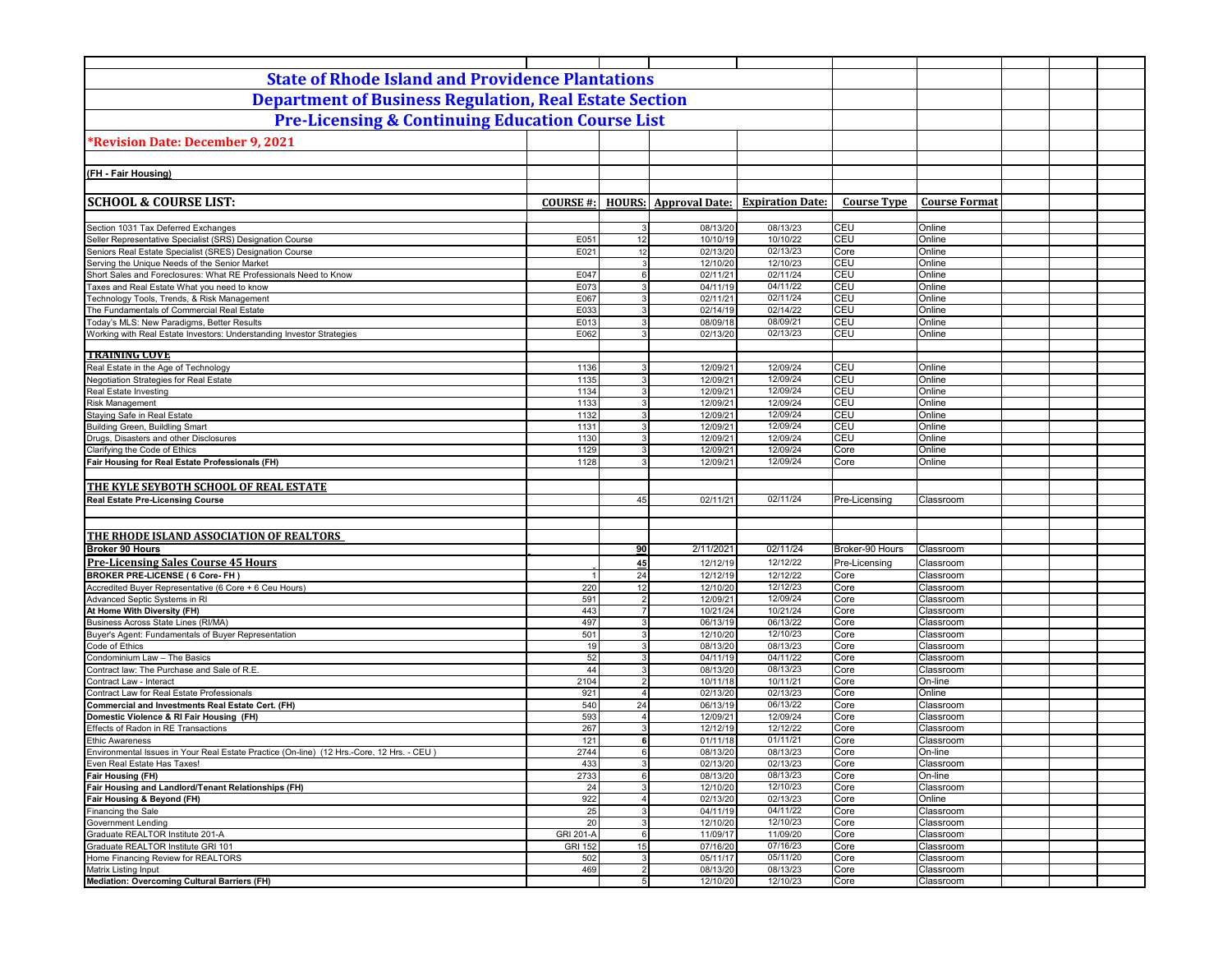| <b>State of Rhode Island and Providence Plantations</b>                                          |                  |                                  |                              |                         |                       |                        |  |
|--------------------------------------------------------------------------------------------------|------------------|----------------------------------|------------------------------|-------------------------|-----------------------|------------------------|--|
| <b>Department of Business Regulation, Real Estate Section</b>                                    |                  |                                  |                              |                         |                       |                        |  |
| <b>Pre-Licensing &amp; Continuing Education Course List</b>                                      |                  |                                  |                              |                         |                       |                        |  |
|                                                                                                  |                  |                                  |                              |                         |                       |                        |  |
| *Revision Date: December 9, 2021                                                                 |                  |                                  |                              |                         |                       |                        |  |
|                                                                                                  |                  |                                  |                              |                         |                       |                        |  |
| (FH - Fair Housing)                                                                              |                  |                                  |                              |                         |                       |                        |  |
|                                                                                                  |                  |                                  |                              |                         |                       |                        |  |
| <b>SCHOOL &amp; COURSE LIST:</b>                                                                 | <b>COURSE #:</b> |                                  | <b>HOURS:</b> Approval Date: | <b>Expiration Date:</b> | <b>Course Type</b>    | <b>Course Format</b>   |  |
|                                                                                                  |                  |                                  |                              |                         |                       |                        |  |
| Section 1031 Tax Deferred Exchanges<br>Seller Representative Specialist (SRS) Designation Course | E051             | 3<br>12                          | 08/13/20<br>10/10/19         | 08/13/23<br>10/10/22    | CEU<br><b>CEU</b>     | Online<br>Online       |  |
| Seniors Real Estate Specialist (SRES) Designation Course                                         | E021             | 12                               | 02/13/20                     | 02/13/23                | Core                  | Online                 |  |
| Serving the Unique Needs of the Senior Market                                                    |                  | 3                                | 12/10/20                     | 12/10/23                | CEU                   | Online                 |  |
| Short Sales and Foreclosures: What RE Professionals Need to Know                                 | E047             | $6 \overline{6}$                 | 02/11/21                     | 02/11/24                | CEU                   | Online                 |  |
| Taxes and Real Estate What you need to know                                                      | E073             | 3                                | 04/11/19                     | 04/11/22                | CEU                   | Online                 |  |
| Technology Tools, Trends, & Risk Management<br>The Fundamentals of Commercial Real Estate        | E067<br>E033     | $\mathbf{3}$<br>3                | 02/11/21<br>02/14/19         | 02/11/24<br>02/14/22    | CEU<br>CEU            | Online<br>Online       |  |
| Today's MLS: New Paradigms, Better Results                                                       | E013             | 3                                | 08/09/18                     | 08/09/21                | CEU                   | Online                 |  |
| Working with Real Estate Investors: Understanding Investor Strategies                            | E062             | $\overline{3}$                   | 02/13/20                     | 02/13/23                | <b>CEU</b>            | Online                 |  |
|                                                                                                  |                  |                                  |                              |                         |                       |                        |  |
| <b>TRAINING COVE</b>                                                                             |                  |                                  |                              |                         |                       |                        |  |
| Real Estate in the Age of Technology<br>Negotiation Strategies for Real Estate                   | 1136<br>1135     | 3                                | 12/09/21<br>12/09/21         | 12/09/24<br>12/09/24    | CEU<br>CEU            | Online<br>Online       |  |
| Real Estate Investing                                                                            | 1134             | 3                                | 12/09/21                     | 12/09/24                | CEU                   | Online                 |  |
| <b>Risk Management</b>                                                                           | 1133             | $\overline{3}$                   | 12/09/21                     | 12/09/24                | CEU                   | Online                 |  |
| Staying Safe in Real Estate                                                                      | 1132             | $\overline{3}$                   | 12/09/21                     | 12/09/24                | CEU                   | Online                 |  |
| <b>Building Green, Buildling Smart</b>                                                           | 1131             | $\mathbf{3}$                     | 12/09/21                     | 12/09/24                | CEU                   | Online                 |  |
| Drugs, Disasters and other Disclosures                                                           | 1130             | $\mathbf{3}$                     | 12/09/21                     | 12/09/24                | CEU                   | Online                 |  |
| Clarifying the Code of Ethics<br>Fair Housing for Real Estate Professionals (FH)                 | 1129<br>1128     | 3<br>3                           | 12/09/21<br>12/09/21         | 12/09/24<br>12/09/24    | Core<br>Core          | Online<br>Online       |  |
|                                                                                                  |                  |                                  |                              |                         |                       |                        |  |
| THE KYLE SEYBOTH SCHOOL OF REAL ESTATE                                                           |                  |                                  |                              |                         |                       |                        |  |
| <b>Real Estate Pre-Licensing Course</b>                                                          |                  | 45                               | 02/11/21                     | 02/11/24                | Pre-Licensing         | Classroom              |  |
|                                                                                                  |                  |                                  |                              |                         |                       |                        |  |
|                                                                                                  |                  |                                  |                              |                         |                       |                        |  |
| THE RHODE ISLAND ASSOCIATION OF REALTORS                                                         |                  |                                  |                              |                         |                       |                        |  |
| <b>Broker 90 Hours</b>                                                                           |                  | 90                               | 2/11/2021                    | 02/11/24<br>12/12/22    | Broker-90 Hours       | Classroom              |  |
| <b>Pre-Licensing Sales Course 45 Hours</b><br><b>BROKER PRE-LICENSE (6 Core- FH)</b>             | -1               | 45<br>24                         | 12/12/19<br>12/12/19         | 12/12/22                | Pre-Licensing<br>Core | Classroom<br>Classroom |  |
| Accredited Buyer Representative (6 Core + 6 Ceu Hours)                                           | 220              | 12                               | 12/10/20                     | 12/12/23                | Core                  | Classroom              |  |
| Advanced Septic Systems in RI                                                                    | 591              | $\overline{2}$                   | 12/09/21                     | 12/09/24                | Core                  | Classroom              |  |
| At Home With Diversity (FH)                                                                      | 443              | $\overline{7}$                   | 10/21/24                     | 10/21/24                | Core                  | Classroom              |  |
| Business Across State Lines (RI/MA)                                                              | 497              | 3                                | 06/13/19                     | 06/13/22                | Core                  | Classroom              |  |
| Buyer's Agent: Fundamentals of Buyer Representation                                              | 501              | $\mathbf{3}$                     | 12/10/20                     | 12/10/23                | Core                  | Classroom              |  |
| Code of Ethics<br>Condominium Law - The Basics                                                   | 19<br>52         | 3<br>3                           | 08/13/20<br>04/11/19         | 08/13/23<br>04/11/22    | Core<br>Core          | Classroom<br>Classroom |  |
| Contract law: The Purchase and Sale of R.E.                                                      | 44               | 3                                | 08/13/20                     | 08/13/23                | Core                  | Classroom              |  |
| Contract Law - Interact                                                                          | 2104             | $\overline{2}$                   | 10/11/18                     | 10/11/21                | Core                  | On-line                |  |
| Contract Law for Real Estate Professionals                                                       | 921              | $\overline{4}$                   | 02/13/20                     | 02/13/23                | Core                  | Online                 |  |
| Commercial and Investments Real Estate Cert. (FH)                                                | 540              | 24                               | 06/13/19                     | 06/13/22                | Core                  | Classroom              |  |
| Domestic Violence & RI Fair Housing (FH)<br>Effects of Radon in RE Transactions                  | 593<br>267       | $\overline{4}$<br>3              | 12/09/21<br>12/12/19         | 12/09/24<br>12/12/22    | Core<br>Core          | Classroom<br>Classroom |  |
| <b>Ethic Awareness</b>                                                                           | 121              | 6                                | 01/11/18                     | 01/11/21                | Core                  | Classroom              |  |
| Environmental Issues in Your Real Estate Practice (On-line) (12 Hrs.-Core, 12 Hrs. - CEU)        | 2744             | 6                                | 08/13/20                     | 08/13/23                | Core                  | On-line                |  |
| Even Real Estate Has Taxes!                                                                      | 433              | 3                                | 02/13/20                     | 02/13/23                | Core                  | Classroom              |  |
| Fair Housing (FH)                                                                                | 2733             | $6 \overline{6}$                 | 08/13/20                     | 08/13/23                | Core                  | On-line                |  |
| Fair Housing and Landlord/Tenant Relationships (FH)                                              | 24               | 3 <sup>1</sup>                   | 12/10/20                     | 12/10/23                | Core                  | Classroom              |  |
| Fair Housing & Beyond (FH)<br>Financing the Sale                                                 | 922<br>25        | $\overline{4}$<br>$\overline{3}$ | 02/13/20<br>04/11/19         | 02/13/23<br>04/11/22    | Core<br>Core          | Online<br>Classroom    |  |
| <b>Government Lending</b>                                                                        | 20               | $\overline{3}$                   | 12/10/20                     | 12/10/23                | Core                  | Classroom              |  |
| Graduate REALTOR Institute 201-A                                                                 | GRI 201-A        | $6 \overline{6}$                 | 11/09/17                     | 11/09/20                | Core                  | Classroom              |  |
| Graduate REALTOR Institute GRI 101                                                               | <b>GRI 152</b>   | 15                               | 07/16/20                     | 07/16/23                | Core                  | Classroom              |  |
| Home Financing Review for REALTORS                                                               | 502              | $\overline{3}$                   | 05/11/17                     | 05/11/20                | Core                  | Classroom              |  |
| Matrix Listing Input<br>Mediation: Overcoming Cultural Barriers (FH)                             | 469              | $\overline{2}$<br>5 <sup>1</sup> | 08/13/20<br>12/10/20         | 08/13/23<br>12/10/23    | Core<br>Core          | Classroom<br>Classroom |  |
|                                                                                                  |                  |                                  |                              |                         |                       |                        |  |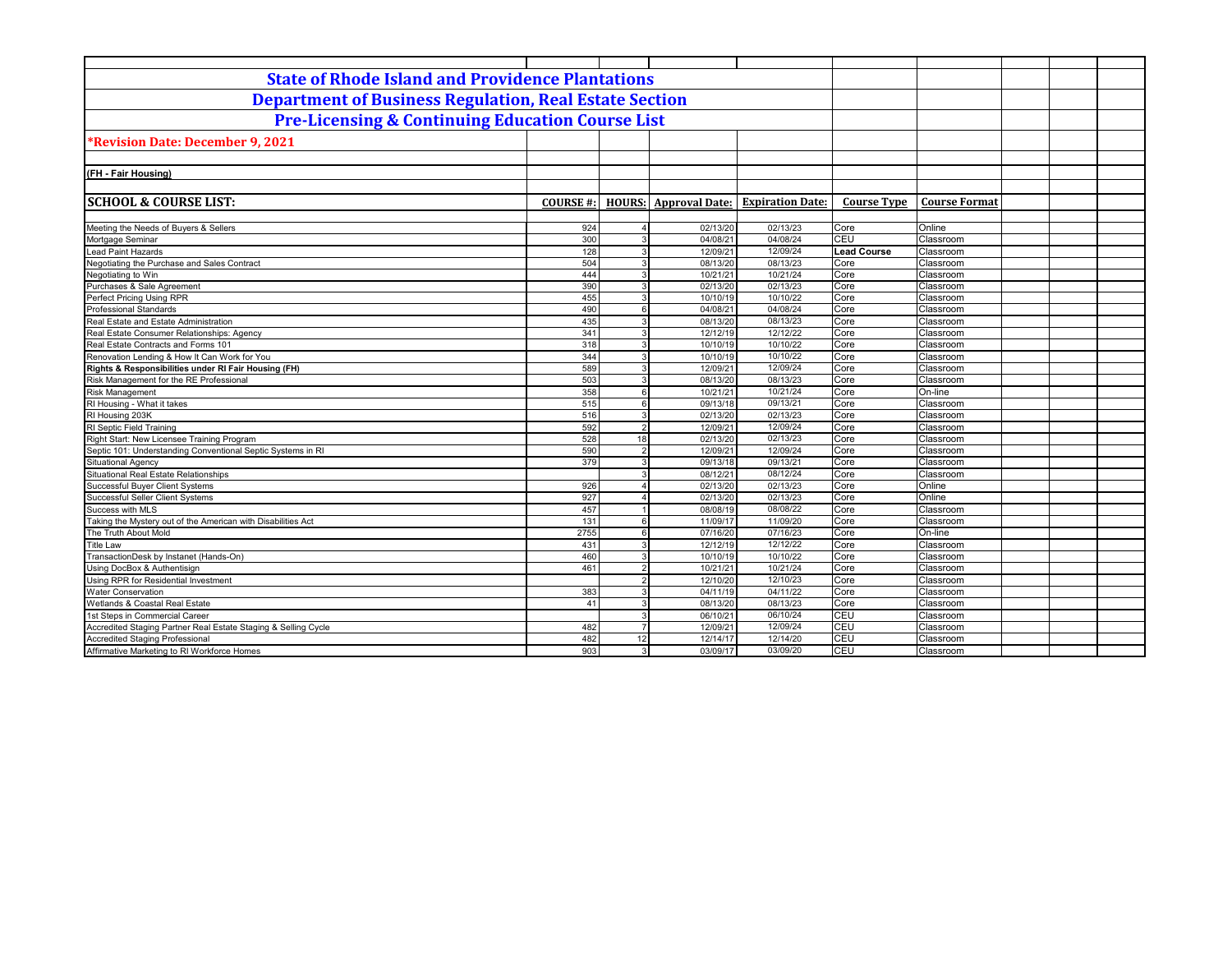| <b>State of Rhode Island and Providence Plantations</b>           |                  |                                  |                              |                         |                    |                        |  |
|-------------------------------------------------------------------|------------------|----------------------------------|------------------------------|-------------------------|--------------------|------------------------|--|
| <b>Department of Business Regulation, Real Estate Section</b>     |                  |                                  |                              |                         |                    |                        |  |
| <b>Pre-Licensing &amp; Continuing Education Course List</b>       |                  |                                  |                              |                         |                    |                        |  |
| <b>*Revision Date: December 9, 2021</b>                           |                  |                                  |                              |                         |                    |                        |  |
|                                                                   |                  |                                  |                              |                         |                    |                        |  |
| (FH - Fair Housing)                                               |                  |                                  |                              |                         |                    |                        |  |
|                                                                   |                  |                                  |                              |                         |                    |                        |  |
|                                                                   |                  |                                  |                              |                         |                    |                        |  |
| <b>SCHOOL &amp; COURSE LIST:</b>                                  | <b>COURSE #:</b> |                                  | <b>HOURS:</b> Approval Date: | <b>Expiration Date:</b> | <b>Course Type</b> | <b>Course Format</b>   |  |
|                                                                   |                  |                                  |                              |                         |                    |                        |  |
| Meeting the Needs of Buyers & Sellers                             | 924              |                                  | 02/13/20                     | 02/13/23<br>04/08/24    | Core               | Online                 |  |
| Mortgage Seminar                                                  | 300              | 3                                | 04/08/21                     |                         | CEU                | Classroom              |  |
| Lead Paint Hazards<br>Negotiating the Purchase and Sales Contract | 128              | $\overline{3}$                   | 12/09/21                     | 12/09/24                | <b>Lead Course</b> | Classroom              |  |
| Negotiating to Win                                                | 504              | $\overline{3}$                   | 08/13/20                     | 08/13/23<br>10/21/24    | Core               | Classroom              |  |
| Purchases & Sale Agreement                                        | 444<br>390       | $\overline{3}$<br>$\overline{3}$ | 10/21/21                     | 02/13/23                | Core<br>Core       | Classroom              |  |
| Perfect Pricing Using RPR                                         | 455              | $\overline{3}$                   | 02/13/20<br>10/10/19         | 10/10/22                | Core               | Classroom<br>Classroom |  |
| <b>Professional Standards</b>                                     | 490              | 6                                | 04/08/21                     | 04/08/24                | Core               | Classroom              |  |
| Real Estate and Estate Administration                             | 435              | 3                                | 08/13/20                     | 08/13/23                | Core               | Classroom              |  |
| Real Estate Consumer Relationships: Agency                        | 341              |                                  |                              | 12/12/22                | Core               | Classroom              |  |
| Real Estate Contracts and Forms 101                               |                  | 3                                | 12/12/19<br>10/10/19         | 10/10/22                | Core               | Classroom              |  |
| Renovation Lending & How It Can Work for You                      | 318<br>344       | 3                                | 10/10/19                     | 10/10/22                | Core               | Classroom              |  |
| Rights & Responsibilities under RI Fair Housing (FH)              | 589              | $\mathbf{3}$                     | 12/09/21                     | 12/09/24                | Core               | Classroom              |  |
| Risk Management for the RE Professional                           | 503              | $\mathbf{3}$                     | 08/13/20                     | 08/13/23                | Core               | Classroom              |  |
| <b>Risk Management</b>                                            | 358              | 6                                | 10/21/21                     | 10/21/24                | Core               | On-line                |  |
| RI Housing - What it takes                                        | 515              | 6                                | 09/13/18                     | 09/13/21                | Core               | Classroom              |  |
| RI Housing 203K                                                   |                  | $\mathcal{R}$                    |                              | 02/13/23                |                    |                        |  |
| RI Septic Field Training                                          | 516<br>592       | $\overline{2}$                   | 02/13/20<br>12/09/21         | 12/09/24                | Core<br>Core       | Classroom<br>Classroom |  |
| Right Start: New Licensee Training Program                        | 528              | 18                               | 02/13/20                     | 02/13/23                | Core               | Classroom              |  |
| Septic 101: Understanding Conventional Septic Systems in RI       | 590              | $\overline{2}$                   | 12/09/21                     | 12/09/24                | Core               |                        |  |
| Situational Agency                                                | 379              | 3                                | 09/13/18                     | 09/13/21                | Core               | Classroom<br>Classroom |  |
| Situational Real Estate Relationships                             |                  |                                  | 08/12/21                     | 08/12/24                | Core               | Classroom              |  |
| Successful Buyer Client Systems                                   | 926              |                                  | 02/13/20                     | 02/13/23                | Core               | Online                 |  |
| Successful Seller Client Systems                                  | 927              |                                  | 02/13/20                     | 02/13/23                | Core               | Online                 |  |
| Success with MLS                                                  | 457              |                                  | 08/08/19                     | 08/08/22                | Core               | Classroom              |  |
| Taking the Mystery out of the American with Disabilities Act      | 131              | $6 \overline{6}$                 | 11/09/17                     | 11/09/20                | Core               | Classroom              |  |
| The Truth About Mold                                              | 2755             | $6 \overline{6}$                 | 07/16/20                     | 07/16/23                | Core               | On-line                |  |
| <b>Title Law</b>                                                  | 431              | $\overline{3}$                   | 12/12/19                     | 12/12/22                | Core               | Classroom              |  |
| TransactionDesk by Instanet (Hands-On)                            | 460              | 3                                | 10/10/19                     | 10/10/22                | Core               | Classroom              |  |
| Using DocBox & Authentisign                                       | 461              | $\overline{2}$                   | 10/21/21                     | 10/21/24                | Core               | Classroom              |  |
| Using RPR for Residential Investment                              |                  | $\overline{2}$                   | 12/10/20                     | 12/10/23                | Core               | Classroom              |  |
| <b>Water Conservation</b>                                         |                  | $\mathbf{3}$                     | 04/11/19                     | 04/11/22                | Core               | Classroom              |  |
| Wetlands & Coastal Real Estate                                    | 383<br>41        | $\overline{3}$                   | 08/13/20                     | 08/13/23                | Core               | Classroom              |  |
| 1st Steps in Commercial Career                                    |                  | 3                                | 06/10/21                     | 06/10/24                | CEU                | Classroom              |  |
| Accredited Staging Partner Real Estate Staging & Selling Cycle    | 482              | $\overline{7}$                   | 12/09/21                     | 12/09/24                | CEU                | Classroom              |  |
| Accredited Staging Professional                                   | 482              | 12                               |                              | 12/14/20                | CEU                | Classroom              |  |
| Affirmative Marketing to RI Workforce Homes                       | 903              | $\overline{3}$                   | 12/14/17<br>03/09/17         | 03/09/20                | CEU                | Classroom              |  |
|                                                                   |                  |                                  |                              |                         |                    |                        |  |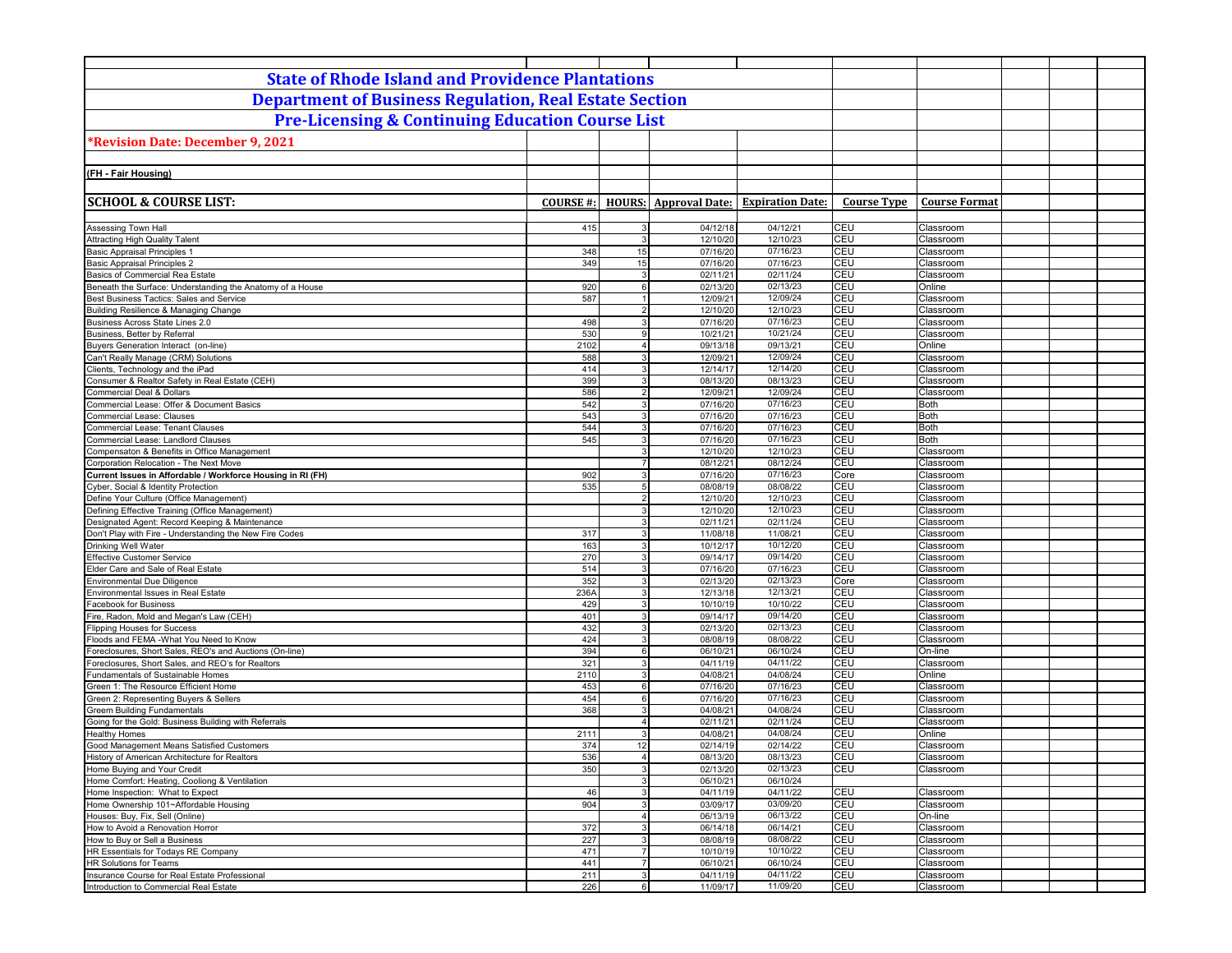| <b>State of Rhode Island and Providence Plantations</b>                                           |                  |                                  |                      |                                               |                    |                          |  |
|---------------------------------------------------------------------------------------------------|------------------|----------------------------------|----------------------|-----------------------------------------------|--------------------|--------------------------|--|
| <b>Department of Business Regulation, Real Estate Section</b>                                     |                  |                                  |                      |                                               |                    |                          |  |
| <b>Pre-Licensing &amp; Continuing Education Course List</b>                                       |                  |                                  |                      |                                               |                    |                          |  |
| *Revision Date: December 9, 2021                                                                  |                  |                                  |                      |                                               |                    |                          |  |
|                                                                                                   |                  |                                  |                      |                                               |                    |                          |  |
| (FH - Fair Housing)                                                                               |                  |                                  |                      |                                               |                    |                          |  |
|                                                                                                   |                  |                                  |                      |                                               |                    |                          |  |
| <b>SCHOOL &amp; COURSE LIST:</b>                                                                  | <b>COURSE #:</b> |                                  |                      | <b>HOURS:</b> Approval Date: Expiration Date: | <b>Course Type</b> | <b>Course Format</b>     |  |
|                                                                                                   |                  |                                  |                      |                                               |                    |                          |  |
| <b>Assessing Town Hall</b><br><b>Attracting High Quality Talent</b>                               | 415              | 3<br>3 <sup>1</sup>              | 04/12/18<br>12/10/20 | 04/12/21<br>12/10/23                          | CEU<br>CEU         | Classroom<br>Classroom   |  |
| Basic Appraisal Principles                                                                        | 348              | 15                               | 07/16/20             | 07/16/23                                      | CEU                | Classroom                |  |
| <b>Basic Appraisal Principles 2</b>                                                               | 349              | 15                               | 07/16/20             | 07/16/23                                      | CEU                | Classroom                |  |
| Basics of Commercial Rea Estate                                                                   |                  | 3 <sup>1</sup>                   | 02/11/21             | 02/11/24                                      | CEU                | Classroom                |  |
| Beneath the Surface: Understanding the Anatomy of a House                                         | 920              | $6 \overline{6}$<br>1            | 02/13/20             | 02/13/23                                      | CEU<br>CEU         | Online<br>Classroom      |  |
| Best Business Tactics: Sales and Service<br>Building Resilience & Managing Change                 | 587              | $\overline{2}$                   | 12/09/21<br>12/10/20 | 12/09/24<br>12/10/23                          | CEU                | Classroom                |  |
| Business Across State Lines 2.0                                                                   | 498              | 3                                | 07/16/20             | 07/16/23                                      | CEU                | Classroom                |  |
| Business, Better by Referral                                                                      | 530              | 9                                | 10/21/21             | 10/21/24                                      | CEU                | Classroom                |  |
| Buyers Generation Interact (on-line)                                                              | 2102             | 4 <sup>1</sup>                   | 09/13/18             | 09/13/21                                      | CEU                | Online                   |  |
| Can't Really Manage (CRM) Solutions                                                               | 588              | 3 <sup>1</sup>                   | 12/09/21             | 12/09/24                                      | CEU                | Classroom                |  |
| Clients, Technology and the iPad<br>Consumer & Realtor Safety in Real Estate (CEH)                | 414<br>399       | 3<br>3 <sup>1</sup>              | 12/14/17<br>08/13/20 | 12/14/20<br>08/13/23                          | CEU<br>CEU         | Classroom<br>Classroom   |  |
| <b>Commercial Deal &amp; Dollars</b>                                                              | 586              | $\overline{2}$                   | 12/09/21             | 12/09/24                                      | CEU                | Classroom                |  |
| Commercial Lease: Offer & Document Basics                                                         | 542              | $\mathbf{3}$                     | 07/16/20             | 07/16/23                                      | CEU                | <b>Both</b>              |  |
| <b>Commercial Lease: Clauses</b>                                                                  | 543              | 3                                | 07/16/20             | 07/16/23                                      | CEU                | <b>Both</b>              |  |
| <b>Commercial Lease: Tenant Clauses</b>                                                           | 544              | 3 <sup>1</sup>                   | 07/16/20             | 07/16/23                                      | CEU                | <b>Both</b>              |  |
| Commercial Lease: Landlord Clauses                                                                | 545              | $\mathbf{3}$<br>$\mathbf{3}$     | 07/16/20<br>12/10/20 | 07/16/23<br>12/10/23                          | CEU<br>CEU         | <b>Both</b><br>Classroom |  |
| Compensaton & Benefits in Office Management<br>Corporation Relocation - The Next Move             |                  | $\overline{7}$                   | 08/12/21             | 08/12/24                                      | CEU                | Classroom                |  |
| Current Issues in Affordable / Workforce Housing in RI (FH)                                       | 902              | 3 <sup>1</sup>                   | 07/16/20             | 07/16/23                                      | Core               | Classroom                |  |
| Cyber, Social & Identity Protection                                                               | 535              | 5 <sup>1</sup>                   | 08/08/19             | 08/08/22                                      | CEU                | Classroom                |  |
| Define Your Culture (Office Management)                                                           |                  | 2 <sup>1</sup>                   | 12/10/20             | 12/10/23                                      | CEU                | Classroom                |  |
| Defining Effective Training (Office Management)<br>Designated Agent: Record Keeping & Maintenance |                  | 3<br>3 <sup>1</sup>              | 12/10/20<br>02/11/21 | 12/10/23<br>02/11/24                          | CEU<br>CEU         | Classroom<br>Classroom   |  |
| Don't Play with Fire - Understanding the New Fire Codes                                           | 317              | 3                                | 11/08/18             | 11/08/21                                      | CEU                | Classroom                |  |
| Drinking Well Water                                                                               | 163              | 3 <sup>1</sup>                   | 10/12/17             | 10/12/20                                      | CEU                | Classroom                |  |
| <b>Effective Customer Service</b>                                                                 | 270              | 3                                | 09/14/17             | 09/14/20                                      | CEU                | Classroom                |  |
| Elder Care and Sale of Real Estate                                                                | 514              | 3 <sup>1</sup>                   | 07/16/20             | 07/16/23                                      | CEU                | Classroom                |  |
| <b>Environmental Due Diligence</b>                                                                | 352<br>236A      | 3 <sup>1</sup><br>3 <sup>1</sup> | 02/13/20             | 02/13/23<br>12/13/21                          | Core<br>CEU        | Classroom<br>Classroom   |  |
| Environmental Issues in Real Estate<br><b>Facebook for Business</b>                               | 429              | $\overline{3}$                   | 12/13/18<br>10/10/19 | 10/10/22                                      | CEU                | Classroom                |  |
| Fire, Radon, Mold and Megan's Law (CEH)                                                           | 401              | $\mathbf{3}$                     | 09/14/17             | 09/14/20                                      | CEU                | Classroom                |  |
| <b>Flipping Houses for Success</b>                                                                | 432              | 3 <sup>1</sup>                   | 02/13/20             | 02/13/23                                      | CEU                | Classroom                |  |
| Floods and FEMA -What You Need to Know                                                            | 424              | $\overline{3}$                   | 08/08/19             | 08/08/22                                      | CEU                | Classroom                |  |
| Foreclosures, Short Sales, REO's and Auctions (On-line)                                           | 394              | $6 \overline{6}$                 | 06/10/21             | 06/10/24                                      | CEU                | On-line                  |  |
| Foreclosures, Short Sales, and REO's for Realtors<br>Fundamentals of Sustainable Homes            | 321<br>2110      | $\mathbf{3}$<br>3                | 04/11/19<br>04/08/21 | 04/11/22<br>04/08/24                          | CEU<br>CEU         | Classroom<br>Online      |  |
| Green 1: The Resource Efficient Home                                                              | 453              | $6 \overline{6}$                 | 07/16/20             | 07/16/23                                      | CEU                | Classroom                |  |
| Green 2: Representing Buyers & Sellers                                                            | 454              | 6                                | 07/16/20             | 07/16/23                                      | CEU                | Classroom                |  |
| <b>Greem Building Fundamentals</b>                                                                | 368              | 3                                | 04/08/21             | 04/08/24                                      | CEU                | Classroom                |  |
| Going for the Gold: Business Building with Referrals                                              |                  | $\overline{4}$                   | 02/11/21             | 02/11/24                                      | CEU                | Classroom                |  |
| <b>Healthy Homes</b><br>Good Management Means Satisfied Customers                                 | 2111<br>374      | 3<br>12                          | 04/08/21<br>02/14/19 | 04/08/24<br>02/14/22                          | CEU<br>CEU         | Online<br>Classroom      |  |
| History of American Architecture for Realtors                                                     | 536              | $\overline{4}$                   | 08/13/20             | 08/13/23                                      | <b>CEU</b>         | Classroom                |  |
| Home Buying and Your Credit                                                                       | 350              | 3 <sup>1</sup>                   | 02/13/20             | 02/13/23                                      | CEU                | Classroom                |  |
| Home Comfort: Heating, Cooliong & Ventilation                                                     |                  | 3                                | 06/10/21             | 06/10/24                                      |                    |                          |  |
| Home Inspection: What to Expect                                                                   | 46               | 3                                | 04/11/19             | 04/11/22                                      | CEU                | Classroom                |  |
| Home Ownership 101~Affordable Housing                                                             | 904              | 3 <br>4 <sup>1</sup>             | 03/09/17             | 03/09/20                                      | CEU<br>CEU         | Classroom                |  |
| Houses: Buy, Fix, Sell (Online)<br>How to Avoid a Renovation Horror                               | 372              | 3                                | 06/13/19<br>06/14/18 | 06/13/22<br>06/14/21                          | CEU                | On-line<br>Classroom     |  |
| How to Buy or Sell a Business                                                                     | 227              | 3                                | 08/08/19             | 08/08/22                                      | CEU                | Classroom                |  |
| HR Essentials for Todays RE Company                                                               | 471              | <b>7</b>                         | 10/10/19             | 10/10/22                                      | CEU                | Classroom                |  |
| HR Solutions for Teams                                                                            | 441              | 7 <sup>1</sup>                   | 06/10/21             | 06/10/24                                      | CEU                | Classroom                |  |
| Insurance Course for Real Estate Professional                                                     | 211              | 3                                | 04/11/19             | 04/11/22                                      | CEU                | Classroom                |  |
| Introduction to Commercial Real Estate                                                            | 226              | 6                                | 11/09/17             | 11/09/20                                      | CEU                | Classroom                |  |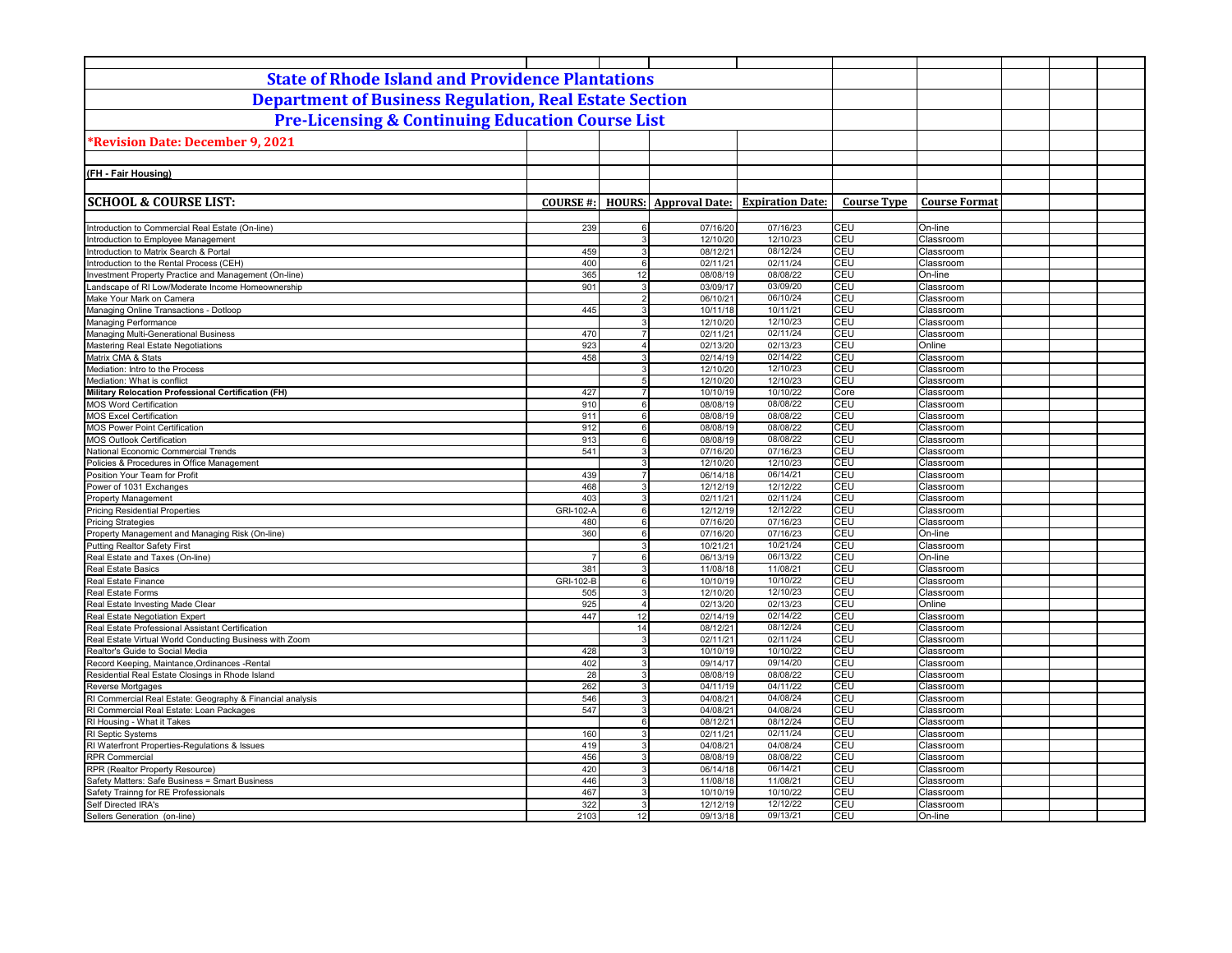| <b>State of Rhode Island and Providence Plantations</b><br><b>Department of Business Regulation, Real Estate Section</b><br><b>Pre-Licensing &amp; Continuing Education Course List</b><br>*Revision Date: December 9, 2021<br><b>HOURS:</b> Approval Date: Expiration Date:<br><b>Course Type</b><br><b>Course Format</b><br><b>COURSE#:</b><br>239<br>07/16/20<br>07/16/23<br><b>CEU</b><br>On-line<br>Introduction to Commercial Real Estate (On-line)<br>6<br><b>CEU</b><br>12/10/23<br>Introduction to Employee Management<br>3<br>12/10/20<br>Classroom<br>08/12/24<br>CEU<br>459<br>08/12/21<br>Introduction to Matrix Search & Portal<br>3<br>Classroom<br>CEU<br>Introduction to the Rental Process (CEH)<br>400<br>$6 \overline{6}$<br>02/11/21<br>02/11/24<br>Classroom<br>08/08/22<br><b>CEU</b><br>365<br>Investment Property Practice and Management (On-line)<br>12<br>08/08/19<br>On-line<br>901<br>03/09/20<br>CEU<br>Landscape of RI Low/Moderate Income Homeownership<br>03/09/17<br>3<br>Classroom<br>CEU<br>06/10/21<br>06/10/24<br>Make Your Mark on Camera<br>$\overline{2}$<br>Classroom<br>CEU<br>445<br>$\overline{3}$<br>10/11/21<br>Managing Online Transactions - Dotloop<br>10/11/18<br>Classroom<br>CEU<br>12/10/20<br>12/10/23<br>Managing Performance<br>3<br>Classroom<br>02/11/24<br><b>CEU</b><br>Managing Multi-Generational Business<br>470<br>$\overline{7}$<br>02/11/21<br>Classroom<br>923<br>02/13/23<br>CEU<br>Mastering Real Estate Negotiations<br>$\overline{4}$<br>02/13/20<br>Online<br>458<br>02/14/22<br>CEU<br>Matrix CMA & Stats<br>3<br>02/14/19<br>Classroom<br>CEU<br>12/10/20<br>12/10/23<br>3<br>Classroom<br>CEU<br>5 <sub>5</sub><br>12/10/20<br>12/10/23<br>Classroom<br>10/10/22<br>Military Relocation Professional Certification (FH)<br>427<br>$\overline{7}$<br>10/10/19<br>Core<br>Classroom<br>08/08/22<br>CEU<br>08/08/19<br>910<br>$6 \overline{6}$<br>Classroom<br>08/08/22<br>CEU<br>911<br>$6 \mid$<br>08/08/19<br>Classroom<br>912<br>08/08/22<br>CEU<br>6<br>08/08/19<br>Classroom<br>CEU<br>913<br>08/08/19<br>08/08/22<br>6<br>Classroom<br>CEU<br>541<br>07/16/20<br>07/16/23<br>Classroom<br>$\mathbf{B}$<br>12/10/23<br>CEU<br>3<br>12/10/20<br>Classroom<br>06/14/21<br>CEU<br>439<br>$\overline{7}$<br>06/14/18<br>Classroom<br>12/12/22<br><b>CEU</b><br>468<br>$\mathbf{3}$<br>12/12/19<br>Classroom<br>403<br>02/11/21<br>02/11/24<br>CEU<br>3<br>Classroom<br>CEU<br><b>Pricing Residential Properties</b><br>GRI-102-A<br>6<br>12/12/19<br>12/12/22<br>Classroom<br>CEU<br>480<br>07/16/20<br>07/16/23<br><b>Pricing Strategies</b><br>Classroom<br>$6 \mid$<br>07/16/23<br><b>CEU</b><br>360<br>6 <sup>1</sup><br>07/16/20<br>On-line<br>Property Management and Managing Risk (On-line)<br>CEU<br>10/21/24<br><b>Putting Realtor Safety First</b><br>3<br>10/21/21<br>Classroom<br>06/13/22<br>CEU<br>Real Estate and Taxes (On-line)<br>06/13/19<br>$6 \mid$<br>On-line<br>$\overline{7}$<br>381<br>11/08/18<br>11/08/21<br><b>CEU</b><br><b>Real Estate Basics</b><br>3<br>Classroom<br>CEU<br>GRI-102-B<br>6<br>10/10/22<br>Real Estate Finance<br>10/10/19<br>Classroom<br>CEU<br>Real Estate Forms<br>505<br>3<br>12/10/20<br>12/10/23<br>Classroom<br>CEU<br>925<br>02/13/20<br>02/13/23<br>Real Estate Investing Made Clear<br>$\overline{4}$<br>Online<br>447<br>12<br>02/14/22<br>CEU<br>02/14/19<br>Classroom<br>Real Estate Negotiation Expert<br>08/12/24<br>CEU<br>14<br>08/12/21<br>Real Estate Professional Assistant Certification<br>Classroom<br>CEU<br>02/11/24<br>Real Estate Virtual World Conducting Business with Zoom<br>02/11/21<br>$\mathbf{3}$<br>Classroom<br>CEU<br>Realtor's Guide to Social Media<br>428<br>3<br>10/10/19<br>10/10/22<br>Classroom<br>CEU<br>402<br>09/14/20<br>Record Keeping, Maintance, Ordinances - Rental<br>3<br>09/14/17<br>Classroom<br>28<br>CEU<br>Residential Real Estate Closings in Rhode Island<br>08/08/19<br>08/08/22<br>3<br>Classroom<br>262<br>04/11/22<br>CEU<br>Reverse Mortgages<br>3<br>04/11/19<br>Classroom<br>04/08/24<br>CEU<br>RI Commercial Real Estate: Geography & Financial analysis<br>546<br>3<br>04/08/21<br>Classroom<br>04/08/24<br>CEU<br>RI Commercial Real Estate: Loan Packages<br>547<br>04/08/21<br>3<br>Classroom<br>CEU<br>08/12/24<br>RI Housing - What it Takes<br>$6 \mid$<br>08/12/21<br>Classroom<br>CEU<br>RI Septic Systems<br>160<br>3<br>02/11/21<br>02/11/24<br>Classroom<br>CEU<br>RI Waterfront Properties-Regulations & Issues<br>419<br>04/08/21<br>04/08/24<br>3<br>Classroom<br>CEU<br>456<br>08/08/22<br><b>RPR Commercial</b><br>3<br>08/08/19<br>Classroom<br>420<br>06/14/21<br>CEU<br>RPR (Realtor Property Resource)<br>3<br>06/14/18<br>Classroom<br>11/08/21<br>CEU<br>Safety Matters: Safe Business = Smart Business<br>446<br>11/08/18<br>3<br>Classroom<br>10/10/22<br>CEU<br>Safety Trainng for RE Professionals<br>467<br>10/10/19<br>3<br>Classroom<br>322<br>12/12/22<br>CEU<br>Self Directed IRA's<br>$\mathbf{3}$<br>12/12/19<br>Classroom<br>12<br><b>CEU</b> |                                            |      |  |          |          |  |         |  |  |
|-------------------------------------------------------------------------------------------------------------------------------------------------------------------------------------------------------------------------------------------------------------------------------------------------------------------------------------------------------------------------------------------------------------------------------------------------------------------------------------------------------------------------------------------------------------------------------------------------------------------------------------------------------------------------------------------------------------------------------------------------------------------------------------------------------------------------------------------------------------------------------------------------------------------------------------------------------------------------------------------------------------------------------------------------------------------------------------------------------------------------------------------------------------------------------------------------------------------------------------------------------------------------------------------------------------------------------------------------------------------------------------------------------------------------------------------------------------------------------------------------------------------------------------------------------------------------------------------------------------------------------------------------------------------------------------------------------------------------------------------------------------------------------------------------------------------------------------------------------------------------------------------------------------------------------------------------------------------------------------------------------------------------------------------------------------------------------------------------------------------------------------------------------------------------------------------------------------------------------------------------------------------------------------------------------------------------------------------------------------------------------------------------------------------------------------------------------------------------------------------------------------------------------------------------------------------------------------------------------------------------------------------------------------------------------------------------------------------------------------------------------------------------------------------------------------------------------------------------------------------------------------------------------------------------------------------------------------------------------------------------------------------------------------------------------------------------------------------------------------------------------------------------------------------------------------------------------------------------------------------------------------------------------------------------------------------------------------------------------------------------------------------------------------------------------------------------------------------------------------------------------------------------------------------------------------------------------------------------------------------------------------------------------------------------------------------------------------------------------------------------------------------------------------------------------------------------------------------------------------------------------------------------------------------------------------------------------------------------------------------------------------------------------------------------------------------------------------------------------------------------------------------------------------------------------------------------------------------------------------------------------------------------------------------------------------------------------------------------------------------------------------------------------------------------------------------------------------------------------------------------------------------------------------------------------------------------------------------------------------------------------------------------------------------------------------------------------------------------------------------------------------------------------------------------------------------------------------------------------------------------------------------------------------------------------------------------------------------------------------------------------------------------------------------------------------------------------------|--------------------------------------------|------|--|----------|----------|--|---------|--|--|
|                                                                                                                                                                                                                                                                                                                                                                                                                                                                                                                                                                                                                                                                                                                                                                                                                                                                                                                                                                                                                                                                                                                                                                                                                                                                                                                                                                                                                                                                                                                                                                                                                                                                                                                                                                                                                                                                                                                                                                                                                                                                                                                                                                                                                                                                                                                                                                                                                                                                                                                                                                                                                                                                                                                                                                                                                                                                                                                                                                                                                                                                                                                                                                                                                                                                                                                                                                                                                                                                                                                                                                                                                                                                                                                                                                                                                                                                                                                                                                                                                                                                                                                                                                                                                                                                                                                                                                                                                                                                                                                                                                                                                                                                                                                                                                                                                                                                                                                                                                                                                                                                                     |                                            |      |  |          |          |  |         |  |  |
|                                                                                                                                                                                                                                                                                                                                                                                                                                                                                                                                                                                                                                                                                                                                                                                                                                                                                                                                                                                                                                                                                                                                                                                                                                                                                                                                                                                                                                                                                                                                                                                                                                                                                                                                                                                                                                                                                                                                                                                                                                                                                                                                                                                                                                                                                                                                                                                                                                                                                                                                                                                                                                                                                                                                                                                                                                                                                                                                                                                                                                                                                                                                                                                                                                                                                                                                                                                                                                                                                                                                                                                                                                                                                                                                                                                                                                                                                                                                                                                                                                                                                                                                                                                                                                                                                                                                                                                                                                                                                                                                                                                                                                                                                                                                                                                                                                                                                                                                                                                                                                                                                     |                                            |      |  |          |          |  |         |  |  |
|                                                                                                                                                                                                                                                                                                                                                                                                                                                                                                                                                                                                                                                                                                                                                                                                                                                                                                                                                                                                                                                                                                                                                                                                                                                                                                                                                                                                                                                                                                                                                                                                                                                                                                                                                                                                                                                                                                                                                                                                                                                                                                                                                                                                                                                                                                                                                                                                                                                                                                                                                                                                                                                                                                                                                                                                                                                                                                                                                                                                                                                                                                                                                                                                                                                                                                                                                                                                                                                                                                                                                                                                                                                                                                                                                                                                                                                                                                                                                                                                                                                                                                                                                                                                                                                                                                                                                                                                                                                                                                                                                                                                                                                                                                                                                                                                                                                                                                                                                                                                                                                                                     |                                            |      |  |          |          |  |         |  |  |
|                                                                                                                                                                                                                                                                                                                                                                                                                                                                                                                                                                                                                                                                                                                                                                                                                                                                                                                                                                                                                                                                                                                                                                                                                                                                                                                                                                                                                                                                                                                                                                                                                                                                                                                                                                                                                                                                                                                                                                                                                                                                                                                                                                                                                                                                                                                                                                                                                                                                                                                                                                                                                                                                                                                                                                                                                                                                                                                                                                                                                                                                                                                                                                                                                                                                                                                                                                                                                                                                                                                                                                                                                                                                                                                                                                                                                                                                                                                                                                                                                                                                                                                                                                                                                                                                                                                                                                                                                                                                                                                                                                                                                                                                                                                                                                                                                                                                                                                                                                                                                                                                                     |                                            |      |  |          |          |  |         |  |  |
|                                                                                                                                                                                                                                                                                                                                                                                                                                                                                                                                                                                                                                                                                                                                                                                                                                                                                                                                                                                                                                                                                                                                                                                                                                                                                                                                                                                                                                                                                                                                                                                                                                                                                                                                                                                                                                                                                                                                                                                                                                                                                                                                                                                                                                                                                                                                                                                                                                                                                                                                                                                                                                                                                                                                                                                                                                                                                                                                                                                                                                                                                                                                                                                                                                                                                                                                                                                                                                                                                                                                                                                                                                                                                                                                                                                                                                                                                                                                                                                                                                                                                                                                                                                                                                                                                                                                                                                                                                                                                                                                                                                                                                                                                                                                                                                                                                                                                                                                                                                                                                                                                     |                                            |      |  |          |          |  |         |  |  |
|                                                                                                                                                                                                                                                                                                                                                                                                                                                                                                                                                                                                                                                                                                                                                                                                                                                                                                                                                                                                                                                                                                                                                                                                                                                                                                                                                                                                                                                                                                                                                                                                                                                                                                                                                                                                                                                                                                                                                                                                                                                                                                                                                                                                                                                                                                                                                                                                                                                                                                                                                                                                                                                                                                                                                                                                                                                                                                                                                                                                                                                                                                                                                                                                                                                                                                                                                                                                                                                                                                                                                                                                                                                                                                                                                                                                                                                                                                                                                                                                                                                                                                                                                                                                                                                                                                                                                                                                                                                                                                                                                                                                                                                                                                                                                                                                                                                                                                                                                                                                                                                                                     |                                            |      |  |          |          |  |         |  |  |
|                                                                                                                                                                                                                                                                                                                                                                                                                                                                                                                                                                                                                                                                                                                                                                                                                                                                                                                                                                                                                                                                                                                                                                                                                                                                                                                                                                                                                                                                                                                                                                                                                                                                                                                                                                                                                                                                                                                                                                                                                                                                                                                                                                                                                                                                                                                                                                                                                                                                                                                                                                                                                                                                                                                                                                                                                                                                                                                                                                                                                                                                                                                                                                                                                                                                                                                                                                                                                                                                                                                                                                                                                                                                                                                                                                                                                                                                                                                                                                                                                                                                                                                                                                                                                                                                                                                                                                                                                                                                                                                                                                                                                                                                                                                                                                                                                                                                                                                                                                                                                                                                                     | (FH - Fair Housing)                        |      |  |          |          |  |         |  |  |
|                                                                                                                                                                                                                                                                                                                                                                                                                                                                                                                                                                                                                                                                                                                                                                                                                                                                                                                                                                                                                                                                                                                                                                                                                                                                                                                                                                                                                                                                                                                                                                                                                                                                                                                                                                                                                                                                                                                                                                                                                                                                                                                                                                                                                                                                                                                                                                                                                                                                                                                                                                                                                                                                                                                                                                                                                                                                                                                                                                                                                                                                                                                                                                                                                                                                                                                                                                                                                                                                                                                                                                                                                                                                                                                                                                                                                                                                                                                                                                                                                                                                                                                                                                                                                                                                                                                                                                                                                                                                                                                                                                                                                                                                                                                                                                                                                                                                                                                                                                                                                                                                                     |                                            |      |  |          |          |  |         |  |  |
|                                                                                                                                                                                                                                                                                                                                                                                                                                                                                                                                                                                                                                                                                                                                                                                                                                                                                                                                                                                                                                                                                                                                                                                                                                                                                                                                                                                                                                                                                                                                                                                                                                                                                                                                                                                                                                                                                                                                                                                                                                                                                                                                                                                                                                                                                                                                                                                                                                                                                                                                                                                                                                                                                                                                                                                                                                                                                                                                                                                                                                                                                                                                                                                                                                                                                                                                                                                                                                                                                                                                                                                                                                                                                                                                                                                                                                                                                                                                                                                                                                                                                                                                                                                                                                                                                                                                                                                                                                                                                                                                                                                                                                                                                                                                                                                                                                                                                                                                                                                                                                                                                     | <b>SCHOOL &amp; COURSE LIST:</b>           |      |  |          |          |  |         |  |  |
|                                                                                                                                                                                                                                                                                                                                                                                                                                                                                                                                                                                                                                                                                                                                                                                                                                                                                                                                                                                                                                                                                                                                                                                                                                                                                                                                                                                                                                                                                                                                                                                                                                                                                                                                                                                                                                                                                                                                                                                                                                                                                                                                                                                                                                                                                                                                                                                                                                                                                                                                                                                                                                                                                                                                                                                                                                                                                                                                                                                                                                                                                                                                                                                                                                                                                                                                                                                                                                                                                                                                                                                                                                                                                                                                                                                                                                                                                                                                                                                                                                                                                                                                                                                                                                                                                                                                                                                                                                                                                                                                                                                                                                                                                                                                                                                                                                                                                                                                                                                                                                                                                     |                                            |      |  |          |          |  |         |  |  |
|                                                                                                                                                                                                                                                                                                                                                                                                                                                                                                                                                                                                                                                                                                                                                                                                                                                                                                                                                                                                                                                                                                                                                                                                                                                                                                                                                                                                                                                                                                                                                                                                                                                                                                                                                                                                                                                                                                                                                                                                                                                                                                                                                                                                                                                                                                                                                                                                                                                                                                                                                                                                                                                                                                                                                                                                                                                                                                                                                                                                                                                                                                                                                                                                                                                                                                                                                                                                                                                                                                                                                                                                                                                                                                                                                                                                                                                                                                                                                                                                                                                                                                                                                                                                                                                                                                                                                                                                                                                                                                                                                                                                                                                                                                                                                                                                                                                                                                                                                                                                                                                                                     |                                            |      |  |          |          |  |         |  |  |
|                                                                                                                                                                                                                                                                                                                                                                                                                                                                                                                                                                                                                                                                                                                                                                                                                                                                                                                                                                                                                                                                                                                                                                                                                                                                                                                                                                                                                                                                                                                                                                                                                                                                                                                                                                                                                                                                                                                                                                                                                                                                                                                                                                                                                                                                                                                                                                                                                                                                                                                                                                                                                                                                                                                                                                                                                                                                                                                                                                                                                                                                                                                                                                                                                                                                                                                                                                                                                                                                                                                                                                                                                                                                                                                                                                                                                                                                                                                                                                                                                                                                                                                                                                                                                                                                                                                                                                                                                                                                                                                                                                                                                                                                                                                                                                                                                                                                                                                                                                                                                                                                                     |                                            |      |  |          |          |  |         |  |  |
|                                                                                                                                                                                                                                                                                                                                                                                                                                                                                                                                                                                                                                                                                                                                                                                                                                                                                                                                                                                                                                                                                                                                                                                                                                                                                                                                                                                                                                                                                                                                                                                                                                                                                                                                                                                                                                                                                                                                                                                                                                                                                                                                                                                                                                                                                                                                                                                                                                                                                                                                                                                                                                                                                                                                                                                                                                                                                                                                                                                                                                                                                                                                                                                                                                                                                                                                                                                                                                                                                                                                                                                                                                                                                                                                                                                                                                                                                                                                                                                                                                                                                                                                                                                                                                                                                                                                                                                                                                                                                                                                                                                                                                                                                                                                                                                                                                                                                                                                                                                                                                                                                     |                                            |      |  |          |          |  |         |  |  |
|                                                                                                                                                                                                                                                                                                                                                                                                                                                                                                                                                                                                                                                                                                                                                                                                                                                                                                                                                                                                                                                                                                                                                                                                                                                                                                                                                                                                                                                                                                                                                                                                                                                                                                                                                                                                                                                                                                                                                                                                                                                                                                                                                                                                                                                                                                                                                                                                                                                                                                                                                                                                                                                                                                                                                                                                                                                                                                                                                                                                                                                                                                                                                                                                                                                                                                                                                                                                                                                                                                                                                                                                                                                                                                                                                                                                                                                                                                                                                                                                                                                                                                                                                                                                                                                                                                                                                                                                                                                                                                                                                                                                                                                                                                                                                                                                                                                                                                                                                                                                                                                                                     |                                            |      |  |          |          |  |         |  |  |
|                                                                                                                                                                                                                                                                                                                                                                                                                                                                                                                                                                                                                                                                                                                                                                                                                                                                                                                                                                                                                                                                                                                                                                                                                                                                                                                                                                                                                                                                                                                                                                                                                                                                                                                                                                                                                                                                                                                                                                                                                                                                                                                                                                                                                                                                                                                                                                                                                                                                                                                                                                                                                                                                                                                                                                                                                                                                                                                                                                                                                                                                                                                                                                                                                                                                                                                                                                                                                                                                                                                                                                                                                                                                                                                                                                                                                                                                                                                                                                                                                                                                                                                                                                                                                                                                                                                                                                                                                                                                                                                                                                                                                                                                                                                                                                                                                                                                                                                                                                                                                                                                                     |                                            |      |  |          |          |  |         |  |  |
|                                                                                                                                                                                                                                                                                                                                                                                                                                                                                                                                                                                                                                                                                                                                                                                                                                                                                                                                                                                                                                                                                                                                                                                                                                                                                                                                                                                                                                                                                                                                                                                                                                                                                                                                                                                                                                                                                                                                                                                                                                                                                                                                                                                                                                                                                                                                                                                                                                                                                                                                                                                                                                                                                                                                                                                                                                                                                                                                                                                                                                                                                                                                                                                                                                                                                                                                                                                                                                                                                                                                                                                                                                                                                                                                                                                                                                                                                                                                                                                                                                                                                                                                                                                                                                                                                                                                                                                                                                                                                                                                                                                                                                                                                                                                                                                                                                                                                                                                                                                                                                                                                     |                                            |      |  |          |          |  |         |  |  |
|                                                                                                                                                                                                                                                                                                                                                                                                                                                                                                                                                                                                                                                                                                                                                                                                                                                                                                                                                                                                                                                                                                                                                                                                                                                                                                                                                                                                                                                                                                                                                                                                                                                                                                                                                                                                                                                                                                                                                                                                                                                                                                                                                                                                                                                                                                                                                                                                                                                                                                                                                                                                                                                                                                                                                                                                                                                                                                                                                                                                                                                                                                                                                                                                                                                                                                                                                                                                                                                                                                                                                                                                                                                                                                                                                                                                                                                                                                                                                                                                                                                                                                                                                                                                                                                                                                                                                                                                                                                                                                                                                                                                                                                                                                                                                                                                                                                                                                                                                                                                                                                                                     |                                            |      |  |          |          |  |         |  |  |
|                                                                                                                                                                                                                                                                                                                                                                                                                                                                                                                                                                                                                                                                                                                                                                                                                                                                                                                                                                                                                                                                                                                                                                                                                                                                                                                                                                                                                                                                                                                                                                                                                                                                                                                                                                                                                                                                                                                                                                                                                                                                                                                                                                                                                                                                                                                                                                                                                                                                                                                                                                                                                                                                                                                                                                                                                                                                                                                                                                                                                                                                                                                                                                                                                                                                                                                                                                                                                                                                                                                                                                                                                                                                                                                                                                                                                                                                                                                                                                                                                                                                                                                                                                                                                                                                                                                                                                                                                                                                                                                                                                                                                                                                                                                                                                                                                                                                                                                                                                                                                                                                                     |                                            |      |  |          |          |  |         |  |  |
|                                                                                                                                                                                                                                                                                                                                                                                                                                                                                                                                                                                                                                                                                                                                                                                                                                                                                                                                                                                                                                                                                                                                                                                                                                                                                                                                                                                                                                                                                                                                                                                                                                                                                                                                                                                                                                                                                                                                                                                                                                                                                                                                                                                                                                                                                                                                                                                                                                                                                                                                                                                                                                                                                                                                                                                                                                                                                                                                                                                                                                                                                                                                                                                                                                                                                                                                                                                                                                                                                                                                                                                                                                                                                                                                                                                                                                                                                                                                                                                                                                                                                                                                                                                                                                                                                                                                                                                                                                                                                                                                                                                                                                                                                                                                                                                                                                                                                                                                                                                                                                                                                     |                                            |      |  |          |          |  |         |  |  |
|                                                                                                                                                                                                                                                                                                                                                                                                                                                                                                                                                                                                                                                                                                                                                                                                                                                                                                                                                                                                                                                                                                                                                                                                                                                                                                                                                                                                                                                                                                                                                                                                                                                                                                                                                                                                                                                                                                                                                                                                                                                                                                                                                                                                                                                                                                                                                                                                                                                                                                                                                                                                                                                                                                                                                                                                                                                                                                                                                                                                                                                                                                                                                                                                                                                                                                                                                                                                                                                                                                                                                                                                                                                                                                                                                                                                                                                                                                                                                                                                                                                                                                                                                                                                                                                                                                                                                                                                                                                                                                                                                                                                                                                                                                                                                                                                                                                                                                                                                                                                                                                                                     |                                            |      |  |          |          |  |         |  |  |
|                                                                                                                                                                                                                                                                                                                                                                                                                                                                                                                                                                                                                                                                                                                                                                                                                                                                                                                                                                                                                                                                                                                                                                                                                                                                                                                                                                                                                                                                                                                                                                                                                                                                                                                                                                                                                                                                                                                                                                                                                                                                                                                                                                                                                                                                                                                                                                                                                                                                                                                                                                                                                                                                                                                                                                                                                                                                                                                                                                                                                                                                                                                                                                                                                                                                                                                                                                                                                                                                                                                                                                                                                                                                                                                                                                                                                                                                                                                                                                                                                                                                                                                                                                                                                                                                                                                                                                                                                                                                                                                                                                                                                                                                                                                                                                                                                                                                                                                                                                                                                                                                                     |                                            |      |  |          |          |  |         |  |  |
|                                                                                                                                                                                                                                                                                                                                                                                                                                                                                                                                                                                                                                                                                                                                                                                                                                                                                                                                                                                                                                                                                                                                                                                                                                                                                                                                                                                                                                                                                                                                                                                                                                                                                                                                                                                                                                                                                                                                                                                                                                                                                                                                                                                                                                                                                                                                                                                                                                                                                                                                                                                                                                                                                                                                                                                                                                                                                                                                                                                                                                                                                                                                                                                                                                                                                                                                                                                                                                                                                                                                                                                                                                                                                                                                                                                                                                                                                                                                                                                                                                                                                                                                                                                                                                                                                                                                                                                                                                                                                                                                                                                                                                                                                                                                                                                                                                                                                                                                                                                                                                                                                     | Mediation: Intro to the Process            |      |  |          |          |  |         |  |  |
|                                                                                                                                                                                                                                                                                                                                                                                                                                                                                                                                                                                                                                                                                                                                                                                                                                                                                                                                                                                                                                                                                                                                                                                                                                                                                                                                                                                                                                                                                                                                                                                                                                                                                                                                                                                                                                                                                                                                                                                                                                                                                                                                                                                                                                                                                                                                                                                                                                                                                                                                                                                                                                                                                                                                                                                                                                                                                                                                                                                                                                                                                                                                                                                                                                                                                                                                                                                                                                                                                                                                                                                                                                                                                                                                                                                                                                                                                                                                                                                                                                                                                                                                                                                                                                                                                                                                                                                                                                                                                                                                                                                                                                                                                                                                                                                                                                                                                                                                                                                                                                                                                     | Mediation: What is conflict                |      |  |          |          |  |         |  |  |
|                                                                                                                                                                                                                                                                                                                                                                                                                                                                                                                                                                                                                                                                                                                                                                                                                                                                                                                                                                                                                                                                                                                                                                                                                                                                                                                                                                                                                                                                                                                                                                                                                                                                                                                                                                                                                                                                                                                                                                                                                                                                                                                                                                                                                                                                                                                                                                                                                                                                                                                                                                                                                                                                                                                                                                                                                                                                                                                                                                                                                                                                                                                                                                                                                                                                                                                                                                                                                                                                                                                                                                                                                                                                                                                                                                                                                                                                                                                                                                                                                                                                                                                                                                                                                                                                                                                                                                                                                                                                                                                                                                                                                                                                                                                                                                                                                                                                                                                                                                                                                                                                                     |                                            |      |  |          |          |  |         |  |  |
|                                                                                                                                                                                                                                                                                                                                                                                                                                                                                                                                                                                                                                                                                                                                                                                                                                                                                                                                                                                                                                                                                                                                                                                                                                                                                                                                                                                                                                                                                                                                                                                                                                                                                                                                                                                                                                                                                                                                                                                                                                                                                                                                                                                                                                                                                                                                                                                                                                                                                                                                                                                                                                                                                                                                                                                                                                                                                                                                                                                                                                                                                                                                                                                                                                                                                                                                                                                                                                                                                                                                                                                                                                                                                                                                                                                                                                                                                                                                                                                                                                                                                                                                                                                                                                                                                                                                                                                                                                                                                                                                                                                                                                                                                                                                                                                                                                                                                                                                                                                                                                                                                     | MOS Word Certification                     |      |  |          |          |  |         |  |  |
|                                                                                                                                                                                                                                                                                                                                                                                                                                                                                                                                                                                                                                                                                                                                                                                                                                                                                                                                                                                                                                                                                                                                                                                                                                                                                                                                                                                                                                                                                                                                                                                                                                                                                                                                                                                                                                                                                                                                                                                                                                                                                                                                                                                                                                                                                                                                                                                                                                                                                                                                                                                                                                                                                                                                                                                                                                                                                                                                                                                                                                                                                                                                                                                                                                                                                                                                                                                                                                                                                                                                                                                                                                                                                                                                                                                                                                                                                                                                                                                                                                                                                                                                                                                                                                                                                                                                                                                                                                                                                                                                                                                                                                                                                                                                                                                                                                                                                                                                                                                                                                                                                     | <b>MOS Excel Certification</b>             |      |  |          |          |  |         |  |  |
|                                                                                                                                                                                                                                                                                                                                                                                                                                                                                                                                                                                                                                                                                                                                                                                                                                                                                                                                                                                                                                                                                                                                                                                                                                                                                                                                                                                                                                                                                                                                                                                                                                                                                                                                                                                                                                                                                                                                                                                                                                                                                                                                                                                                                                                                                                                                                                                                                                                                                                                                                                                                                                                                                                                                                                                                                                                                                                                                                                                                                                                                                                                                                                                                                                                                                                                                                                                                                                                                                                                                                                                                                                                                                                                                                                                                                                                                                                                                                                                                                                                                                                                                                                                                                                                                                                                                                                                                                                                                                                                                                                                                                                                                                                                                                                                                                                                                                                                                                                                                                                                                                     | <b>MOS Power Point Certification</b>       |      |  |          |          |  |         |  |  |
|                                                                                                                                                                                                                                                                                                                                                                                                                                                                                                                                                                                                                                                                                                                                                                                                                                                                                                                                                                                                                                                                                                                                                                                                                                                                                                                                                                                                                                                                                                                                                                                                                                                                                                                                                                                                                                                                                                                                                                                                                                                                                                                                                                                                                                                                                                                                                                                                                                                                                                                                                                                                                                                                                                                                                                                                                                                                                                                                                                                                                                                                                                                                                                                                                                                                                                                                                                                                                                                                                                                                                                                                                                                                                                                                                                                                                                                                                                                                                                                                                                                                                                                                                                                                                                                                                                                                                                                                                                                                                                                                                                                                                                                                                                                                                                                                                                                                                                                                                                                                                                                                                     | <b>MOS Outlook Certification</b>           |      |  |          |          |  |         |  |  |
|                                                                                                                                                                                                                                                                                                                                                                                                                                                                                                                                                                                                                                                                                                                                                                                                                                                                                                                                                                                                                                                                                                                                                                                                                                                                                                                                                                                                                                                                                                                                                                                                                                                                                                                                                                                                                                                                                                                                                                                                                                                                                                                                                                                                                                                                                                                                                                                                                                                                                                                                                                                                                                                                                                                                                                                                                                                                                                                                                                                                                                                                                                                                                                                                                                                                                                                                                                                                                                                                                                                                                                                                                                                                                                                                                                                                                                                                                                                                                                                                                                                                                                                                                                                                                                                                                                                                                                                                                                                                                                                                                                                                                                                                                                                                                                                                                                                                                                                                                                                                                                                                                     | National Economic Commercial Trends        |      |  |          |          |  |         |  |  |
|                                                                                                                                                                                                                                                                                                                                                                                                                                                                                                                                                                                                                                                                                                                                                                                                                                                                                                                                                                                                                                                                                                                                                                                                                                                                                                                                                                                                                                                                                                                                                                                                                                                                                                                                                                                                                                                                                                                                                                                                                                                                                                                                                                                                                                                                                                                                                                                                                                                                                                                                                                                                                                                                                                                                                                                                                                                                                                                                                                                                                                                                                                                                                                                                                                                                                                                                                                                                                                                                                                                                                                                                                                                                                                                                                                                                                                                                                                                                                                                                                                                                                                                                                                                                                                                                                                                                                                                                                                                                                                                                                                                                                                                                                                                                                                                                                                                                                                                                                                                                                                                                                     | Policies & Procedures in Office Management |      |  |          |          |  |         |  |  |
|                                                                                                                                                                                                                                                                                                                                                                                                                                                                                                                                                                                                                                                                                                                                                                                                                                                                                                                                                                                                                                                                                                                                                                                                                                                                                                                                                                                                                                                                                                                                                                                                                                                                                                                                                                                                                                                                                                                                                                                                                                                                                                                                                                                                                                                                                                                                                                                                                                                                                                                                                                                                                                                                                                                                                                                                                                                                                                                                                                                                                                                                                                                                                                                                                                                                                                                                                                                                                                                                                                                                                                                                                                                                                                                                                                                                                                                                                                                                                                                                                                                                                                                                                                                                                                                                                                                                                                                                                                                                                                                                                                                                                                                                                                                                                                                                                                                                                                                                                                                                                                                                                     | Position Your Team for Profit              |      |  |          |          |  |         |  |  |
|                                                                                                                                                                                                                                                                                                                                                                                                                                                                                                                                                                                                                                                                                                                                                                                                                                                                                                                                                                                                                                                                                                                                                                                                                                                                                                                                                                                                                                                                                                                                                                                                                                                                                                                                                                                                                                                                                                                                                                                                                                                                                                                                                                                                                                                                                                                                                                                                                                                                                                                                                                                                                                                                                                                                                                                                                                                                                                                                                                                                                                                                                                                                                                                                                                                                                                                                                                                                                                                                                                                                                                                                                                                                                                                                                                                                                                                                                                                                                                                                                                                                                                                                                                                                                                                                                                                                                                                                                                                                                                                                                                                                                                                                                                                                                                                                                                                                                                                                                                                                                                                                                     | Power of 1031 Exchanges                    |      |  |          |          |  |         |  |  |
|                                                                                                                                                                                                                                                                                                                                                                                                                                                                                                                                                                                                                                                                                                                                                                                                                                                                                                                                                                                                                                                                                                                                                                                                                                                                                                                                                                                                                                                                                                                                                                                                                                                                                                                                                                                                                                                                                                                                                                                                                                                                                                                                                                                                                                                                                                                                                                                                                                                                                                                                                                                                                                                                                                                                                                                                                                                                                                                                                                                                                                                                                                                                                                                                                                                                                                                                                                                                                                                                                                                                                                                                                                                                                                                                                                                                                                                                                                                                                                                                                                                                                                                                                                                                                                                                                                                                                                                                                                                                                                                                                                                                                                                                                                                                                                                                                                                                                                                                                                                                                                                                                     | <b>Property Management</b>                 |      |  |          |          |  |         |  |  |
|                                                                                                                                                                                                                                                                                                                                                                                                                                                                                                                                                                                                                                                                                                                                                                                                                                                                                                                                                                                                                                                                                                                                                                                                                                                                                                                                                                                                                                                                                                                                                                                                                                                                                                                                                                                                                                                                                                                                                                                                                                                                                                                                                                                                                                                                                                                                                                                                                                                                                                                                                                                                                                                                                                                                                                                                                                                                                                                                                                                                                                                                                                                                                                                                                                                                                                                                                                                                                                                                                                                                                                                                                                                                                                                                                                                                                                                                                                                                                                                                                                                                                                                                                                                                                                                                                                                                                                                                                                                                                                                                                                                                                                                                                                                                                                                                                                                                                                                                                                                                                                                                                     |                                            |      |  |          |          |  |         |  |  |
|                                                                                                                                                                                                                                                                                                                                                                                                                                                                                                                                                                                                                                                                                                                                                                                                                                                                                                                                                                                                                                                                                                                                                                                                                                                                                                                                                                                                                                                                                                                                                                                                                                                                                                                                                                                                                                                                                                                                                                                                                                                                                                                                                                                                                                                                                                                                                                                                                                                                                                                                                                                                                                                                                                                                                                                                                                                                                                                                                                                                                                                                                                                                                                                                                                                                                                                                                                                                                                                                                                                                                                                                                                                                                                                                                                                                                                                                                                                                                                                                                                                                                                                                                                                                                                                                                                                                                                                                                                                                                                                                                                                                                                                                                                                                                                                                                                                                                                                                                                                                                                                                                     |                                            |      |  |          |          |  |         |  |  |
|                                                                                                                                                                                                                                                                                                                                                                                                                                                                                                                                                                                                                                                                                                                                                                                                                                                                                                                                                                                                                                                                                                                                                                                                                                                                                                                                                                                                                                                                                                                                                                                                                                                                                                                                                                                                                                                                                                                                                                                                                                                                                                                                                                                                                                                                                                                                                                                                                                                                                                                                                                                                                                                                                                                                                                                                                                                                                                                                                                                                                                                                                                                                                                                                                                                                                                                                                                                                                                                                                                                                                                                                                                                                                                                                                                                                                                                                                                                                                                                                                                                                                                                                                                                                                                                                                                                                                                                                                                                                                                                                                                                                                                                                                                                                                                                                                                                                                                                                                                                                                                                                                     |                                            |      |  |          |          |  |         |  |  |
|                                                                                                                                                                                                                                                                                                                                                                                                                                                                                                                                                                                                                                                                                                                                                                                                                                                                                                                                                                                                                                                                                                                                                                                                                                                                                                                                                                                                                                                                                                                                                                                                                                                                                                                                                                                                                                                                                                                                                                                                                                                                                                                                                                                                                                                                                                                                                                                                                                                                                                                                                                                                                                                                                                                                                                                                                                                                                                                                                                                                                                                                                                                                                                                                                                                                                                                                                                                                                                                                                                                                                                                                                                                                                                                                                                                                                                                                                                                                                                                                                                                                                                                                                                                                                                                                                                                                                                                                                                                                                                                                                                                                                                                                                                                                                                                                                                                                                                                                                                                                                                                                                     |                                            |      |  |          |          |  |         |  |  |
|                                                                                                                                                                                                                                                                                                                                                                                                                                                                                                                                                                                                                                                                                                                                                                                                                                                                                                                                                                                                                                                                                                                                                                                                                                                                                                                                                                                                                                                                                                                                                                                                                                                                                                                                                                                                                                                                                                                                                                                                                                                                                                                                                                                                                                                                                                                                                                                                                                                                                                                                                                                                                                                                                                                                                                                                                                                                                                                                                                                                                                                                                                                                                                                                                                                                                                                                                                                                                                                                                                                                                                                                                                                                                                                                                                                                                                                                                                                                                                                                                                                                                                                                                                                                                                                                                                                                                                                                                                                                                                                                                                                                                                                                                                                                                                                                                                                                                                                                                                                                                                                                                     |                                            |      |  |          |          |  |         |  |  |
|                                                                                                                                                                                                                                                                                                                                                                                                                                                                                                                                                                                                                                                                                                                                                                                                                                                                                                                                                                                                                                                                                                                                                                                                                                                                                                                                                                                                                                                                                                                                                                                                                                                                                                                                                                                                                                                                                                                                                                                                                                                                                                                                                                                                                                                                                                                                                                                                                                                                                                                                                                                                                                                                                                                                                                                                                                                                                                                                                                                                                                                                                                                                                                                                                                                                                                                                                                                                                                                                                                                                                                                                                                                                                                                                                                                                                                                                                                                                                                                                                                                                                                                                                                                                                                                                                                                                                                                                                                                                                                                                                                                                                                                                                                                                                                                                                                                                                                                                                                                                                                                                                     |                                            |      |  |          |          |  |         |  |  |
|                                                                                                                                                                                                                                                                                                                                                                                                                                                                                                                                                                                                                                                                                                                                                                                                                                                                                                                                                                                                                                                                                                                                                                                                                                                                                                                                                                                                                                                                                                                                                                                                                                                                                                                                                                                                                                                                                                                                                                                                                                                                                                                                                                                                                                                                                                                                                                                                                                                                                                                                                                                                                                                                                                                                                                                                                                                                                                                                                                                                                                                                                                                                                                                                                                                                                                                                                                                                                                                                                                                                                                                                                                                                                                                                                                                                                                                                                                                                                                                                                                                                                                                                                                                                                                                                                                                                                                                                                                                                                                                                                                                                                                                                                                                                                                                                                                                                                                                                                                                                                                                                                     |                                            |      |  |          |          |  |         |  |  |
|                                                                                                                                                                                                                                                                                                                                                                                                                                                                                                                                                                                                                                                                                                                                                                                                                                                                                                                                                                                                                                                                                                                                                                                                                                                                                                                                                                                                                                                                                                                                                                                                                                                                                                                                                                                                                                                                                                                                                                                                                                                                                                                                                                                                                                                                                                                                                                                                                                                                                                                                                                                                                                                                                                                                                                                                                                                                                                                                                                                                                                                                                                                                                                                                                                                                                                                                                                                                                                                                                                                                                                                                                                                                                                                                                                                                                                                                                                                                                                                                                                                                                                                                                                                                                                                                                                                                                                                                                                                                                                                                                                                                                                                                                                                                                                                                                                                                                                                                                                                                                                                                                     |                                            |      |  |          |          |  |         |  |  |
|                                                                                                                                                                                                                                                                                                                                                                                                                                                                                                                                                                                                                                                                                                                                                                                                                                                                                                                                                                                                                                                                                                                                                                                                                                                                                                                                                                                                                                                                                                                                                                                                                                                                                                                                                                                                                                                                                                                                                                                                                                                                                                                                                                                                                                                                                                                                                                                                                                                                                                                                                                                                                                                                                                                                                                                                                                                                                                                                                                                                                                                                                                                                                                                                                                                                                                                                                                                                                                                                                                                                                                                                                                                                                                                                                                                                                                                                                                                                                                                                                                                                                                                                                                                                                                                                                                                                                                                                                                                                                                                                                                                                                                                                                                                                                                                                                                                                                                                                                                                                                                                                                     |                                            |      |  |          |          |  |         |  |  |
|                                                                                                                                                                                                                                                                                                                                                                                                                                                                                                                                                                                                                                                                                                                                                                                                                                                                                                                                                                                                                                                                                                                                                                                                                                                                                                                                                                                                                                                                                                                                                                                                                                                                                                                                                                                                                                                                                                                                                                                                                                                                                                                                                                                                                                                                                                                                                                                                                                                                                                                                                                                                                                                                                                                                                                                                                                                                                                                                                                                                                                                                                                                                                                                                                                                                                                                                                                                                                                                                                                                                                                                                                                                                                                                                                                                                                                                                                                                                                                                                                                                                                                                                                                                                                                                                                                                                                                                                                                                                                                                                                                                                                                                                                                                                                                                                                                                                                                                                                                                                                                                                                     |                                            |      |  |          |          |  |         |  |  |
|                                                                                                                                                                                                                                                                                                                                                                                                                                                                                                                                                                                                                                                                                                                                                                                                                                                                                                                                                                                                                                                                                                                                                                                                                                                                                                                                                                                                                                                                                                                                                                                                                                                                                                                                                                                                                                                                                                                                                                                                                                                                                                                                                                                                                                                                                                                                                                                                                                                                                                                                                                                                                                                                                                                                                                                                                                                                                                                                                                                                                                                                                                                                                                                                                                                                                                                                                                                                                                                                                                                                                                                                                                                                                                                                                                                                                                                                                                                                                                                                                                                                                                                                                                                                                                                                                                                                                                                                                                                                                                                                                                                                                                                                                                                                                                                                                                                                                                                                                                                                                                                                                     |                                            |      |  |          |          |  |         |  |  |
|                                                                                                                                                                                                                                                                                                                                                                                                                                                                                                                                                                                                                                                                                                                                                                                                                                                                                                                                                                                                                                                                                                                                                                                                                                                                                                                                                                                                                                                                                                                                                                                                                                                                                                                                                                                                                                                                                                                                                                                                                                                                                                                                                                                                                                                                                                                                                                                                                                                                                                                                                                                                                                                                                                                                                                                                                                                                                                                                                                                                                                                                                                                                                                                                                                                                                                                                                                                                                                                                                                                                                                                                                                                                                                                                                                                                                                                                                                                                                                                                                                                                                                                                                                                                                                                                                                                                                                                                                                                                                                                                                                                                                                                                                                                                                                                                                                                                                                                                                                                                                                                                                     |                                            |      |  |          |          |  |         |  |  |
|                                                                                                                                                                                                                                                                                                                                                                                                                                                                                                                                                                                                                                                                                                                                                                                                                                                                                                                                                                                                                                                                                                                                                                                                                                                                                                                                                                                                                                                                                                                                                                                                                                                                                                                                                                                                                                                                                                                                                                                                                                                                                                                                                                                                                                                                                                                                                                                                                                                                                                                                                                                                                                                                                                                                                                                                                                                                                                                                                                                                                                                                                                                                                                                                                                                                                                                                                                                                                                                                                                                                                                                                                                                                                                                                                                                                                                                                                                                                                                                                                                                                                                                                                                                                                                                                                                                                                                                                                                                                                                                                                                                                                                                                                                                                                                                                                                                                                                                                                                                                                                                                                     |                                            |      |  |          |          |  |         |  |  |
|                                                                                                                                                                                                                                                                                                                                                                                                                                                                                                                                                                                                                                                                                                                                                                                                                                                                                                                                                                                                                                                                                                                                                                                                                                                                                                                                                                                                                                                                                                                                                                                                                                                                                                                                                                                                                                                                                                                                                                                                                                                                                                                                                                                                                                                                                                                                                                                                                                                                                                                                                                                                                                                                                                                                                                                                                                                                                                                                                                                                                                                                                                                                                                                                                                                                                                                                                                                                                                                                                                                                                                                                                                                                                                                                                                                                                                                                                                                                                                                                                                                                                                                                                                                                                                                                                                                                                                                                                                                                                                                                                                                                                                                                                                                                                                                                                                                                                                                                                                                                                                                                                     |                                            |      |  |          |          |  |         |  |  |
|                                                                                                                                                                                                                                                                                                                                                                                                                                                                                                                                                                                                                                                                                                                                                                                                                                                                                                                                                                                                                                                                                                                                                                                                                                                                                                                                                                                                                                                                                                                                                                                                                                                                                                                                                                                                                                                                                                                                                                                                                                                                                                                                                                                                                                                                                                                                                                                                                                                                                                                                                                                                                                                                                                                                                                                                                                                                                                                                                                                                                                                                                                                                                                                                                                                                                                                                                                                                                                                                                                                                                                                                                                                                                                                                                                                                                                                                                                                                                                                                                                                                                                                                                                                                                                                                                                                                                                                                                                                                                                                                                                                                                                                                                                                                                                                                                                                                                                                                                                                                                                                                                     |                                            |      |  |          |          |  |         |  |  |
|                                                                                                                                                                                                                                                                                                                                                                                                                                                                                                                                                                                                                                                                                                                                                                                                                                                                                                                                                                                                                                                                                                                                                                                                                                                                                                                                                                                                                                                                                                                                                                                                                                                                                                                                                                                                                                                                                                                                                                                                                                                                                                                                                                                                                                                                                                                                                                                                                                                                                                                                                                                                                                                                                                                                                                                                                                                                                                                                                                                                                                                                                                                                                                                                                                                                                                                                                                                                                                                                                                                                                                                                                                                                                                                                                                                                                                                                                                                                                                                                                                                                                                                                                                                                                                                                                                                                                                                                                                                                                                                                                                                                                                                                                                                                                                                                                                                                                                                                                                                                                                                                                     |                                            |      |  |          |          |  |         |  |  |
|                                                                                                                                                                                                                                                                                                                                                                                                                                                                                                                                                                                                                                                                                                                                                                                                                                                                                                                                                                                                                                                                                                                                                                                                                                                                                                                                                                                                                                                                                                                                                                                                                                                                                                                                                                                                                                                                                                                                                                                                                                                                                                                                                                                                                                                                                                                                                                                                                                                                                                                                                                                                                                                                                                                                                                                                                                                                                                                                                                                                                                                                                                                                                                                                                                                                                                                                                                                                                                                                                                                                                                                                                                                                                                                                                                                                                                                                                                                                                                                                                                                                                                                                                                                                                                                                                                                                                                                                                                                                                                                                                                                                                                                                                                                                                                                                                                                                                                                                                                                                                                                                                     |                                            |      |  |          |          |  |         |  |  |
|                                                                                                                                                                                                                                                                                                                                                                                                                                                                                                                                                                                                                                                                                                                                                                                                                                                                                                                                                                                                                                                                                                                                                                                                                                                                                                                                                                                                                                                                                                                                                                                                                                                                                                                                                                                                                                                                                                                                                                                                                                                                                                                                                                                                                                                                                                                                                                                                                                                                                                                                                                                                                                                                                                                                                                                                                                                                                                                                                                                                                                                                                                                                                                                                                                                                                                                                                                                                                                                                                                                                                                                                                                                                                                                                                                                                                                                                                                                                                                                                                                                                                                                                                                                                                                                                                                                                                                                                                                                                                                                                                                                                                                                                                                                                                                                                                                                                                                                                                                                                                                                                                     |                                            |      |  |          |          |  |         |  |  |
|                                                                                                                                                                                                                                                                                                                                                                                                                                                                                                                                                                                                                                                                                                                                                                                                                                                                                                                                                                                                                                                                                                                                                                                                                                                                                                                                                                                                                                                                                                                                                                                                                                                                                                                                                                                                                                                                                                                                                                                                                                                                                                                                                                                                                                                                                                                                                                                                                                                                                                                                                                                                                                                                                                                                                                                                                                                                                                                                                                                                                                                                                                                                                                                                                                                                                                                                                                                                                                                                                                                                                                                                                                                                                                                                                                                                                                                                                                                                                                                                                                                                                                                                                                                                                                                                                                                                                                                                                                                                                                                                                                                                                                                                                                                                                                                                                                                                                                                                                                                                                                                                                     |                                            |      |  |          |          |  |         |  |  |
|                                                                                                                                                                                                                                                                                                                                                                                                                                                                                                                                                                                                                                                                                                                                                                                                                                                                                                                                                                                                                                                                                                                                                                                                                                                                                                                                                                                                                                                                                                                                                                                                                                                                                                                                                                                                                                                                                                                                                                                                                                                                                                                                                                                                                                                                                                                                                                                                                                                                                                                                                                                                                                                                                                                                                                                                                                                                                                                                                                                                                                                                                                                                                                                                                                                                                                                                                                                                                                                                                                                                                                                                                                                                                                                                                                                                                                                                                                                                                                                                                                                                                                                                                                                                                                                                                                                                                                                                                                                                                                                                                                                                                                                                                                                                                                                                                                                                                                                                                                                                                                                                                     |                                            |      |  |          |          |  |         |  |  |
|                                                                                                                                                                                                                                                                                                                                                                                                                                                                                                                                                                                                                                                                                                                                                                                                                                                                                                                                                                                                                                                                                                                                                                                                                                                                                                                                                                                                                                                                                                                                                                                                                                                                                                                                                                                                                                                                                                                                                                                                                                                                                                                                                                                                                                                                                                                                                                                                                                                                                                                                                                                                                                                                                                                                                                                                                                                                                                                                                                                                                                                                                                                                                                                                                                                                                                                                                                                                                                                                                                                                                                                                                                                                                                                                                                                                                                                                                                                                                                                                                                                                                                                                                                                                                                                                                                                                                                                                                                                                                                                                                                                                                                                                                                                                                                                                                                                                                                                                                                                                                                                                                     |                                            |      |  |          |          |  |         |  |  |
|                                                                                                                                                                                                                                                                                                                                                                                                                                                                                                                                                                                                                                                                                                                                                                                                                                                                                                                                                                                                                                                                                                                                                                                                                                                                                                                                                                                                                                                                                                                                                                                                                                                                                                                                                                                                                                                                                                                                                                                                                                                                                                                                                                                                                                                                                                                                                                                                                                                                                                                                                                                                                                                                                                                                                                                                                                                                                                                                                                                                                                                                                                                                                                                                                                                                                                                                                                                                                                                                                                                                                                                                                                                                                                                                                                                                                                                                                                                                                                                                                                                                                                                                                                                                                                                                                                                                                                                                                                                                                                                                                                                                                                                                                                                                                                                                                                                                                                                                                                                                                                                                                     |                                            |      |  |          |          |  |         |  |  |
|                                                                                                                                                                                                                                                                                                                                                                                                                                                                                                                                                                                                                                                                                                                                                                                                                                                                                                                                                                                                                                                                                                                                                                                                                                                                                                                                                                                                                                                                                                                                                                                                                                                                                                                                                                                                                                                                                                                                                                                                                                                                                                                                                                                                                                                                                                                                                                                                                                                                                                                                                                                                                                                                                                                                                                                                                                                                                                                                                                                                                                                                                                                                                                                                                                                                                                                                                                                                                                                                                                                                                                                                                                                                                                                                                                                                                                                                                                                                                                                                                                                                                                                                                                                                                                                                                                                                                                                                                                                                                                                                                                                                                                                                                                                                                                                                                                                                                                                                                                                                                                                                                     |                                            |      |  |          |          |  |         |  |  |
|                                                                                                                                                                                                                                                                                                                                                                                                                                                                                                                                                                                                                                                                                                                                                                                                                                                                                                                                                                                                                                                                                                                                                                                                                                                                                                                                                                                                                                                                                                                                                                                                                                                                                                                                                                                                                                                                                                                                                                                                                                                                                                                                                                                                                                                                                                                                                                                                                                                                                                                                                                                                                                                                                                                                                                                                                                                                                                                                                                                                                                                                                                                                                                                                                                                                                                                                                                                                                                                                                                                                                                                                                                                                                                                                                                                                                                                                                                                                                                                                                                                                                                                                                                                                                                                                                                                                                                                                                                                                                                                                                                                                                                                                                                                                                                                                                                                                                                                                                                                                                                                                                     |                                            |      |  |          |          |  |         |  |  |
|                                                                                                                                                                                                                                                                                                                                                                                                                                                                                                                                                                                                                                                                                                                                                                                                                                                                                                                                                                                                                                                                                                                                                                                                                                                                                                                                                                                                                                                                                                                                                                                                                                                                                                                                                                                                                                                                                                                                                                                                                                                                                                                                                                                                                                                                                                                                                                                                                                                                                                                                                                                                                                                                                                                                                                                                                                                                                                                                                                                                                                                                                                                                                                                                                                                                                                                                                                                                                                                                                                                                                                                                                                                                                                                                                                                                                                                                                                                                                                                                                                                                                                                                                                                                                                                                                                                                                                                                                                                                                                                                                                                                                                                                                                                                                                                                                                                                                                                                                                                                                                                                                     |                                            |      |  |          |          |  |         |  |  |
|                                                                                                                                                                                                                                                                                                                                                                                                                                                                                                                                                                                                                                                                                                                                                                                                                                                                                                                                                                                                                                                                                                                                                                                                                                                                                                                                                                                                                                                                                                                                                                                                                                                                                                                                                                                                                                                                                                                                                                                                                                                                                                                                                                                                                                                                                                                                                                                                                                                                                                                                                                                                                                                                                                                                                                                                                                                                                                                                                                                                                                                                                                                                                                                                                                                                                                                                                                                                                                                                                                                                                                                                                                                                                                                                                                                                                                                                                                                                                                                                                                                                                                                                                                                                                                                                                                                                                                                                                                                                                                                                                                                                                                                                                                                                                                                                                                                                                                                                                                                                                                                                                     | Sellers Generation (on-line)               | 2103 |  | 09/13/18 | 09/13/21 |  | On-line |  |  |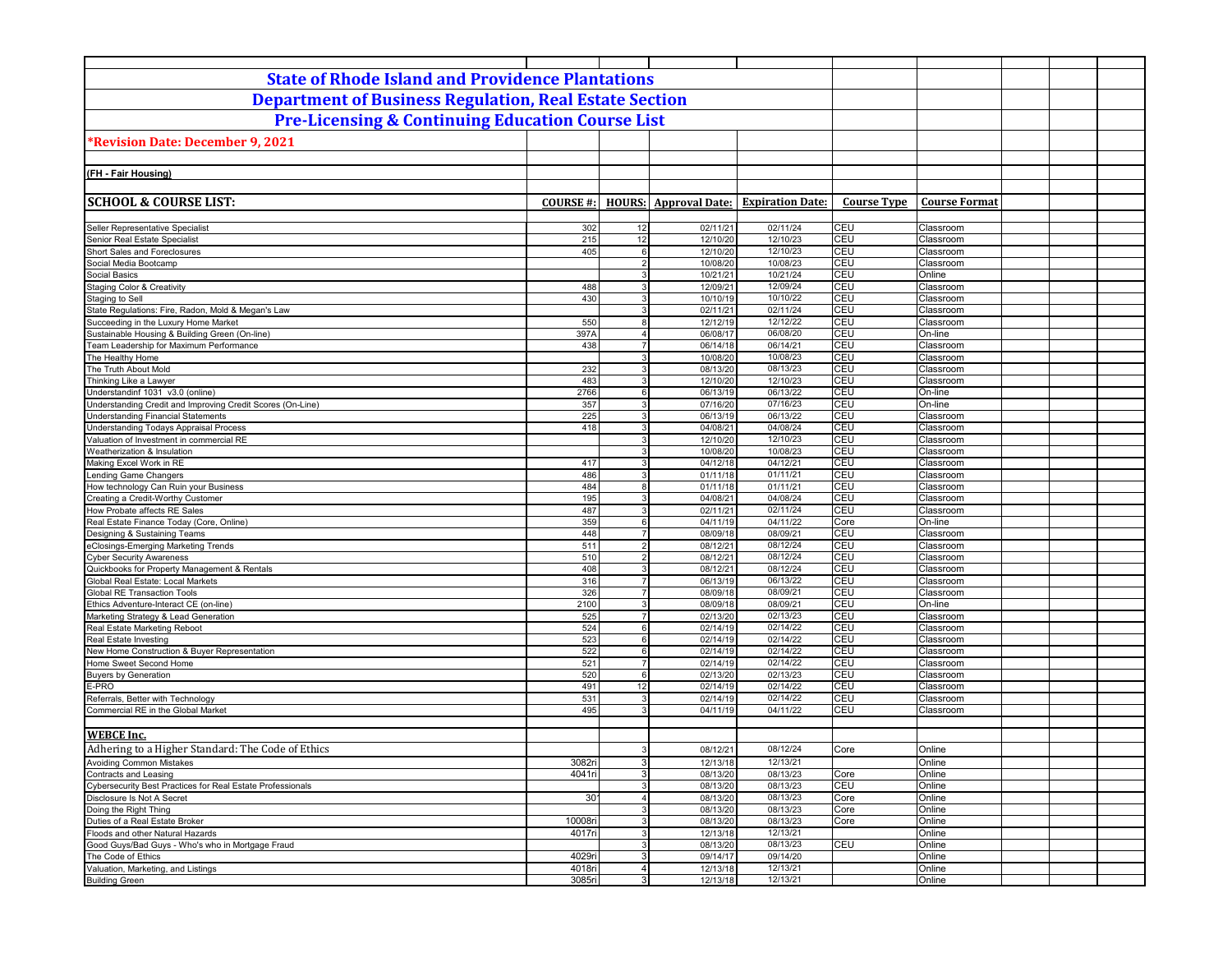| <b>State of Rhode Island and Providence Plantations</b>                                                 |                  |                                           |                       |                         |                    |                        |  |
|---------------------------------------------------------------------------------------------------------|------------------|-------------------------------------------|-----------------------|-------------------------|--------------------|------------------------|--|
| <b>Department of Business Regulation, Real Estate Section</b>                                           |                  |                                           |                       |                         |                    |                        |  |
|                                                                                                         |                  |                                           |                       |                         |                    |                        |  |
| <b>Pre-Licensing &amp; Continuing Education Course List</b>                                             |                  |                                           |                       |                         |                    |                        |  |
| *Revision Date: December 9, 2021                                                                        |                  |                                           |                       |                         |                    |                        |  |
|                                                                                                         |                  |                                           |                       |                         |                    |                        |  |
|                                                                                                         |                  |                                           |                       |                         |                    |                        |  |
| (FH - Fair Housing)                                                                                     |                  |                                           |                       |                         |                    |                        |  |
|                                                                                                         |                  |                                           |                       |                         |                    |                        |  |
| <b>SCHOOL &amp; COURSE LIST:</b>                                                                        | <b>COURSE#:</b>  | <b>HOURS:</b>                             | <b>Approval Date:</b> | <b>Expiration Date:</b> | <b>Course Type</b> | <b>Course Format</b>   |  |
| Seller Representative Specialist                                                                        |                  | 12                                        |                       | 02/11/24                | CEU                |                        |  |
| Senior Real Estate Specialist                                                                           | 302<br>215       | 12                                        | 02/11/21<br>12/10/20  | 12/10/23                | CEU                | Classroom<br>Classroom |  |
| Short Sales and Foreclosures                                                                            | 405              | 6                                         | 12/10/20              | 12/10/23                | CEU                | Classroom              |  |
| Social Media Bootcamp                                                                                   |                  | 2 <sup>1</sup>                            | 10/08/20              | 10/08/23                | CEU                | Classroom              |  |
| Social Basics                                                                                           |                  | $\overline{3}$                            | 10/21/21              | 10/21/24                | CEU                | Online                 |  |
| <b>Staging Color &amp; Creativity</b>                                                                   | 488              | 3                                         | 12/09/21              | 12/09/24                | CEU                | Classroom              |  |
| Staging to Sell                                                                                         | 430              | 3 <sup>1</sup>                            | 10/10/19              | 10/10/22                | CEU                | Classroom              |  |
| State Regulations: Fire, Radon, Mold & Megan's Law                                                      |                  | 3                                         | 02/11/21              | 02/11/24                | CEU                | Classroom              |  |
| Succeeding in the Luxury Home Market                                                                    | 550              | 8                                         | 12/12/19              | 12/12/22                | CEU                | Classroom              |  |
| Sustainable Housing & Building Green (On-line)                                                          | 397A             | 4                                         | 06/08/17              | 06/08/20                | CEU                | On-line                |  |
| Team Leadership for Maximum Performance                                                                 | 438              | 7 <sup>1</sup>                            | 06/14/18              | 06/14/21                | CEU                | Classroom              |  |
| The Healthy Home                                                                                        |                  | 3                                         | 10/08/20              | 10/08/23                | CEU                | Classroom              |  |
| The Truth About Mold                                                                                    | 232              | $\mathbf{3}$                              | 08/13/20              | 08/13/23                | CEU                | Classroom              |  |
| Thinking Like a Lawyer                                                                                  | 483              | $\overline{3}$                            | 12/10/20              | 12/10/23                | CEU                | Classroom              |  |
| Understandinf 1031 v3.0 (online)                                                                        | 2766             | 6<br>3 <sup>1</sup>                       | 06/13/19              | 06/13/22<br>07/16/23    | <b>CEU</b><br>CEU  | On-line<br>On-line     |  |
| Understanding Credit and Improving Credit Scores (On-Line)<br><b>Understanding Financial Statements</b> | 357<br>225       | $\overline{3}$                            | 07/16/20<br>06/13/19  | 06/13/22                | CEU                | Classroom              |  |
| Understanding Todays Appraisal Process                                                                  | 418              | 3 <sup>1</sup>                            | 04/08/21              | 04/08/24                | CEU                | Classroom              |  |
| Valuation of Investment in commercial RE                                                                |                  | 3                                         | 12/10/20              | 12/10/23                | CEU                | Classroom              |  |
| Weatherization & Insulation                                                                             |                  | 3                                         | 10/08/20              | 10/08/23                | CEU                | Classroom              |  |
| Making Excel Work in RE                                                                                 | 417              | 3                                         | 04/12/18              | 04/12/21                | CEU                | Classroom              |  |
| Lending Game Changers                                                                                   | 486              | 3 <sup>1</sup>                            | 01/11/18              | 01/11/21                | CEU                | Classroom              |  |
| How technology Can Ruin your Business                                                                   | 484              | 8                                         | 01/11/18              | 01/11/21                | CEU                | Classroom              |  |
| Creating a Credit-Worthy Customer                                                                       | 195              | $\mathbf{3}$                              | 04/08/21              | 04/08/24                | CEU                | Classroom              |  |
| How Probate affects RE Sales                                                                            | 487              | 3                                         | 02/11/21              | 02/11/24                | CEU                | Classroom              |  |
| Real Estate Finance Today (Core, Online)                                                                | 359              | 6                                         | 04/11/19              | 04/11/22                | Core               | On-line                |  |
| Designing & Sustaining Teams                                                                            | 448              | $\overline{7}$                            | 08/09/18              | 08/09/21                | CEU                | Classroom              |  |
| eClosings-Emerging Marketing Trends                                                                     | 511<br>510       | 2 <sup>1</sup><br>2 <sup>1</sup>          | 08/12/21              | 08/12/24<br>08/12/24    | CEU<br>CEU         | Classroom              |  |
| <b>Cyber Security Awareness</b><br>Quickbooks for Property Management & Rentals                         | 408              | 3 <sup>1</sup>                            | 08/12/21<br>08/12/21  | 08/12/24                | CEU                | Classroom<br>Classroom |  |
| Global Real Estate: Local Markets                                                                       | 316              | $\overline{7}$                            | 06/13/19              | 06/13/22                | CEU                | Classroom              |  |
| <b>Global RE Transaction Tools</b>                                                                      | 326              | $\overline{7}$                            | 08/09/18              | 08/09/21                | CEU                | Classroom              |  |
| Ethics Adventure-Interact CE (on-line)                                                                  | 2100             | $\mathbf{3}$                              | 08/09/18              | 08/09/21                | CEU                | On-line                |  |
| Marketing Strategy & Lead Generation                                                                    | 525              | $\overline{7}$                            | 02/13/20              | 02/13/23                | CEU                | Classroom              |  |
| Real Estate Marketing Reboot                                                                            | 524              | $6 \overline{6}$                          | 02/14/19              | 02/14/22                | CEU                | Classroom              |  |
| Real Estate Investing                                                                                   | 523              | $6 \overline{6}$                          | 02/14/19              | 02/14/22                | CEU                | Classroom              |  |
| New Home Construction & Buyer Representation                                                            | 522              | $6 \overline{6}$                          | 02/14/19              | 02/14/22                | CEU                | Classroom              |  |
| Home Sweet Second Home                                                                                  | 521              | $\overline{7}$                            | 02/14/19              | 02/14/22                | CEU                | Classroom              |  |
| <b>Buyers by Generation</b>                                                                             | 520              | 6                                         | 02/13/20              | 02/13/23                | CEU                | Classroom              |  |
| E-PRO                                                                                                   | 491              | 12                                        | 02/14/19              | 02/14/22                | <b>CEU</b>         | Classroom              |  |
| Referrals, Better with Technology<br>Commercial RE in the Global Market                                 | 531<br>495       | $\overline{3}$<br>$\overline{\mathbf{3}}$ | 02/14/19<br>04/11/19  | 02/14/22<br>04/11/22    | CEU<br>CEU         | Classroom<br>Classroom |  |
|                                                                                                         |                  |                                           |                       |                         |                    |                        |  |
| <b>WEBCE</b> Inc.                                                                                       |                  |                                           |                       |                         |                    |                        |  |
| Adhering to a Higher Standard: The Code of Ethics                                                       |                  | 3                                         | 08/12/21              | 08/12/24                | Core               | Online                 |  |
|                                                                                                         |                  |                                           |                       |                         |                    |                        |  |
| <b>Avoiding Common Mistakes</b><br>Contracts and Leasing                                                | 3082ri<br>4041ri | 3 <sup>1</sup><br>3 <sup>1</sup>          | 12/13/18<br>08/13/20  | 12/13/21<br>08/13/23    | Core               | Online<br>Online       |  |
| Cybersecurity Best Practices for Real Estate Professionals                                              |                  | 3                                         | 08/13/20              | 08/13/23                | CEU                | Online                 |  |
| Disclosure Is Not A Secret                                                                              | 30 <sup>°</sup>  | 4 <sup>1</sup>                            | 08/13/20              | 08/13/23                | Core               | Online                 |  |
| Doing the Right Thing                                                                                   |                  | 3                                         | 08/13/20              | 08/13/23                | Core               | Online                 |  |
| Duties of a Real Estate Broker                                                                          | 10008ri          | 3 <sup>1</sup>                            | 08/13/20              | 08/13/23                | Core               | Online                 |  |
| Floods and other Natural Hazards                                                                        | 4017ri           | 3 <sup>1</sup>                            | 12/13/18              | 12/13/21                |                    | Online                 |  |
| Good Guys/Bad Guys - Who's who in Mortgage Fraud                                                        |                  | 3 <sup>1</sup>                            | 08/13/20              | 08/13/23                | CEU                | Online                 |  |
| The Code of Ethics                                                                                      | 4029ri           | 3                                         | 09/14/17              | 09/14/20                |                    | Online                 |  |
| Valuation, Marketing, and Listings                                                                      | 4018ri           | 4 <sup>1</sup>                            | 12/13/18              | 12/13/21                |                    | Online                 |  |
| <b>Building Green</b>                                                                                   | 3085ri           | 3                                         | 12/13/18              | 12/13/21                |                    | Online                 |  |